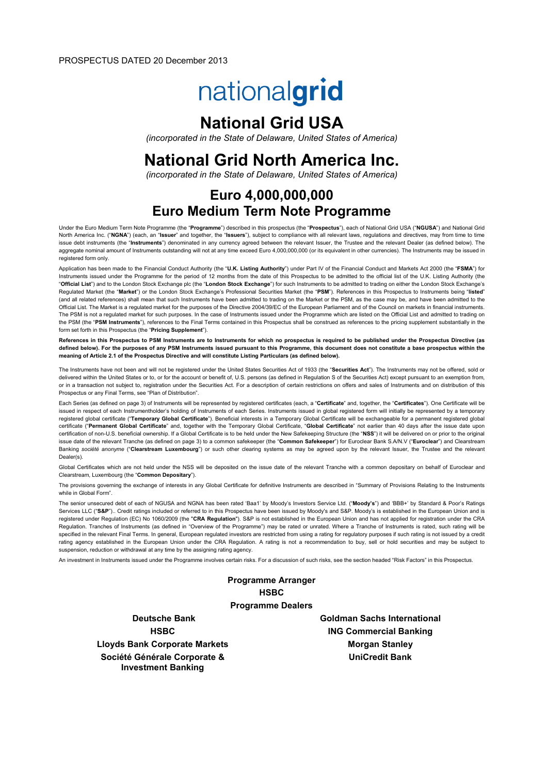# nationalgrid

# National Grid USA

(incorporated in the State of Delaware, United States of America)

# National Grid North America Inc.

(incorporated in the State of Delaware, United States of America)

# Euro 4,000,000,000 Euro Medium Term Note Programme

Under the Euro Medium Term Note Programme (the "Programme") described in this prospectus (the "Prospectus"), each of National Grid USA ("NGUSA") and National Grid North America Inc. ("NGNA") (each, an "Issuer" and together, the "Issuers"), subject to compliance with all relevant laws, regulations and directives, may from time to time issue debt instruments (the "Instruments") denominated in any currency agreed between the relevant Issuer, the Trustee and the relevant Dealer (as defined below). The aggregate nominal amount of Instruments outstanding will not at any time exceed Euro 4,000,000,000 (or its equivalent in other currencies). The Instruments may be issued in registered form only.

Application has been made to the Financial Conduct Authority (the "U.K. Listing Authority") under Part IV of the Financial Conduct and Markets Act 2000 (the "FSMA") for Instruments issued under the Programme for the period of 12 months from the date of this Prospectus to be admitted to the official list of the U.K. Listing Authority (the "Official List") and to the London Stock Exchange plc (the "London Stock Exchange") for such Instruments to be admitted to trading on either the London Stock Exchange's Regulated Market (the "Market") or the London Stock Exchange's Professional Securities Market (the "PSM"). References in this Prospectus to Instruments being "listed" (and all related references) shall mean that such Instruments have been admitted to trading on the Market or the PSM, as the case may be, and have been admitted to the Official List. The Market is a regulated market for the purposes of the Directive 2004/39/EC of the European Parliament and of the Council on markets in financial instruments. The PSM is not a regulated market for such purposes. In the case of Instruments issued under the Programme which are listed on the Official List and admitted to trading on the PSM (the "PSM Instruments"), references to the Final Terms contained in this Prospectus shall be construed as references to the pricing supplement substantially in the form set forth in this Prospectus (the "Pricing Supplement").

References in this Prospectus to PSM Instruments are to Instruments for which no prospectus is required to be published under the Prospectus Directive (as defined below). For the purposes of any PSM Instruments issued pursuant to this Programme, this document does not constitute a base prospectus within the meaning of Article 2.1 of the Prospectus Directive and will constitute Listing Particulars (as defined below).

The Instruments have not been and will not be registered under the United States Securities Act of 1933 (the "Securities Act"). The Instruments may not be offered, sold or delivered within the United States or to, or for the account or benefit of, U.S. persons (as defined in Requlation S of the Securities Act) except pursuant to an exemption from, or in a transaction not subject to, registration under the Securities Act. For a description of certain restrictions on offers and sales of Instruments and on distribution of this Prospectus or any Final Terms, see "Plan of Distribution".

Each Series (as defined on page 3) of Instruments will be represented by registered certificates (each, a "Certificate" and, together, the "Certificates"). One Certificate will be issued in respect of each Instrumentholder's holding of Instruments of each Series. Instruments issued in global registered form will initially be represented by a temporary registered global certificate ("Temporary Global Certificate"). Beneficial interests in a Temporary Global Certificate will be exchangeable for a permanent registered global certificate ("Permanent Global Certificate" and, together with the Temporary Global Certificate, "Global Certificate" not earlier than 40 days after the issue date upon certification of non-U.S. beneficial ownership. If a Global Certificate is to be held under the New Safekeeping Structure (the "NSS") it will be delivered on or prior to the original issue date of the relevant Tranche (as defined on page 3) to a common safekeeper (the "Common Safekeeper") for Euroclear Bank S.A/N.V ("Euroclear") and Clearstream Banking société anonyme ("Clearstream Luxembourg") or such other clearing systems as may be agreed upon by the relevant Issuer, the Trustee and the relevant Dealer(s).

Global Certificates which are not held under the NSS will be deposited on the issue date of the relevant Tranche with a common depositary on behalf of Euroclear and Clearstream, Luxembourg (the "Common Depositary").

The provisions governing the exchange of interests in any Global Certificate for definitive Instruments are described in "Summary of Provisions Relating to the Instruments while in Global Form".

The senior unsecured debt of each of NGUSA and NGNA has been rated 'Baa1' by Moody's Investors Service Ltd. ("Moody's") and 'BBB+' by Standard & Poor's Ratings Services LLC ("S&P"). Credit ratings included or referred to in this Prospectus have been issued by Moody's and S&P. Moody's is established in the European Union and is registered under Regulation (EC) No 1060/2009 (the "CRA Regulation"). S&P is not established in the European Union and has not applied for registration under the CRA Regulation. Tranches of Instruments (as defined in "Overview of the Programme") may be rated or unrated. Where a Tranche of Instruments is rated, such rating will be specified in the relevant Final Terms. In general, European regulated investors are restricted from using a rating for regulatory purposes if such rating is not issued by a credit rating agency established in the European Union under the CRA Regulation. A rating is not a recommendation to buy, sell or hold securities and may be subject to suspension, reduction or withdrawal at any time by the assigning rating agency.

An investment in Instruments issued under the Programme involves certain risks. For a discussion of such risks, see the section headed "Risk Factors" in this Prospectus.

Programme Arranger **HSBC** Programme Dealers

Lloyds Bank Corporate Markets Morgan Stanley Société Générale Corporate & Investment Banking

Deutsche Bank Goldman Sachs International HSBC ING Commercial Banking UniCredit Bank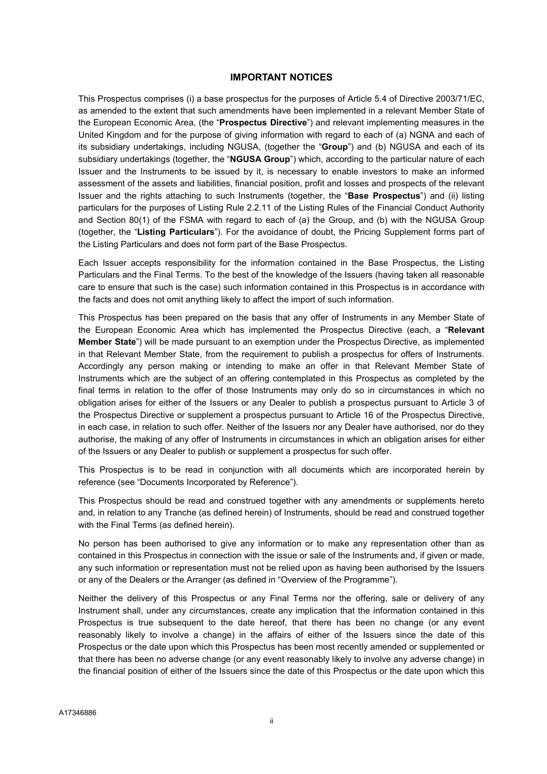#### IMPORTANT NOTICES

This Prospectus comprises (i) a base prospectus for the purposes of Article 5.4 of Directive 2003/71/EC, as amended to the extent that such amendments have been implemented in a relevant Member State of the European Economic Area, (the "Prospectus Directive") and relevant implementing measures in the United Kingdom and for the purpose of giving information with regard to each of (a) NGNA and each of its subsidiary undertakings, including NGUSA, (together the "Group") and (b) NGUSA and each of its subsidiary undertakings (together, the "NGUSA Group") which, according to the particular nature of each Issuer and the Instruments to be issued by it, is necessary to enable investors to make an informed assessment of the assets and liabilities, financial position, profit and losses and prospects of the relevant Issuer and the rights attaching to such Instruments (together, the "Base Prospectus") and (ii) listing particulars for the purposes of Listing Rule 2.2.11 of the Listing Rules of the Financial Conduct Authority and Section 80(1) of the FSMA with regard to each of (a) the Group, and (b) with the NGUSA Group (together, the "Listing Particulars"). For the avoidance of doubt, the Pricing Supplement forms part of the Listing Particulars and does not form part of the Base Prospectus.

Each Issuer accepts responsibility for the information contained in the Base Prospectus, the Listing Particulars and the Final Terms. To the best of the knowledge of the Issuers (having taken all reasonable care to ensure that such is the case) such information contained in this Prospectus is in accordance with the facts and does not omit anything likely to affect the import of such information.

This Prospectus has been prepared on the basis that any offer of Instruments in any Member State of the European Economic Area which has implemented the Prospectus Directive (each, a "Relevant Member State") will be made pursuant to an exemption under the Prospectus Directive, as implemented in that Relevant Member State, from the requirement to publish a prospectus for offers of Instruments. Accordingly any person making or intending to make an offer in that Relevant Member State of Instruments which are the subject of an offering contemplated in this Prospectus as completed by the final terms in relation to the offer of those Instruments may only do so in circumstances in which no obligation arises for either of the Issuers or any Dealer to publish a prospectus pursuant to Article 3 of the Prospectus Directive or supplement a prospectus pursuant to Article 16 of the Prospectus Directive, in each case, in relation to such offer. Neither of the Issuers nor any Dealer have authorised, nor do they authorise, the making of any offer of Instruments in circumstances in which an obligation arises for either of the Issuers or any Dealer to publish or supplement a prospectus for such offer.

This Prospectus is to be read in conjunction with all documents which are incorporated herein by reference (see "Documents Incorporated by Reference").

This Prospectus should be read and construed together with any amendments or supplements hereto and, in relation to any Tranche (as defined herein) of Instruments, should be read and construed together with the Final Terms (as defined herein).

No person has been authorised to give any information or to make any representation other than as contained in this Prospectus in connection with the issue or sale of the Instruments and, if given or made, any such information or representation must not be relied upon as having been authorised by the Issuers or any of the Dealers or the Arranger (as defined in "Overview of the Programme").

Neither the delivery of this Prospectus or any Final Terms nor the offering, sale or delivery of any Instrument shall, under any circumstances, create any implication that the information contained in this Prospectus is true subsequent to the date hereof, that there has been no change (or any event reasonably likely to involve a change) in the affairs of either of the Issuers since the date of this Prospectus or the date upon which this Prospectus has been most recently amended or supplemented or that there has been no adverse change (or any event reasonably likely to involve any adverse change) in the financial position of either of the Issuers since the date of this Prospectus or the date upon which this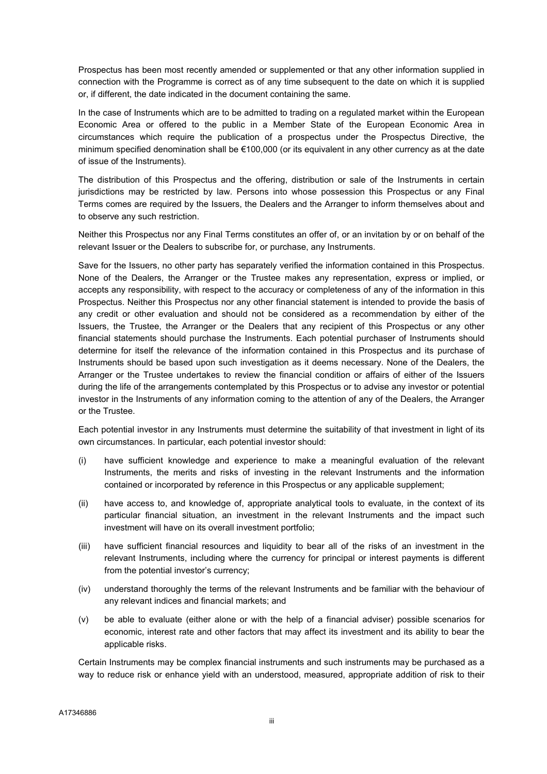Prospectus has been most recently amended or supplemented or that any other information supplied in connection with the Programme is correct as of any time subsequent to the date on which it is supplied or, if different, the date indicated in the document containing the same.

In the case of Instruments which are to be admitted to trading on a regulated market within the European Economic Area or offered to the public in a Member State of the European Economic Area in circumstances which require the publication of a prospectus under the Prospectus Directive, the minimum specified denomination shall be €100,000 (or its equivalent in any other currency as at the date of issue of the Instruments).

The distribution of this Prospectus and the offering, distribution or sale of the Instruments in certain jurisdictions may be restricted by law. Persons into whose possession this Prospectus or any Final Terms comes are required by the Issuers, the Dealers and the Arranger to inform themselves about and to observe any such restriction.

Neither this Prospectus nor any Final Terms constitutes an offer of, or an invitation by or on behalf of the relevant Issuer or the Dealers to subscribe for, or purchase, any Instruments.

Save for the Issuers, no other party has separately verified the information contained in this Prospectus. None of the Dealers, the Arranger or the Trustee makes any representation, express or implied, or accepts any responsibility, with respect to the accuracy or completeness of any of the information in this Prospectus. Neither this Prospectus nor any other financial statement is intended to provide the basis of any credit or other evaluation and should not be considered as a recommendation by either of the Issuers, the Trustee, the Arranger or the Dealers that any recipient of this Prospectus or any other financial statements should purchase the Instruments. Each potential purchaser of Instruments should determine for itself the relevance of the information contained in this Prospectus and its purchase of Instruments should be based upon such investigation as it deems necessary. None of the Dealers, the Arranger or the Trustee undertakes to review the financial condition or affairs of either of the Issuers during the life of the arrangements contemplated by this Prospectus or to advise any investor or potential investor in the Instruments of any information coming to the attention of any of the Dealers, the Arranger or the Trustee.

Each potential investor in any Instruments must determine the suitability of that investment in light of its own circumstances. In particular, each potential investor should:

- (i) have sufficient knowledge and experience to make a meaningful evaluation of the relevant Instruments, the merits and risks of investing in the relevant Instruments and the information contained or incorporated by reference in this Prospectus or any applicable supplement;
- (ii) have access to, and knowledge of, appropriate analytical tools to evaluate, in the context of its particular financial situation, an investment in the relevant Instruments and the impact such investment will have on its overall investment portfolio;
- (iii) have sufficient financial resources and liquidity to bear all of the risks of an investment in the relevant Instruments, including where the currency for principal or interest payments is different from the potential investor's currency;
- (iv) understand thoroughly the terms of the relevant Instruments and be familiar with the behaviour of any relevant indices and financial markets; and
- (v) be able to evaluate (either alone or with the help of a financial adviser) possible scenarios for economic, interest rate and other factors that may affect its investment and its ability to bear the applicable risks.

Certain Instruments may be complex financial instruments and such instruments may be purchased as a way to reduce risk or enhance yield with an understood, measured, appropriate addition of risk to their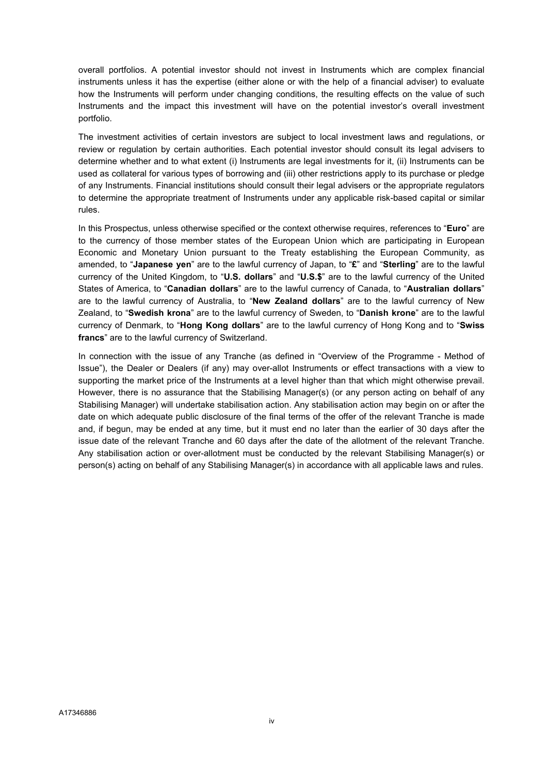overall portfolios. A potential investor should not invest in Instruments which are complex financial instruments unless it has the expertise (either alone or with the help of a financial adviser) to evaluate how the Instruments will perform under changing conditions, the resulting effects on the value of such Instruments and the impact this investment will have on the potential investor's overall investment portfolio.

The investment activities of certain investors are subject to local investment laws and regulations, or review or regulation by certain authorities. Each potential investor should consult its legal advisers to determine whether and to what extent (i) Instruments are legal investments for it, (ii) Instruments can be used as collateral for various types of borrowing and (iii) other restrictions apply to its purchase or pledge of any Instruments. Financial institutions should consult their legal advisers or the appropriate regulators to determine the appropriate treatment of Instruments under any applicable risk-based capital or similar rules.

In this Prospectus, unless otherwise specified or the context otherwise requires, references to "Euro" are to the currency of those member states of the European Union which are participating in European Economic and Monetary Union pursuant to the Treaty establishing the European Community, as amended, to "Japanese yen" are to the lawful currency of Japan, to "£" and "Sterling" are to the lawful currency of the United Kingdom, to "U.S. dollars" and "U.S.\$" are to the lawful currency of the United States of America, to "Canadian dollars" are to the lawful currency of Canada, to "Australian dollars" are to the lawful currency of Australia, to "New Zealand dollars" are to the lawful currency of New Zealand, to "Swedish krona" are to the lawful currency of Sweden, to "Danish krone" are to the lawful currency of Denmark, to "Hong Kong dollars" are to the lawful currency of Hong Kong and to "Swiss francs" are to the lawful currency of Switzerland.

In connection with the issue of any Tranche (as defined in "Overview of the Programme - Method of Issue"), the Dealer or Dealers (if any) may over-allot Instruments or effect transactions with a view to supporting the market price of the Instruments at a level higher than that which might otherwise prevail. However, there is no assurance that the Stabilising Manager(s) (or any person acting on behalf of any Stabilising Manager) will undertake stabilisation action. Any stabilisation action may begin on or after the date on which adequate public disclosure of the final terms of the offer of the relevant Tranche is made and, if begun, may be ended at any time, but it must end no later than the earlier of 30 days after the issue date of the relevant Tranche and 60 days after the date of the allotment of the relevant Tranche. Any stabilisation action or over-allotment must be conducted by the relevant Stabilising Manager(s) or person(s) acting on behalf of any Stabilising Manager(s) in accordance with all applicable laws and rules.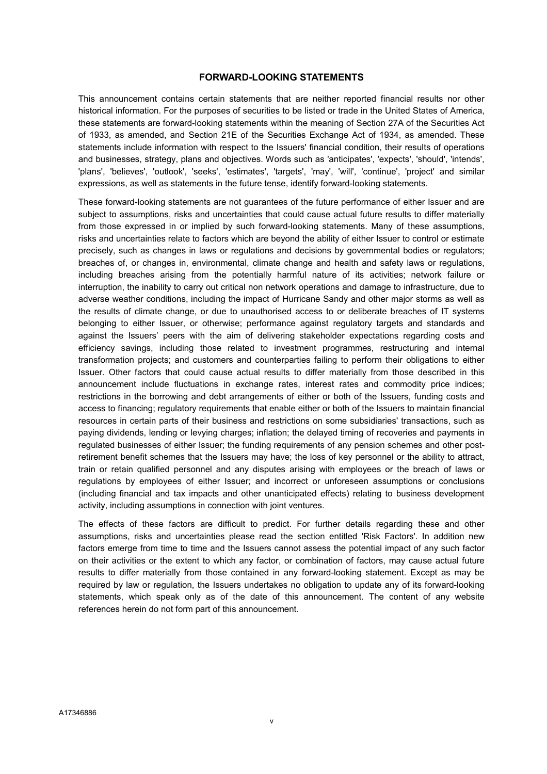#### FORWARD-LOOKING STATEMENTS

This announcement contains certain statements that are neither reported financial results nor other historical information. For the purposes of securities to be listed or trade in the United States of America, these statements are forward-looking statements within the meaning of Section 27A of the Securities Act of 1933, as amended, and Section 21E of the Securities Exchange Act of 1934, as amended. These statements include information with respect to the Issuers' financial condition, their results of operations and businesses, strategy, plans and objectives. Words such as 'anticipates', 'expects', 'should', 'intends', 'plans', 'believes', 'outlook', 'seeks', 'estimates', 'targets', 'may', 'will', 'continue', 'project' and similar expressions, as well as statements in the future tense, identify forward-looking statements.

These forward-looking statements are not guarantees of the future performance of either Issuer and are subject to assumptions, risks and uncertainties that could cause actual future results to differ materially from those expressed in or implied by such forward-looking statements. Many of these assumptions, risks and uncertainties relate to factors which are beyond the ability of either Issuer to control or estimate precisely, such as changes in laws or regulations and decisions by governmental bodies or regulators; breaches of, or changes in, environmental, climate change and health and safety laws or regulations, including breaches arising from the potentially harmful nature of its activities; network failure or interruption, the inability to carry out critical non network operations and damage to infrastructure, due to adverse weather conditions, including the impact of Hurricane Sandy and other major storms as well as the results of climate change, or due to unauthorised access to or deliberate breaches of IT systems belonging to either Issuer, or otherwise; performance against regulatory targets and standards and against the Issuers' peers with the aim of delivering stakeholder expectations regarding costs and efficiency savings, including those related to investment programmes, restructuring and internal transformation projects; and customers and counterparties failing to perform their obligations to either Issuer. Other factors that could cause actual results to differ materially from those described in this announcement include fluctuations in exchange rates, interest rates and commodity price indices; restrictions in the borrowing and debt arrangements of either or both of the Issuers, funding costs and access to financing; regulatory requirements that enable either or both of the Issuers to maintain financial resources in certain parts of their business and restrictions on some subsidiaries' transactions, such as paying dividends, lending or levying charges; inflation; the delayed timing of recoveries and payments in regulated businesses of either Issuer; the funding requirements of any pension schemes and other postretirement benefit schemes that the Issuers may have; the loss of key personnel or the ability to attract, train or retain qualified personnel and any disputes arising with employees or the breach of laws or regulations by employees of either Issuer; and incorrect or unforeseen assumptions or conclusions (including financial and tax impacts and other unanticipated effects) relating to business development activity, including assumptions in connection with joint ventures.

The effects of these factors are difficult to predict. For further details regarding these and other assumptions, risks and uncertainties please read the section entitled 'Risk Factors'. In addition new factors emerge from time to time and the Issuers cannot assess the potential impact of any such factor on their activities or the extent to which any factor, or combination of factors, may cause actual future results to differ materially from those contained in any forward-looking statement. Except as may be required by law or regulation, the Issuers undertakes no obligation to update any of its forward-looking statements, which speak only as of the date of this announcement. The content of any website references herein do not form part of this announcement.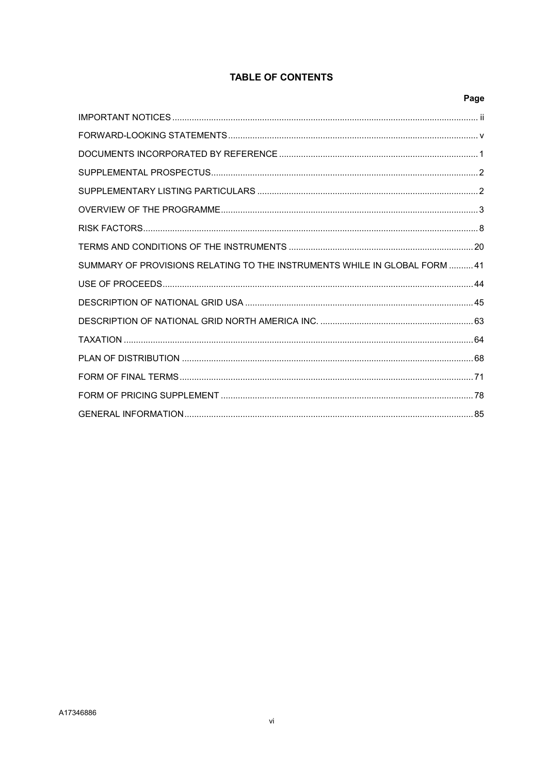# **TABLE OF CONTENTS**

|                                                                           | Page |
|---------------------------------------------------------------------------|------|
|                                                                           |      |
|                                                                           |      |
|                                                                           |      |
|                                                                           |      |
|                                                                           |      |
|                                                                           |      |
|                                                                           |      |
|                                                                           |      |
| SUMMARY OF PROVISIONS RELATING TO THE INSTRUMENTS WHILE IN GLOBAL FORM 41 |      |
|                                                                           |      |
|                                                                           |      |
|                                                                           |      |
|                                                                           |      |
|                                                                           |      |
|                                                                           |      |
|                                                                           |      |
|                                                                           |      |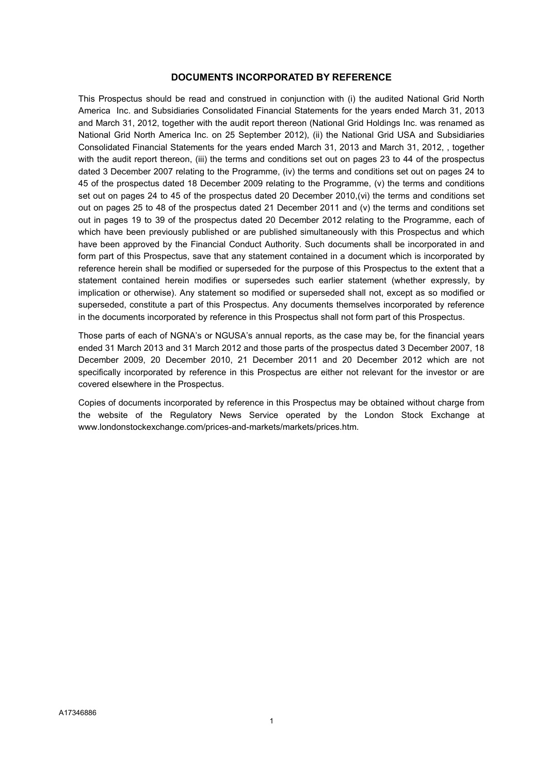#### DOCUMENTS INCORPORATED BY REFERENCE

This Prospectus should be read and construed in conjunction with (i) the audited National Grid North America Inc. and Subsidiaries Consolidated Financial Statements for the years ended March 31, 2013 and March 31, 2012, together with the audit report thereon (National Grid Holdings Inc. was renamed as National Grid North America Inc. on 25 September 2012), (ii) the National Grid USA and Subsidiaries Consolidated Financial Statements for the years ended March 31, 2013 and March 31, 2012, , together with the audit report thereon, (iii) the terms and conditions set out on pages 23 to 44 of the prospectus dated 3 December 2007 relating to the Programme, (iv) the terms and conditions set out on pages 24 to 45 of the prospectus dated 18 December 2009 relating to the Programme, (v) the terms and conditions set out on pages 24 to 45 of the prospectus dated 20 December 2010, (vi) the terms and conditions set out on pages 25 to 48 of the prospectus dated 21 December 2011 and (v) the terms and conditions set out in pages 19 to 39 of the prospectus dated 20 December 2012 relating to the Programme, each of which have been previously published or are published simultaneously with this Prospectus and which have been approved by the Financial Conduct Authority. Such documents shall be incorporated in and form part of this Prospectus, save that any statement contained in a document which is incorporated by reference herein shall be modified or superseded for the purpose of this Prospectus to the extent that a statement contained herein modifies or supersedes such earlier statement (whether expressly, by implication or otherwise). Any statement so modified or superseded shall not, except as so modified or superseded, constitute a part of this Prospectus. Any documents themselves incorporated by reference in the documents incorporated by reference in this Prospectus shall not form part of this Prospectus.

Those parts of each of NGNA's or NGUSA's annual reports, as the case may be, for the financial years ended 31 March 2013 and 31 March 2012 and those parts of the prospectus dated 3 December 2007, 18 December 2009, 20 December 2010, 21 December 2011 and 20 December 2012 which are not specifically incorporated by reference in this Prospectus are either not relevant for the investor or are covered elsewhere in the Prospectus.

Copies of documents incorporated by reference in this Prospectus may be obtained without charge from the website of the Regulatory News Service operated by the London Stock Exchange at www.londonstockexchange.com/prices-and-markets/markets/prices.htm.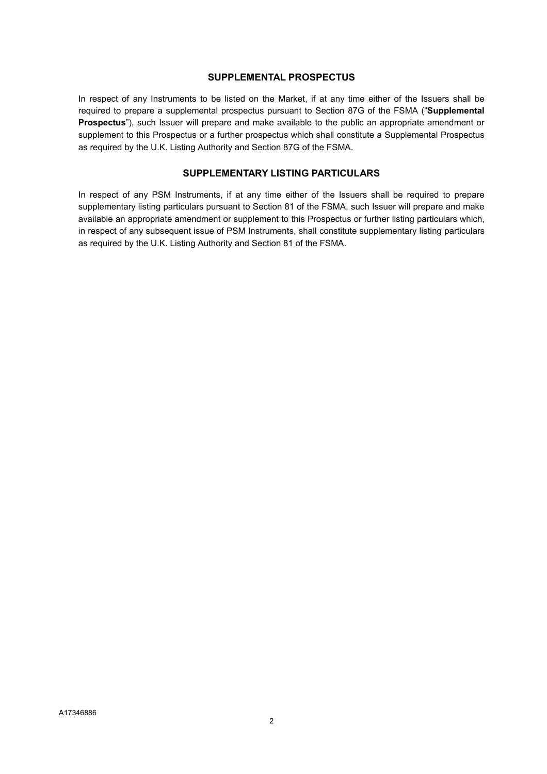#### SUPPLEMENTAL PROSPECTUS

In respect of any Instruments to be listed on the Market, if at any time either of the Issuers shall be required to prepare a supplemental prospectus pursuant to Section 87G of the FSMA ("Supplemental Prospectus"), such Issuer will prepare and make available to the public an appropriate amendment or supplement to this Prospectus or a further prospectus which shall constitute a Supplemental Prospectus as required by the U.K. Listing Authority and Section 87G of the FSMA.

#### SUPPLEMENTARY LISTING PARTICULARS

In respect of any PSM Instruments, if at any time either of the Issuers shall be required to prepare supplementary listing particulars pursuant to Section 81 of the FSMA, such Issuer will prepare and make available an appropriate amendment or supplement to this Prospectus or further listing particulars which, in respect of any subsequent issue of PSM Instruments, shall constitute supplementary listing particulars as required by the U.K. Listing Authority and Section 81 of the FSMA.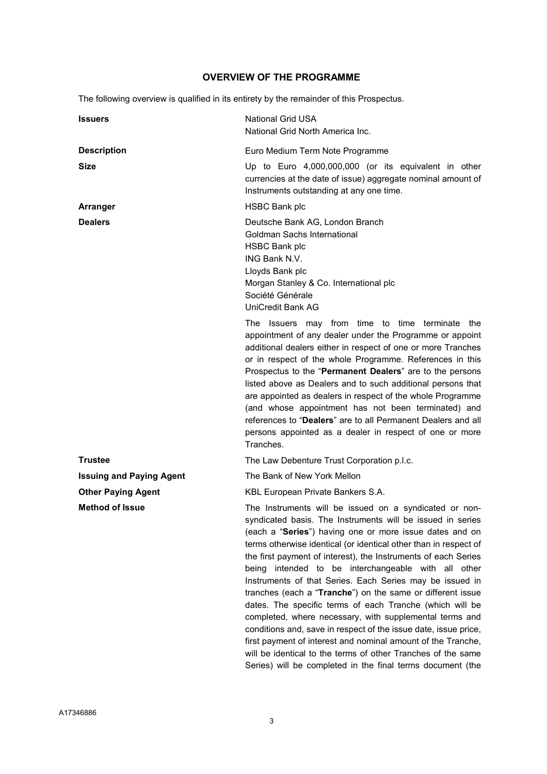# OVERVIEW OF THE PROGRAMME

The following overview is qualified in its entirety by the remainder of this Prospectus.

| <b>Issuers</b>                  | <b>National Grid USA</b><br>National Grid North America Inc.                                                                                                                                                                                                                                                                                                                                                                                                                                                                                                                                                                                                                                                                                                                                                                                                                                   |
|---------------------------------|------------------------------------------------------------------------------------------------------------------------------------------------------------------------------------------------------------------------------------------------------------------------------------------------------------------------------------------------------------------------------------------------------------------------------------------------------------------------------------------------------------------------------------------------------------------------------------------------------------------------------------------------------------------------------------------------------------------------------------------------------------------------------------------------------------------------------------------------------------------------------------------------|
| <b>Description</b>              | Euro Medium Term Note Programme                                                                                                                                                                                                                                                                                                                                                                                                                                                                                                                                                                                                                                                                                                                                                                                                                                                                |
| <b>Size</b>                     | Up to Euro 4,000,000,000 (or its equivalent in other<br>currencies at the date of issue) aggregate nominal amount of<br>Instruments outstanding at any one time.                                                                                                                                                                                                                                                                                                                                                                                                                                                                                                                                                                                                                                                                                                                               |
| Arranger                        | <b>HSBC Bank plc</b>                                                                                                                                                                                                                                                                                                                                                                                                                                                                                                                                                                                                                                                                                                                                                                                                                                                                           |
| <b>Dealers</b>                  | Deutsche Bank AG, London Branch<br>Goldman Sachs International<br><b>HSBC Bank plc</b><br>ING Bank N.V.<br>Lloyds Bank plc<br>Morgan Stanley & Co. International plc<br>Société Générale<br>UniCredit Bank AG                                                                                                                                                                                                                                                                                                                                                                                                                                                                                                                                                                                                                                                                                  |
|                                 | The Issuers may from time to time terminate the<br>appointment of any dealer under the Programme or appoint<br>additional dealers either in respect of one or more Tranches<br>or in respect of the whole Programme. References in this<br>Prospectus to the "Permanent Dealers" are to the persons<br>listed above as Dealers and to such additional persons that<br>are appointed as dealers in respect of the whole Programme<br>(and whose appointment has not been terminated) and<br>references to "Dealers" are to all Permanent Dealers and all<br>persons appointed as a dealer in respect of one or more<br>Tranches.                                                                                                                                                                                                                                                                |
| <b>Trustee</b>                  | The Law Debenture Trust Corporation p.l.c.                                                                                                                                                                                                                                                                                                                                                                                                                                                                                                                                                                                                                                                                                                                                                                                                                                                     |
| <b>Issuing and Paying Agent</b> | The Bank of New York Mellon                                                                                                                                                                                                                                                                                                                                                                                                                                                                                                                                                                                                                                                                                                                                                                                                                                                                    |
| <b>Other Paying Agent</b>       | KBL European Private Bankers S.A.                                                                                                                                                                                                                                                                                                                                                                                                                                                                                                                                                                                                                                                                                                                                                                                                                                                              |
| <b>Method of Issue</b>          | The Instruments will be issued on a syndicated or non-<br>syndicated basis. The Instruments will be issued in series<br>(each a "Series") having one or more issue dates and on<br>terms otherwise identical (or identical other than in respect of<br>the first payment of interest), the Instruments of each Series<br>being intended to be interchangeable with all other<br>Instruments of that Series. Each Series may be issued in<br>tranches (each a "Tranche") on the same or different issue<br>dates. The specific terms of each Tranche (which will be<br>completed, where necessary, with supplemental terms and<br>conditions and, save in respect of the issue date, issue price,<br>first payment of interest and nominal amount of the Tranche,<br>will be identical to the terms of other Tranches of the same<br>Series) will be completed in the final terms document (the |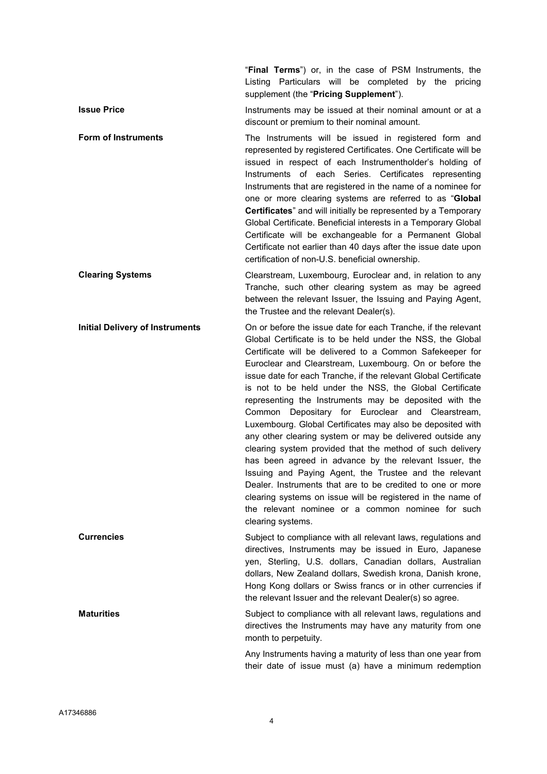"Final Terms") or, in the case of PSM Instruments, the Listing Particulars will be completed by the pricing supplement (the "Pricing Supplement").

**Issue Price** The Instruments may be issued at their nominal amount or at a discount or premium to their nominal amount.

Form of Instruments The Instruments will be issued in registered form and represented by registered Certificates. One Certificate will be issued in respect of each Instrumentholder's holding of Instruments of each Series. Certificates representing Instruments that are registered in the name of a nominee for one or more clearing systems are referred to as "Global Certificates" and will initially be represented by a Temporary Global Certificate. Beneficial interests in a Temporary Global Certificate will be exchangeable for a Permanent Global Certificate not earlier than 40 days after the issue date upon certification of non-U.S. beneficial ownership.

Clearing Systems Clearstream, Luxembourg, Euroclear and, in relation to any Tranche, such other clearing system as may be agreed between the relevant Issuer, the Issuing and Paying Agent, the Trustee and the relevant Dealer(s).

Initial Delivery of Instruments On or before the issue date for each Tranche, if the relevant Global Certificate is to be held under the NSS, the Global Certificate will be delivered to a Common Safekeeper for Euroclear and Clearstream, Luxembourg. On or before the issue date for each Tranche, if the relevant Global Certificate is not to be held under the NSS, the Global Certificate representing the Instruments may be deposited with the Common Depositary for Euroclear and Clearstream, Luxembourg. Global Certificates may also be deposited with any other clearing system or may be delivered outside any clearing system provided that the method of such delivery has been agreed in advance by the relevant Issuer, the Issuing and Paying Agent, the Trustee and the relevant Dealer. Instruments that are to be credited to one or more clearing systems on issue will be registered in the name of the relevant nominee or a common nominee for such clearing systems.

Currencies Subject to compliance with all relevant laws, regulations and directives, Instruments may be issued in Euro, Japanese yen, Sterling, U.S. dollars, Canadian dollars, Australian dollars, New Zealand dollars, Swedish krona, Danish krone, Hong Kong dollars or Swiss francs or in other currencies if the relevant Issuer and the relevant Dealer(s) so agree.

**Maturities** Maturities Subject to compliance with all relevant laws, regulations and directives the Instruments may have any maturity from one month to perpetuity.

> Any Instruments having a maturity of less than one year from their date of issue must (a) have a minimum redemption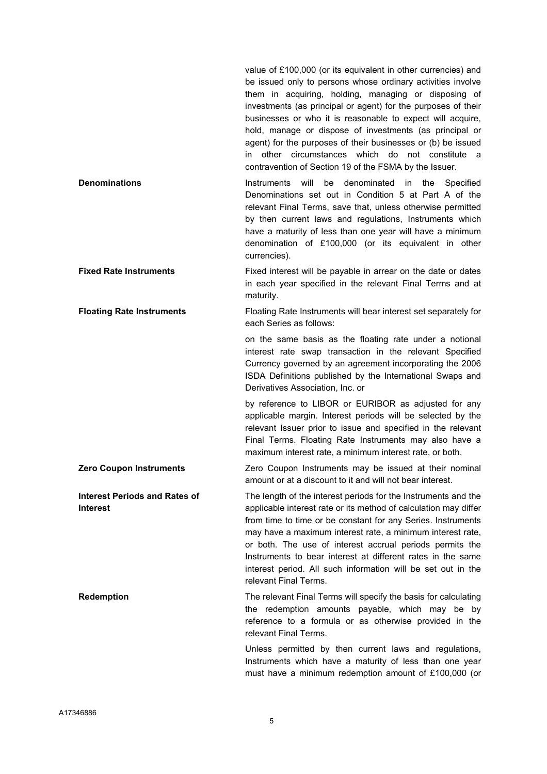value of £100,000 (or its equivalent in other currencies) and be issued only to persons whose ordinary activities involve them in acquiring, holding, managing or disposing of investments (as principal or agent) for the purposes of their businesses or who it is reasonable to expect will acquire, hold, manage or dispose of investments (as principal or agent) for the purposes of their businesses or (b) be issued in other circumstances which do not constitute a contravention of Section 19 of the FSMA by the Issuer.

- **Denominations Instruments will be denominated in the Specified** Denominations set out in Condition 5 at Part A of the relevant Final Terms, save that, unless otherwise permitted by then current laws and regulations, Instruments which have a maturity of less than one year will have a minimum denomination of £100,000 (or its equivalent in other currencies).
- Fixed Rate Instruments Fixed interest will be payable in arrear on the date or dates in each year specified in the relevant Final Terms and at maturity.

Floating Rate Instruments Floating Rate Instruments will bear interest set separately for each Series as follows:

> on the same basis as the floating rate under a notional interest rate swap transaction in the relevant Specified Currency governed by an agreement incorporating the 2006 ISDA Definitions published by the International Swaps and Derivatives Association, Inc. or

> by reference to LIBOR or EURIBOR as adjusted for any applicable margin. Interest periods will be selected by the relevant Issuer prior to issue and specified in the relevant Final Terms. Floating Rate Instruments may also have a maximum interest rate, a minimum interest rate, or both.

**Zero Coupon Instruments Zero Coupon Instruments may be issued at their nominal** amount or at a discount to it and will not bear interest.

Interest Periods and Rates of The length of the interest periods for the Instruments and the applicable interest rate or its method of calculation may differ from time to time or be constant for any Series. Instruments may have a maximum interest rate, a minimum interest rate, or both. The use of interest accrual periods permits the Instruments to bear interest at different rates in the same interest period. All such information will be set out in the relevant Final Terms.

**Redemption** The relevant Final Terms will specify the basis for calculating the redemption amounts payable, which may be by reference to a formula or as otherwise provided in the relevant Final Terms.

> Unless permitted by then current laws and regulations, Instruments which have a maturity of less than one year must have a minimum redemption amount of £100,000 (or

Interest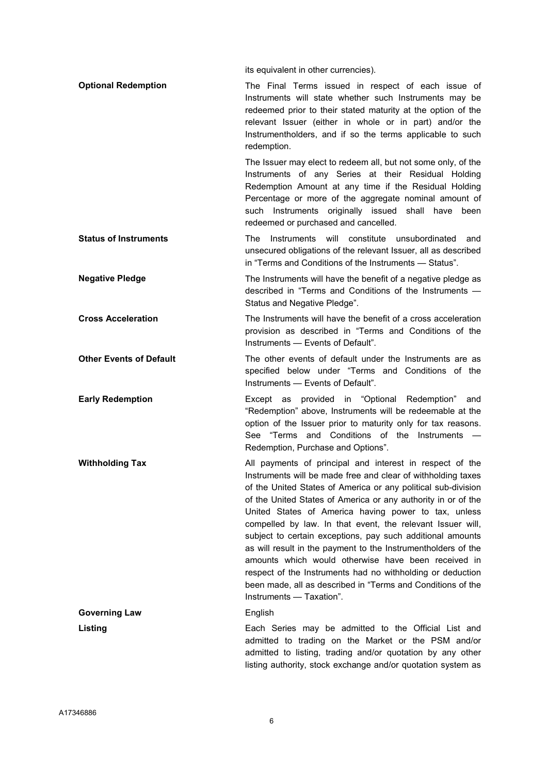its equivalent in other currencies).

| <b>Optional Redemption</b> | The Final Terms issued in respect of each issue of<br>Instruments will state whether such Instruments may be<br>redeemed prior to their stated maturity at the option of the<br>relevant Issuer (either in whole or in part) and/or the<br>Instrumentholders, and if so the terms applicable to such<br>redemption. |
|----------------------------|---------------------------------------------------------------------------------------------------------------------------------------------------------------------------------------------------------------------------------------------------------------------------------------------------------------------|
|                            | The Issuer may elect to redeem all, but not some only, of the                                                                                                                                                                                                                                                       |

Instruments of any Series at their Residual Holding Redemption Amount at any time if the Residual Holding Percentage or more of the aggregate nominal amount of such Instruments originally issued shall have been redeemed or purchased and cancelled.

- Status of Instruments The Instruments will constitute unsubordinated and unsecured obligations of the relevant Issuer, all as described in "Terms and Conditions of the Instruments — Status".
- Negative Pledge The Instruments will have the benefit of a negative pledge as described in "Terms and Conditions of the Instruments — Status and Negative Pledge".
- Cross Acceleration The Instruments will have the benefit of a cross acceleration provision as described in "Terms and Conditions of the Instruments — Events of Default".
- Other Events of Default The other events of default under the Instruments are as specified below under "Terms and Conditions of the Instruments — Events of Default".
- Early Redemption Except as provided in "Optional Redemption" and "Redemption" above, Instruments will be redeemable at the option of the Issuer prior to maturity only for tax reasons. See "Terms and Conditions of the Instruments — Redemption, Purchase and Options".
- **Withholding Tax** All payments of principal and interest in respect of the Instruments will be made free and clear of withholding taxes of the United States of America or any political sub-division of the United States of America or any authority in or of the United States of America having power to tax, unless compelled by law. In that event, the relevant Issuer will, subject to certain exceptions, pay such additional amounts as will result in the payment to the Instrumentholders of the amounts which would otherwise have been received in respect of the Instruments had no withholding or deduction been made, all as described in "Terms and Conditions of the Instruments — Taxation".

Governing Law **English** 

Listing **Each Series may be admitted to the Official List and** admitted to trading on the Market or the PSM and/or admitted to listing, trading and/or quotation by any other listing authority, stock exchange and/or quotation system as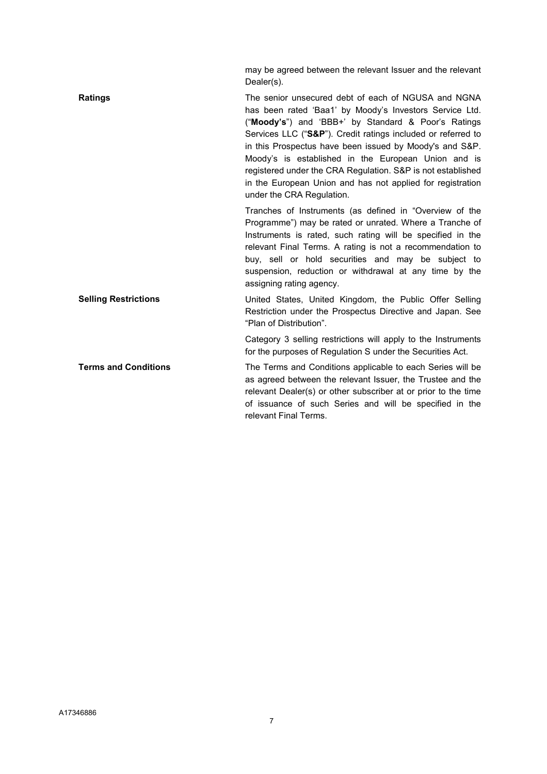|                             | may be agreed between the relevant Issuer and the relevant<br>Dealer(s).                                                                                                                                                                                                                                                                                                                                                                                                                                          |
|-----------------------------|-------------------------------------------------------------------------------------------------------------------------------------------------------------------------------------------------------------------------------------------------------------------------------------------------------------------------------------------------------------------------------------------------------------------------------------------------------------------------------------------------------------------|
| <b>Ratings</b>              | The senior unsecured debt of each of NGUSA and NGNA<br>has been rated 'Baa1' by Moody's Investors Service Ltd.<br>("Moody's") and 'BBB+' by Standard & Poor's Ratings<br>Services LLC ("S&P"). Credit ratings included or referred to<br>in this Prospectus have been issued by Moody's and S&P.<br>Moody's is established in the European Union and is<br>registered under the CRA Regulation. S&P is not established<br>in the European Union and has not applied for registration<br>under the CRA Regulation. |
|                             | Tranches of Instruments (as defined in "Overview of the<br>Programme") may be rated or unrated. Where a Tranche of<br>Instruments is rated, such rating will be specified in the<br>relevant Final Terms. A rating is not a recommendation to<br>buy, sell or hold securities and may be subject to<br>suspension, reduction or withdrawal at any time by the<br>assigning rating agency.                                                                                                                         |
| <b>Selling Restrictions</b> | United States, United Kingdom, the Public Offer Selling<br>Restriction under the Prospectus Directive and Japan. See<br>"Plan of Distribution".                                                                                                                                                                                                                                                                                                                                                                   |
|                             | Category 3 selling restrictions will apply to the Instruments<br>for the purposes of Regulation S under the Securities Act.                                                                                                                                                                                                                                                                                                                                                                                       |
| <b>Terms and Conditions</b> | The Terms and Conditions applicable to each Series will be<br>as agreed between the relevant Issuer, the Trustee and the<br>relevant Dealer(s) or other subscriber at or prior to the time<br>of issuance of such Series and will be specified in the<br>relevant Final Terms.                                                                                                                                                                                                                                    |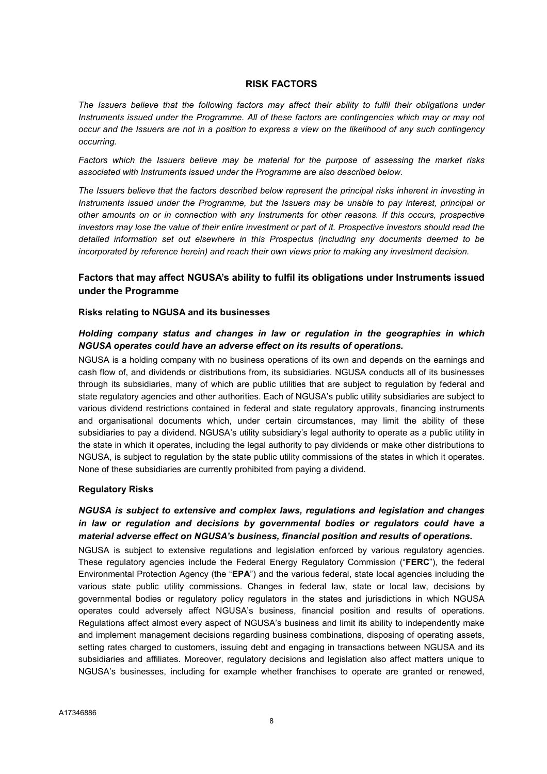#### RISK FACTORS

The Issuers believe that the following factors may affect their ability to fulfil their obligations under Instruments issued under the Programme. All of these factors are contingencies which may or may not occur and the Issuers are not in a position to express a view on the likelihood of any such contingency occurring.

Factors which the Issuers believe may be material for the purpose of assessing the market risks associated with Instruments issued under the Programme are also described below.

The Issuers believe that the factors described below represent the principal risks inherent in investing in Instruments issued under the Programme, but the Issuers may be unable to pay interest, principal or other amounts on or in connection with any Instruments for other reasons. If this occurs, prospective investors may lose the value of their entire investment or part of it. Prospective investors should read the detailed information set out elsewhere in this Prospectus (including any documents deemed to be incorporated by reference herein) and reach their own views prior to making any investment decision.

# Factors that may affect NGUSA's ability to fulfil its obligations under Instruments issued under the Programme

#### Risks relating to NGUSA and its businesses

#### Holding company status and changes in law or regulation in the geographies in which NGUSA operates could have an adverse effect on its results of operations.

NGUSA is a holding company with no business operations of its own and depends on the earnings and cash flow of, and dividends or distributions from, its subsidiaries. NGUSA conducts all of its businesses through its subsidiaries, many of which are public utilities that are subject to regulation by federal and state regulatory agencies and other authorities. Each of NGUSA's public utility subsidiaries are subject to various dividend restrictions contained in federal and state regulatory approvals, financing instruments and organisational documents which, under certain circumstances, may limit the ability of these subsidiaries to pay a dividend. NGUSA's utility subsidiary's legal authority to operate as a public utility in the state in which it operates, including the legal authority to pay dividends or make other distributions to NGUSA, is subject to regulation by the state public utility commissions of the states in which it operates. None of these subsidiaries are currently prohibited from paying a dividend.

#### Regulatory Risks

# NGUSA is subject to extensive and complex laws, regulations and legislation and changes in law or regulation and decisions by governmental bodies or regulators could have a material adverse effect on NGUSA's business, financial position and results of operations.

NGUSA is subject to extensive regulations and legislation enforced by various regulatory agencies. These regulatory agencies include the Federal Energy Regulatory Commission ("FERC"), the federal Environmental Protection Agency (the "EPA") and the various federal, state local agencies including the various state public utility commissions. Changes in federal law, state or local law, decisions by governmental bodies or regulatory policy regulators in the states and jurisdictions in which NGUSA operates could adversely affect NGUSA's business, financial position and results of operations. Regulations affect almost every aspect of NGUSA's business and limit its ability to independently make and implement management decisions regarding business combinations, disposing of operating assets, setting rates charged to customers, issuing debt and engaging in transactions between NGUSA and its subsidiaries and affiliates. Moreover, regulatory decisions and legislation also affect matters unique to NGUSA's businesses, including for example whether franchises to operate are granted or renewed,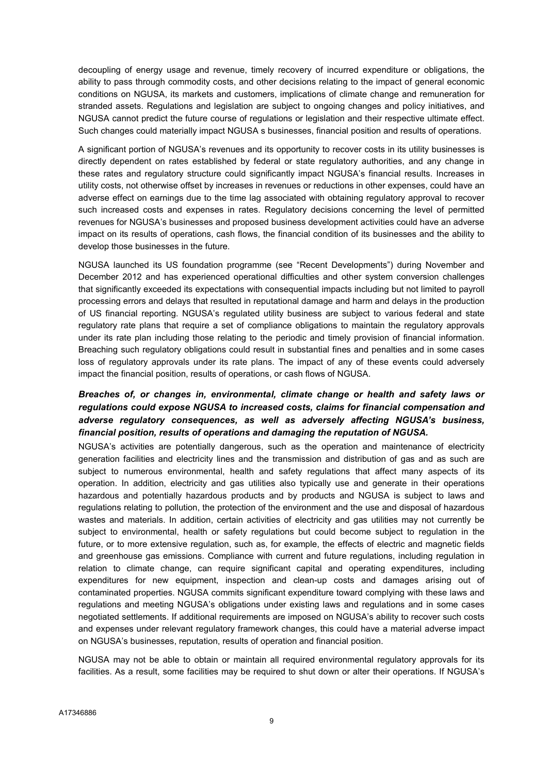decoupling of energy usage and revenue, timely recovery of incurred expenditure or obligations, the ability to pass through commodity costs, and other decisions relating to the impact of general economic conditions on NGUSA, its markets and customers, implications of climate change and remuneration for stranded assets. Regulations and legislation are subject to ongoing changes and policy initiatives, and NGUSA cannot predict the future course of regulations or legislation and their respective ultimate effect. Such changes could materially impact NGUSA s businesses, financial position and results of operations.

A significant portion of NGUSA's revenues and its opportunity to recover costs in its utility businesses is directly dependent on rates established by federal or state regulatory authorities, and any change in these rates and regulatory structure could significantly impact NGUSA's financial results. Increases in utility costs, not otherwise offset by increases in revenues or reductions in other expenses, could have an adverse effect on earnings due to the time lag associated with obtaining regulatory approval to recover such increased costs and expenses in rates. Regulatory decisions concerning the level of permitted revenues for NGUSA's businesses and proposed business development activities could have an adverse impact on its results of operations, cash flows, the financial condition of its businesses and the ability to develop those businesses in the future.

NGUSA launched its US foundation programme (see "Recent Developments") during November and December 2012 and has experienced operational difficulties and other system conversion challenges that significantly exceeded its expectations with consequential impacts including but not limited to payroll processing errors and delays that resulted in reputational damage and harm and delays in the production of US financial reporting. NGUSA's regulated utility business are subject to various federal and state regulatory rate plans that require a set of compliance obligations to maintain the regulatory approvals under its rate plan including those relating to the periodic and timely provision of financial information. Breaching such regulatory obligations could result in substantial fines and penalties and in some cases loss of regulatory approvals under its rate plans. The impact of any of these events could adversely impact the financial position, results of operations, or cash flows of NGUSA.

# Breaches of, or changes in, environmental, climate change or health and safety laws or regulations could expose NGUSA to increased costs, claims for financial compensation and adverse regulatory consequences, as well as adversely affecting NGUSA's business, financial position, results of operations and damaging the reputation of NGUSA.

NGUSA's activities are potentially dangerous, such as the operation and maintenance of electricity generation facilities and electricity lines and the transmission and distribution of gas and as such are subject to numerous environmental, health and safety regulations that affect many aspects of its operation. In addition, electricity and gas utilities also typically use and generate in their operations hazardous and potentially hazardous products and by products and NGUSA is subject to laws and regulations relating to pollution, the protection of the environment and the use and disposal of hazardous wastes and materials. In addition, certain activities of electricity and gas utilities may not currently be subject to environmental, health or safety regulations but could become subject to regulation in the future, or to more extensive regulation, such as, for example, the effects of electric and magnetic fields and greenhouse gas emissions. Compliance with current and future regulations, including regulation in relation to climate change, can require significant capital and operating expenditures, including expenditures for new equipment, inspection and clean-up costs and damages arising out of contaminated properties. NGUSA commits significant expenditure toward complying with these laws and regulations and meeting NGUSA's obligations under existing laws and regulations and in some cases negotiated settlements. If additional requirements are imposed on NGUSA's ability to recover such costs and expenses under relevant regulatory framework changes, this could have a material adverse impact on NGUSA's businesses, reputation, results of operation and financial position.

NGUSA may not be able to obtain or maintain all required environmental regulatory approvals for its facilities. As a result, some facilities may be required to shut down or alter their operations. If NGUSA's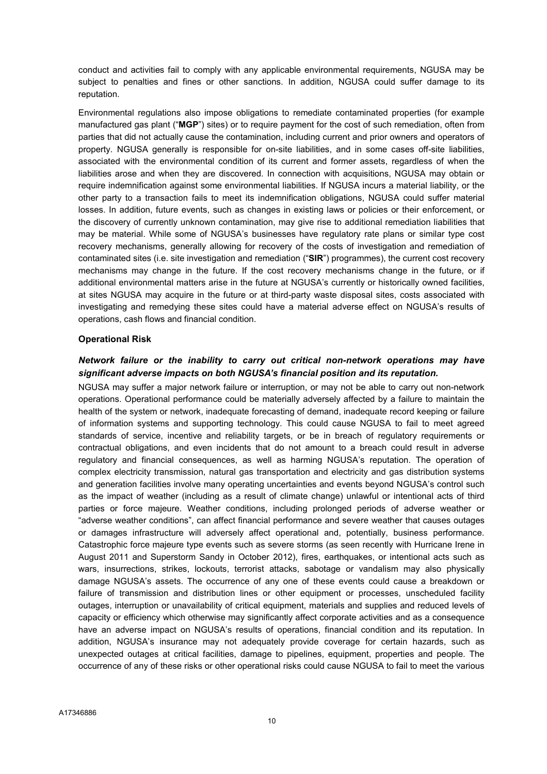conduct and activities fail to comply with any applicable environmental requirements, NGUSA may be subject to penalties and fines or other sanctions. In addition, NGUSA could suffer damage to its reputation.

Environmental regulations also impose obligations to remediate contaminated properties (for example manufactured gas plant ("MGP") sites) or to require payment for the cost of such remediation, often from parties that did not actually cause the contamination, including current and prior owners and operators of property. NGUSA generally is responsible for on-site liabilities, and in some cases off-site liabilities, associated with the environmental condition of its current and former assets, regardless of when the liabilities arose and when they are discovered. In connection with acquisitions, NGUSA may obtain or require indemnification against some environmental liabilities. If NGUSA incurs a material liability, or the other party to a transaction fails to meet its indemnification obligations, NGUSA could suffer material losses. In addition, future events, such as changes in existing laws or policies or their enforcement, or the discovery of currently unknown contamination, may give rise to additional remediation liabilities that may be material. While some of NGUSA's businesses have regulatory rate plans or similar type cost recovery mechanisms, generally allowing for recovery of the costs of investigation and remediation of contaminated sites (i.e. site investigation and remediation ("SIR") programmes), the current cost recovery mechanisms may change in the future. If the cost recovery mechanisms change in the future, or if additional environmental matters arise in the future at NGUSA's currently or historically owned facilities, at sites NGUSA may acquire in the future or at third-party waste disposal sites, costs associated with investigating and remedying these sites could have a material adverse effect on NGUSA's results of operations, cash flows and financial condition.

#### Operational Risk

# Network failure or the inability to carry out critical non-network operations may have significant adverse impacts on both NGUSA's financial position and its reputation.

NGUSA may suffer a major network failure or interruption, or may not be able to carry out non-network operations. Operational performance could be materially adversely affected by a failure to maintain the health of the system or network, inadequate forecasting of demand, inadequate record keeping or failure of information systems and supporting technology. This could cause NGUSA to fail to meet agreed standards of service, incentive and reliability targets, or be in breach of regulatory requirements or contractual obligations, and even incidents that do not amount to a breach could result in adverse regulatory and financial consequences, as well as harming NGUSA's reputation. The operation of complex electricity transmission, natural gas transportation and electricity and gas distribution systems and generation facilities involve many operating uncertainties and events beyond NGUSA's control such as the impact of weather (including as a result of climate change) unlawful or intentional acts of third parties or force majeure. Weather conditions, including prolonged periods of adverse weather or "adverse weather conditions", can affect financial performance and severe weather that causes outages or damages infrastructure will adversely affect operational and, potentially, business performance. Catastrophic force majeure type events such as severe storms (as seen recently with Hurricane Irene in August 2011 and Superstorm Sandy in October 2012), fires, earthquakes, or intentional acts such as wars, insurrections, strikes, lockouts, terrorist attacks, sabotage or vandalism may also physically damage NGUSA's assets. The occurrence of any one of these events could cause a breakdown or failure of transmission and distribution lines or other equipment or processes, unscheduled facility outages, interruption or unavailability of critical equipment, materials and supplies and reduced levels of capacity or efficiency which otherwise may significantly affect corporate activities and as a consequence have an adverse impact on NGUSA's results of operations, financial condition and its reputation. In addition, NGUSA's insurance may not adequately provide coverage for certain hazards, such as unexpected outages at critical facilities, damage to pipelines, equipment, properties and people. The occurrence of any of these risks or other operational risks could cause NGUSA to fail to meet the various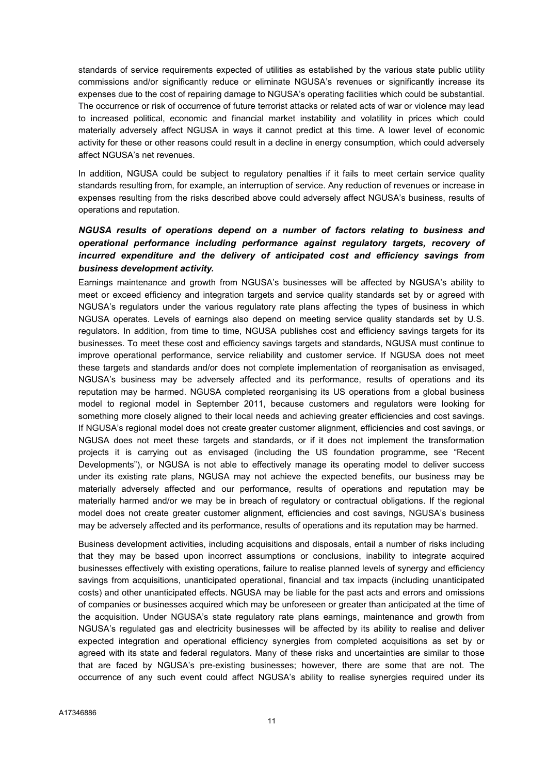standards of service requirements expected of utilities as established by the various state public utility commissions and/or significantly reduce or eliminate NGUSA's revenues or significantly increase its expenses due to the cost of repairing damage to NGUSA's operating facilities which could be substantial. The occurrence or risk of occurrence of future terrorist attacks or related acts of war or violence may lead to increased political, economic and financial market instability and volatility in prices which could materially adversely affect NGUSA in ways it cannot predict at this time. A lower level of economic activity for these or other reasons could result in a decline in energy consumption, which could adversely affect NGUSA's net revenues.

In addition, NGUSA could be subject to regulatory penalties if it fails to meet certain service quality standards resulting from, for example, an interruption of service. Any reduction of revenues or increase in expenses resulting from the risks described above could adversely affect NGUSA's business, results of operations and reputation.

# NGUSA results of operations depend on a number of factors relating to business and operational performance including performance against regulatory targets, recovery of incurred expenditure and the delivery of anticipated cost and efficiency savings from business development activity.

Earnings maintenance and growth from NGUSA's businesses will be affected by NGUSA's ability to meet or exceed efficiency and integration targets and service quality standards set by or agreed with NGUSA's regulators under the various regulatory rate plans affecting the types of business in which NGUSA operates. Levels of earnings also depend on meeting service quality standards set by U.S. regulators. In addition, from time to time, NGUSA publishes cost and efficiency savings targets for its businesses. To meet these cost and efficiency savings targets and standards, NGUSA must continue to improve operational performance, service reliability and customer service. If NGUSA does not meet these targets and standards and/or does not complete implementation of reorganisation as envisaged, NGUSA's business may be adversely affected and its performance, results of operations and its reputation may be harmed. NGUSA completed reorganising its US operations from a global business model to regional model in September 2011, because customers and regulators were looking for something more closely aligned to their local needs and achieving greater efficiencies and cost savings. If NGUSA's regional model does not create greater customer alignment, efficiencies and cost savings, or NGUSA does not meet these targets and standards, or if it does not implement the transformation projects it is carrying out as envisaged (including the US foundation programme, see "Recent Developments"), or NGUSA is not able to effectively manage its operating model to deliver success under its existing rate plans, NGUSA may not achieve the expected benefits, our business may be materially adversely affected and our performance, results of operations and reputation may be materially harmed and/or we may be in breach of regulatory or contractual obligations. If the regional model does not create greater customer alignment, efficiencies and cost savings, NGUSA's business may be adversely affected and its performance, results of operations and its reputation may be harmed.

Business development activities, including acquisitions and disposals, entail a number of risks including that they may be based upon incorrect assumptions or conclusions, inability to integrate acquired businesses effectively with existing operations, failure to realise planned levels of synergy and efficiency savings from acquisitions, unanticipated operational, financial and tax impacts (including unanticipated costs) and other unanticipated effects. NGUSA may be liable for the past acts and errors and omissions of companies or businesses acquired which may be unforeseen or greater than anticipated at the time of the acquisition. Under NGUSA's state regulatory rate plans earnings, maintenance and growth from NGUSA's regulated gas and electricity businesses will be affected by its ability to realise and deliver expected integration and operational efficiency synergies from completed acquisitions as set by or agreed with its state and federal regulators. Many of these risks and uncertainties are similar to those that are faced by NGUSA's pre-existing businesses; however, there are some that are not. The occurrence of any such event could affect NGUSA's ability to realise synergies required under its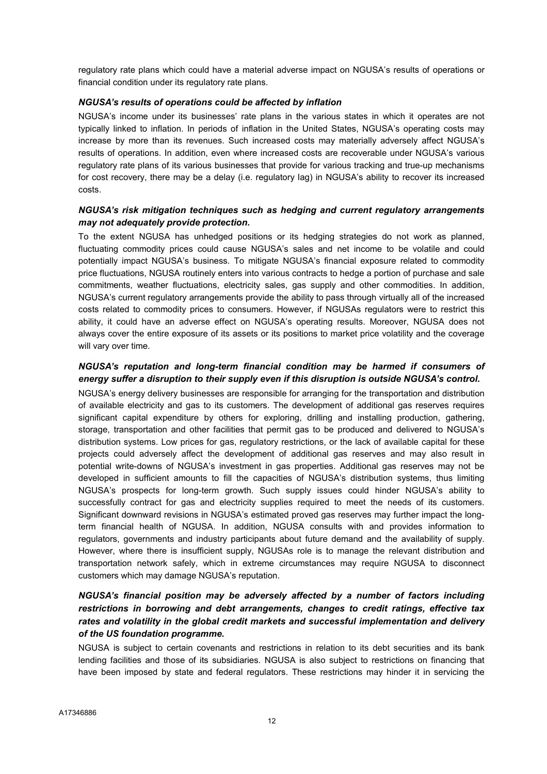regulatory rate plans which could have a material adverse impact on NGUSA's results of operations or financial condition under its regulatory rate plans.

#### NGUSA's results of operations could be affected by inflation

NGUSA's income under its businesses' rate plans in the various states in which it operates are not typically linked to inflation. In periods of inflation in the United States, NGUSA's operating costs may increase by more than its revenues. Such increased costs may materially adversely affect NGUSA's results of operations. In addition, even where increased costs are recoverable under NGUSA's various regulatory rate plans of its various businesses that provide for various tracking and true-up mechanisms for cost recovery, there may be a delay (i.e. regulatory lag) in NGUSA's ability to recover its increased costs.

# NGUSA's risk mitigation techniques such as hedging and current regulatory arrangements may not adequately provide protection.

To the extent NGUSA has unhedged positions or its hedging strategies do not work as planned, fluctuating commodity prices could cause NGUSA's sales and net income to be volatile and could potentially impact NGUSA's business. To mitigate NGUSA's financial exposure related to commodity price fluctuations, NGUSA routinely enters into various contracts to hedge a portion of purchase and sale commitments, weather fluctuations, electricity sales, gas supply and other commodities. In addition, NGUSA's current regulatory arrangements provide the ability to pass through virtually all of the increased costs related to commodity prices to consumers. However, if NGUSAs regulators were to restrict this ability, it could have an adverse effect on NGUSA's operating results. Moreover, NGUSA does not always cover the entire exposure of its assets or its positions to market price volatility and the coverage will vary over time.

# NGUSA's reputation and long-term financial condition may be harmed if consumers of energy suffer a disruption to their supply even if this disruption is outside NGUSA's control.

NGUSA's energy delivery businesses are responsible for arranging for the transportation and distribution of available electricity and gas to its customers. The development of additional gas reserves requires significant capital expenditure by others for exploring, drilling and installing production, gathering, storage, transportation and other facilities that permit gas to be produced and delivered to NGUSA's distribution systems. Low prices for gas, regulatory restrictions, or the lack of available capital for these projects could adversely affect the development of additional gas reserves and may also result in potential write-downs of NGUSA's investment in gas properties. Additional gas reserves may not be developed in sufficient amounts to fill the capacities of NGUSA's distribution systems, thus limiting NGUSA's prospects for long-term growth. Such supply issues could hinder NGUSA's ability to successfully contract for gas and electricity supplies required to meet the needs of its customers. Significant downward revisions in NGUSA's estimated proved gas reserves may further impact the longterm financial health of NGUSA. In addition, NGUSA consults with and provides information to regulators, governments and industry participants about future demand and the availability of supply. However, where there is insufficient supply, NGUSAs role is to manage the relevant distribution and transportation network safely, which in extreme circumstances may require NGUSA to disconnect customers which may damage NGUSA's reputation.

# NGUSA's financial position may be adversely affected by a number of factors including restrictions in borrowing and debt arrangements, changes to credit ratings, effective tax rates and volatility in the global credit markets and successful implementation and delivery of the US foundation programme.

NGUSA is subject to certain covenants and restrictions in relation to its debt securities and its bank lending facilities and those of its subsidiaries. NGUSA is also subject to restrictions on financing that have been imposed by state and federal regulators. These restrictions may hinder it in servicing the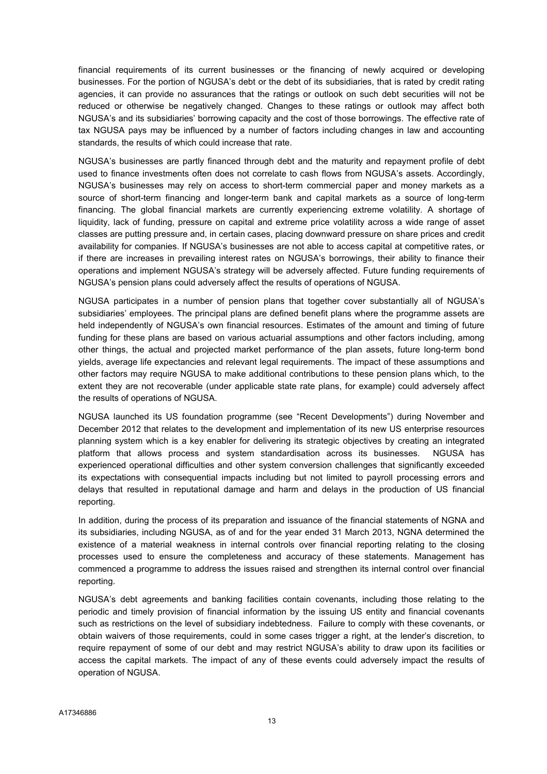financial requirements of its current businesses or the financing of newly acquired or developing businesses. For the portion of NGUSA's debt or the debt of its subsidiaries, that is rated by credit rating agencies, it can provide no assurances that the ratings or outlook on such debt securities will not be reduced or otherwise be negatively changed. Changes to these ratings or outlook may affect both NGUSA's and its subsidiaries' borrowing capacity and the cost of those borrowings. The effective rate of tax NGUSA pays may be influenced by a number of factors including changes in law and accounting standards, the results of which could increase that rate.

NGUSA's businesses are partly financed through debt and the maturity and repayment profile of debt used to finance investments often does not correlate to cash flows from NGUSA's assets. Accordingly, NGUSA's businesses may rely on access to short-term commercial paper and money markets as a source of short-term financing and longer-term bank and capital markets as a source of long-term financing. The global financial markets are currently experiencing extreme volatility. A shortage of liquidity, lack of funding, pressure on capital and extreme price volatility across a wide range of asset classes are putting pressure and, in certain cases, placing downward pressure on share prices and credit availability for companies. If NGUSA's businesses are not able to access capital at competitive rates, or if there are increases in prevailing interest rates on NGUSA's borrowings, their ability to finance their operations and implement NGUSA's strategy will be adversely affected. Future funding requirements of NGUSA's pension plans could adversely affect the results of operations of NGUSA.

NGUSA participates in a number of pension plans that together cover substantially all of NGUSA's subsidiaries' employees. The principal plans are defined benefit plans where the programme assets are held independently of NGUSA's own financial resources. Estimates of the amount and timing of future funding for these plans are based on various actuarial assumptions and other factors including, among other things, the actual and projected market performance of the plan assets, future long-term bond yields, average life expectancies and relevant legal requirements. The impact of these assumptions and other factors may require NGUSA to make additional contributions to these pension plans which, to the extent they are not recoverable (under applicable state rate plans, for example) could adversely affect the results of operations of NGUSA.

NGUSA launched its US foundation programme (see "Recent Developments") during November and December 2012 that relates to the development and implementation of its new US enterprise resources planning system which is a key enabler for delivering its strategic objectives by creating an integrated platform that allows process and system standardisation across its businesses. NGUSA has experienced operational difficulties and other system conversion challenges that significantly exceeded its expectations with consequential impacts including but not limited to payroll processing errors and delays that resulted in reputational damage and harm and delays in the production of US financial reporting.

In addition, during the process of its preparation and issuance of the financial statements of NGNA and its subsidiaries, including NGUSA, as of and for the year ended 31 March 2013, NGNA determined the existence of a material weakness in internal controls over financial reporting relating to the closing processes used to ensure the completeness and accuracy of these statements. Management has commenced a programme to address the issues raised and strengthen its internal control over financial reporting.

NGUSA's debt agreements and banking facilities contain covenants, including those relating to the periodic and timely provision of financial information by the issuing US entity and financial covenants such as restrictions on the level of subsidiary indebtedness. Failure to comply with these covenants, or obtain waivers of those requirements, could in some cases trigger a right, at the lender's discretion, to require repayment of some of our debt and may restrict NGUSA's ability to draw upon its facilities or access the capital markets. The impact of any of these events could adversely impact the results of operation of NGUSA.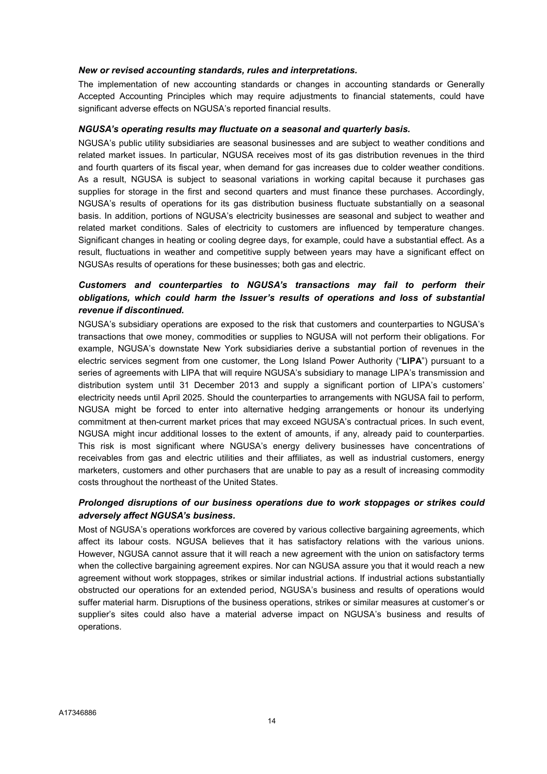#### New or revised accounting standards, rules and interpretations.

The implementation of new accounting standards or changes in accounting standards or Generally Accepted Accounting Principles which may require adjustments to financial statements, could have significant adverse effects on NGUSA's reported financial results.

#### NGUSA's operating results may fluctuate on a seasonal and quarterly basis.

NGUSA's public utility subsidiaries are seasonal businesses and are subject to weather conditions and related market issues. In particular, NGUSA receives most of its gas distribution revenues in the third and fourth quarters of its fiscal year, when demand for gas increases due to colder weather conditions. As a result, NGUSA is subject to seasonal variations in working capital because it purchases gas supplies for storage in the first and second quarters and must finance these purchases. Accordingly, NGUSA's results of operations for its gas distribution business fluctuate substantially on a seasonal basis. In addition, portions of NGUSA's electricity businesses are seasonal and subject to weather and related market conditions. Sales of electricity to customers are influenced by temperature changes. Significant changes in heating or cooling degree days, for example, could have a substantial effect. As a result, fluctuations in weather and competitive supply between years may have a significant effect on NGUSAs results of operations for these businesses; both gas and electric.

# Customers and counterparties to NGUSA's transactions may fail to perform their obligations, which could harm the Issuer's results of operations and loss of substantial revenue if discontinued.

NGUSA's subsidiary operations are exposed to the risk that customers and counterparties to NGUSA's transactions that owe money, commodities or supplies to NGUSA will not perform their obligations. For example, NGUSA's downstate New York subsidiaries derive a substantial portion of revenues in the electric services segment from one customer, the Long Island Power Authority ("LIPA") pursuant to a series of agreements with LIPA that will require NGUSA's subsidiary to manage LIPA's transmission and distribution system until 31 December 2013 and supply a significant portion of LIPA's customers' electricity needs until April 2025. Should the counterparties to arrangements with NGUSA fail to perform, NGUSA might be forced to enter into alternative hedging arrangements or honour its underlying commitment at then-current market prices that may exceed NGUSA's contractual prices. In such event, NGUSA might incur additional losses to the extent of amounts, if any, already paid to counterparties. This risk is most significant where NGUSA's energy delivery businesses have concentrations of receivables from gas and electric utilities and their affiliates, as well as industrial customers, energy marketers, customers and other purchasers that are unable to pay as a result of increasing commodity costs throughout the northeast of the United States.

# Prolonged disruptions of our business operations due to work stoppages or strikes could adversely affect NGUSA's business.

Most of NGUSA's operations workforces are covered by various collective bargaining agreements, which affect its labour costs. NGUSA believes that it has satisfactory relations with the various unions. However, NGUSA cannot assure that it will reach a new agreement with the union on satisfactory terms when the collective bargaining agreement expires. Nor can NGUSA assure you that it would reach a new agreement without work stoppages, strikes or similar industrial actions. If industrial actions substantially obstructed our operations for an extended period, NGUSA's business and results of operations would suffer material harm. Disruptions of the business operations, strikes or similar measures at customer's or supplier's sites could also have a material adverse impact on NGUSA's business and results of operations.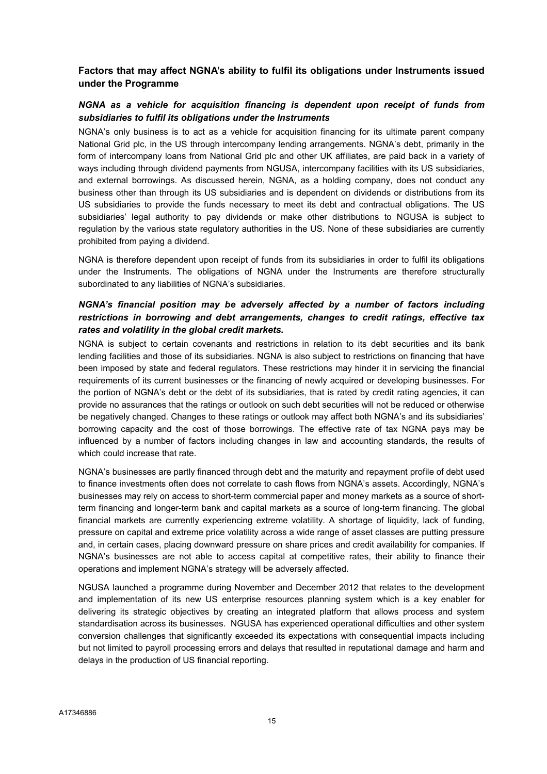# Factors that may affect NGNA's ability to fulfil its obligations under Instruments issued under the Programme

# NGNA as a vehicle for acquisition financing is dependent upon receipt of funds from subsidiaries to fulfil its obligations under the Instruments

NGNA's only business is to act as a vehicle for acquisition financing for its ultimate parent company National Grid plc, in the US through intercompany lending arrangements. NGNA's debt, primarily in the form of intercompany loans from National Grid plc and other UK affiliates, are paid back in a variety of ways including through dividend payments from NGUSA, intercompany facilities with its US subsidiaries, and external borrowings. As discussed herein, NGNA, as a holding company, does not conduct any business other than through its US subsidiaries and is dependent on dividends or distributions from its US subsidiaries to provide the funds necessary to meet its debt and contractual obligations. The US subsidiaries' legal authority to pay dividends or make other distributions to NGUSA is subject to regulation by the various state regulatory authorities in the US. None of these subsidiaries are currently prohibited from paying a dividend.

NGNA is therefore dependent upon receipt of funds from its subsidiaries in order to fulfil its obligations under the Instruments. The obligations of NGNA under the Instruments are therefore structurally subordinated to any liabilities of NGNA's subsidiaries.

# NGNA's financial position may be adversely affected by a number of factors including restrictions in borrowing and debt arrangements, changes to credit ratings, effective tax rates and volatility in the global credit markets.

NGNA is subject to certain covenants and restrictions in relation to its debt securities and its bank lending facilities and those of its subsidiaries. NGNA is also subject to restrictions on financing that have been imposed by state and federal regulators. These restrictions may hinder it in servicing the financial requirements of its current businesses or the financing of newly acquired or developing businesses. For the portion of NGNA's debt or the debt of its subsidiaries, that is rated by credit rating agencies, it can provide no assurances that the ratings or outlook on such debt securities will not be reduced or otherwise be negatively changed. Changes to these ratings or outlook may affect both NGNA's and its subsidiaries' borrowing capacity and the cost of those borrowings. The effective rate of tax NGNA pays may be influenced by a number of factors including changes in law and accounting standards, the results of which could increase that rate.

NGNA's businesses are partly financed through debt and the maturity and repayment profile of debt used to finance investments often does not correlate to cash flows from NGNA's assets. Accordingly, NGNA's businesses may rely on access to short-term commercial paper and money markets as a source of shortterm financing and longer-term bank and capital markets as a source of long-term financing. The global financial markets are currently experiencing extreme volatility. A shortage of liquidity, lack of funding, pressure on capital and extreme price volatility across a wide range of asset classes are putting pressure and, in certain cases, placing downward pressure on share prices and credit availability for companies. If NGNA's businesses are not able to access capital at competitive rates, their ability to finance their operations and implement NGNA's strategy will be adversely affected.

NGUSA launched a programme during November and December 2012 that relates to the development and implementation of its new US enterprise resources planning system which is a key enabler for delivering its strategic objectives by creating an integrated platform that allows process and system standardisation across its businesses. NGUSA has experienced operational difficulties and other system conversion challenges that significantly exceeded its expectations with consequential impacts including but not limited to payroll processing errors and delays that resulted in reputational damage and harm and delays in the production of US financial reporting.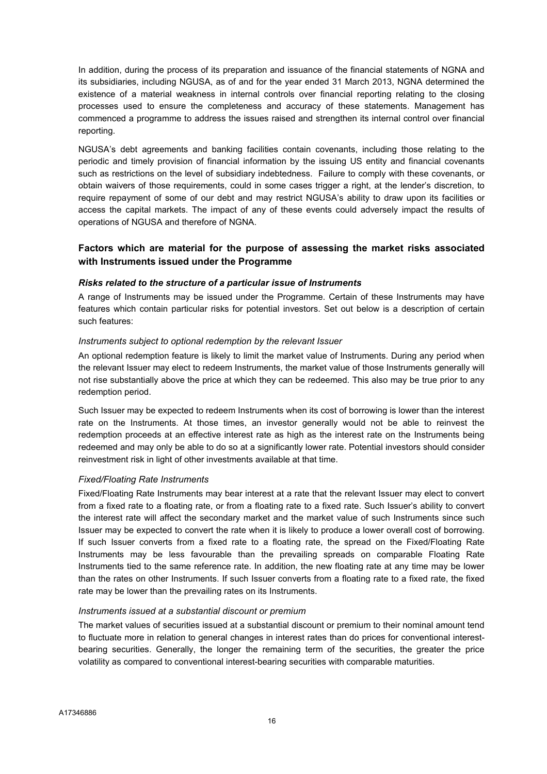In addition, during the process of its preparation and issuance of the financial statements of NGNA and its subsidiaries, including NGUSA, as of and for the year ended 31 March 2013, NGNA determined the existence of a material weakness in internal controls over financial reporting relating to the closing processes used to ensure the completeness and accuracy of these statements. Management has commenced a programme to address the issues raised and strengthen its internal control over financial reporting.

NGUSA's debt agreements and banking facilities contain covenants, including those relating to the periodic and timely provision of financial information by the issuing US entity and financial covenants such as restrictions on the level of subsidiary indebtedness. Failure to comply with these covenants, or obtain waivers of those requirements, could in some cases trigger a right, at the lender's discretion, to require repayment of some of our debt and may restrict NGUSA's ability to draw upon its facilities or access the capital markets. The impact of any of these events could adversely impact the results of operations of NGUSA and therefore of NGNA.

# Factors which are material for the purpose of assessing the market risks associated with Instruments issued under the Programme

#### Risks related to the structure of a particular issue of Instruments

A range of Instruments may be issued under the Programme. Certain of these Instruments may have features which contain particular risks for potential investors. Set out below is a description of certain such features:

#### Instruments subject to optional redemption by the relevant Issuer

An optional redemption feature is likely to limit the market value of Instruments. During any period when the relevant Issuer may elect to redeem Instruments, the market value of those Instruments generally will not rise substantially above the price at which they can be redeemed. This also may be true prior to any redemption period.

Such Issuer may be expected to redeem Instruments when its cost of borrowing is lower than the interest rate on the Instruments. At those times, an investor generally would not be able to reinvest the redemption proceeds at an effective interest rate as high as the interest rate on the Instruments being redeemed and may only be able to do so at a significantly lower rate. Potential investors should consider reinvestment risk in light of other investments available at that time.

#### Fixed/Floating Rate Instruments

Fixed/Floating Rate Instruments may bear interest at a rate that the relevant Issuer may elect to convert from a fixed rate to a floating rate, or from a floating rate to a fixed rate. Such Issuer's ability to convert the interest rate will affect the secondary market and the market value of such Instruments since such Issuer may be expected to convert the rate when it is likely to produce a lower overall cost of borrowing. If such Issuer converts from a fixed rate to a floating rate, the spread on the Fixed/Floating Rate Instruments may be less favourable than the prevailing spreads on comparable Floating Rate Instruments tied to the same reference rate. In addition, the new floating rate at any time may be lower than the rates on other Instruments. If such Issuer converts from a floating rate to a fixed rate, the fixed rate may be lower than the prevailing rates on its Instruments.

#### Instruments issued at a substantial discount or premium

The market values of securities issued at a substantial discount or premium to their nominal amount tend to fluctuate more in relation to general changes in interest rates than do prices for conventional interestbearing securities. Generally, the longer the remaining term of the securities, the greater the price volatility as compared to conventional interest-bearing securities with comparable maturities.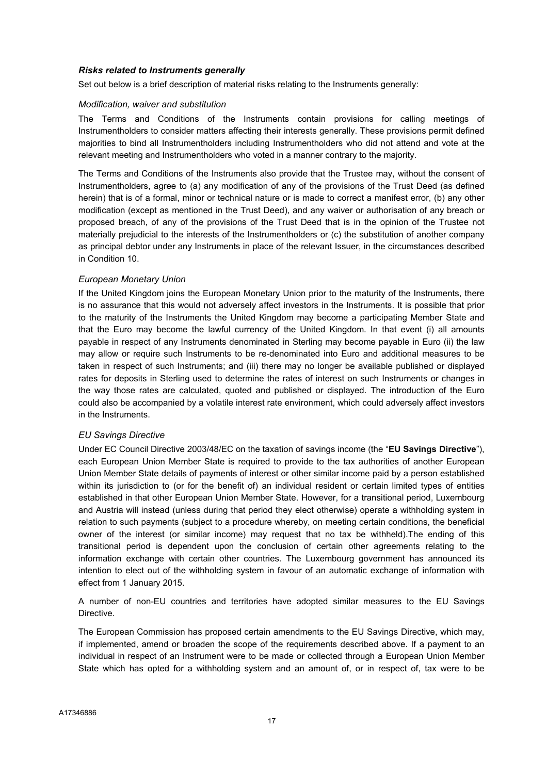#### Risks related to Instruments generally

Set out below is a brief description of material risks relating to the Instruments generally:

#### Modification, waiver and substitution

The Terms and Conditions of the Instruments contain provisions for calling meetings of Instrumentholders to consider matters affecting their interests generally. These provisions permit defined majorities to bind all Instrumentholders including Instrumentholders who did not attend and vote at the relevant meeting and Instrumentholders who voted in a manner contrary to the majority.

The Terms and Conditions of the Instruments also provide that the Trustee may, without the consent of Instrumentholders, agree to (a) any modification of any of the provisions of the Trust Deed (as defined herein) that is of a formal, minor or technical nature or is made to correct a manifest error, (b) any other modification (except as mentioned in the Trust Deed), and any waiver or authorisation of any breach or proposed breach, of any of the provisions of the Trust Deed that is in the opinion of the Trustee not materially prejudicial to the interests of the Instrumentholders or (c) the substitution of another company as principal debtor under any Instruments in place of the relevant Issuer, in the circumstances described in Condition 10.

#### European Monetary Union

If the United Kingdom joins the European Monetary Union prior to the maturity of the Instruments, there is no assurance that this would not adversely affect investors in the Instruments. It is possible that prior to the maturity of the Instruments the United Kingdom may become a participating Member State and that the Euro may become the lawful currency of the United Kingdom. In that event (i) all amounts payable in respect of any Instruments denominated in Sterling may become payable in Euro (ii) the law may allow or require such Instruments to be re-denominated into Euro and additional measures to be taken in respect of such Instruments; and (iii) there may no longer be available published or displayed rates for deposits in Sterling used to determine the rates of interest on such Instruments or changes in the way those rates are calculated, quoted and published or displayed. The introduction of the Euro could also be accompanied by a volatile interest rate environment, which could adversely affect investors in the Instruments.

#### EU Savings Directive

Under EC Council Directive 2003/48/EC on the taxation of savings income (the "EU Savings Directive"). each European Union Member State is required to provide to the tax authorities of another European Union Member State details of payments of interest or other similar income paid by a person established within its jurisdiction to (or for the benefit of) an individual resident or certain limited types of entities established in that other European Union Member State. However, for a transitional period, Luxembourg and Austria will instead (unless during that period they elect otherwise) operate a withholding system in relation to such payments (subject to a procedure whereby, on meeting certain conditions, the beneficial owner of the interest (or similar income) may request that no tax be withheld).The ending of this transitional period is dependent upon the conclusion of certain other agreements relating to the information exchange with certain other countries. The Luxembourg government has announced its intention to elect out of the withholding system in favour of an automatic exchange of information with effect from 1 January 2015.

A number of non-EU countries and territories have adopted similar measures to the EU Savings Directive.

The European Commission has proposed certain amendments to the EU Savings Directive, which may, if implemented, amend or broaden the scope of the requirements described above. If a payment to an individual in respect of an Instrument were to be made or collected through a European Union Member State which has opted for a withholding system and an amount of, or in respect of, tax were to be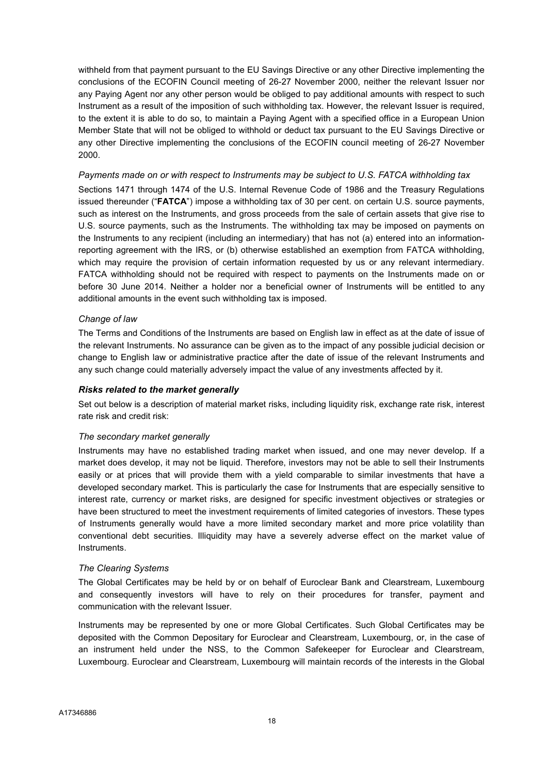withheld from that payment pursuant to the EU Savings Directive or any other Directive implementing the conclusions of the ECOFIN Council meeting of 26-27 November 2000, neither the relevant Issuer nor any Paying Agent nor any other person would be obliged to pay additional amounts with respect to such Instrument as a result of the imposition of such withholding tax. However, the relevant Issuer is required, to the extent it is able to do so, to maintain a Paying Agent with a specified office in a European Union Member State that will not be obliged to withhold or deduct tax pursuant to the EU Savings Directive or any other Directive implementing the conclusions of the ECOFIN council meeting of 26-27 November 2000.

#### Payments made on or with respect to Instruments may be subject to U.S. FATCA withholding tax

Sections 1471 through 1474 of the U.S. Internal Revenue Code of 1986 and the Treasury Regulations issued thereunder ("FATCA") impose a withholding tax of 30 per cent. on certain U.S. source payments, such as interest on the Instruments, and gross proceeds from the sale of certain assets that give rise to U.S. source payments, such as the Instruments. The withholding tax may be imposed on payments on the Instruments to any recipient (including an intermediary) that has not (a) entered into an informationreporting agreement with the IRS, or (b) otherwise established an exemption from FATCA withholding, which may require the provision of certain information requested by us or any relevant intermediary. FATCA withholding should not be required with respect to payments on the Instruments made on or before 30 June 2014. Neither a holder nor a beneficial owner of Instruments will be entitled to any additional amounts in the event such withholding tax is imposed.

#### Change of law

The Terms and Conditions of the Instruments are based on English law in effect as at the date of issue of the relevant Instruments. No assurance can be given as to the impact of any possible judicial decision or change to English law or administrative practice after the date of issue of the relevant Instruments and any such change could materially adversely impact the value of any investments affected by it.

#### Risks related to the market generally

Set out below is a description of material market risks, including liquidity risk, exchange rate risk, interest rate risk and credit risk:

#### The secondary market generally

Instruments may have no established trading market when issued, and one may never develop. If a market does develop, it may not be liquid. Therefore, investors may not be able to sell their Instruments easily or at prices that will provide them with a yield comparable to similar investments that have a developed secondary market. This is particularly the case for Instruments that are especially sensitive to interest rate, currency or market risks, are designed for specific investment objectives or strategies or have been structured to meet the investment requirements of limited categories of investors. These types of Instruments generally would have a more limited secondary market and more price volatility than conventional debt securities. Illiquidity may have a severely adverse effect on the market value of Instruments.

#### The Clearing Systems

The Global Certificates may be held by or on behalf of Euroclear Bank and Clearstream, Luxembourg and consequently investors will have to rely on their procedures for transfer, payment and communication with the relevant Issuer.

Instruments may be represented by one or more Global Certificates. Such Global Certificates may be deposited with the Common Depositary for Euroclear and Clearstream, Luxembourg, or, in the case of an instrument held under the NSS, to the Common Safekeeper for Euroclear and Clearstream, Luxembourg. Euroclear and Clearstream, Luxembourg will maintain records of the interests in the Global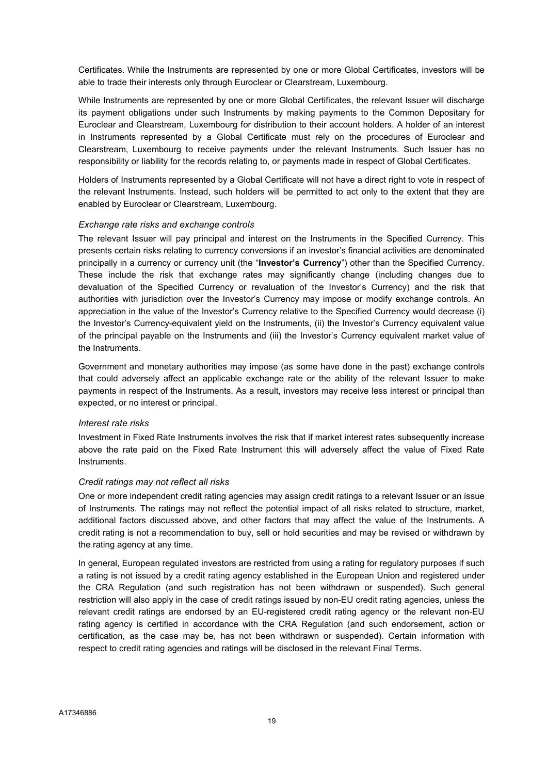Certificates. While the Instruments are represented by one or more Global Certificates, investors will be able to trade their interests only through Euroclear or Clearstream, Luxembourg.

While Instruments are represented by one or more Global Certificates, the relevant Issuer will discharge its payment obligations under such Instruments by making payments to the Common Depositary for Euroclear and Clearstream, Luxembourg for distribution to their account holders. A holder of an interest in Instruments represented by a Global Certificate must rely on the procedures of Euroclear and Clearstream, Luxembourg to receive payments under the relevant Instruments. Such Issuer has no responsibility or liability for the records relating to, or payments made in respect of Global Certificates.

Holders of Instruments represented by a Global Certificate will not have a direct right to vote in respect of the relevant Instruments. Instead, such holders will be permitted to act only to the extent that they are enabled by Euroclear or Clearstream, Luxembourg.

#### Exchange rate risks and exchange controls

The relevant Issuer will pay principal and interest on the Instruments in the Specified Currency. This presents certain risks relating to currency conversions if an investor's financial activities are denominated principally in a currency or currency unit (the "**Investor's Currency**") other than the Specified Currency. These include the risk that exchange rates may significantly change (including changes due to devaluation of the Specified Currency or revaluation of the Investor's Currency) and the risk that authorities with jurisdiction over the Investor's Currency may impose or modify exchange controls. An appreciation in the value of the Investor's Currency relative to the Specified Currency would decrease (i) the Investor's Currency-equivalent yield on the Instruments, (ii) the Investor's Currency equivalent value of the principal payable on the Instruments and (iii) the Investor's Currency equivalent market value of the Instruments.

Government and monetary authorities may impose (as some have done in the past) exchange controls that could adversely affect an applicable exchange rate or the ability of the relevant Issuer to make payments in respect of the Instruments. As a result, investors may receive less interest or principal than expected, or no interest or principal.

#### Interest rate risks

Investment in Fixed Rate Instruments involves the risk that if market interest rates subsequently increase above the rate paid on the Fixed Rate Instrument this will adversely affect the value of Fixed Rate Instruments.

#### Credit ratings may not reflect all risks

One or more independent credit rating agencies may assign credit ratings to a relevant Issuer or an issue of Instruments. The ratings may not reflect the potential impact of all risks related to structure, market, additional factors discussed above, and other factors that may affect the value of the Instruments. A credit rating is not a recommendation to buy, sell or hold securities and may be revised or withdrawn by the rating agency at any time.

In general, European regulated investors are restricted from using a rating for regulatory purposes if such a rating is not issued by a credit rating agency established in the European Union and registered under the CRA Regulation (and such registration has not been withdrawn or suspended). Such general restriction will also apply in the case of credit ratings issued by non-EU credit rating agencies, unless the relevant credit ratings are endorsed by an EU-registered credit rating agency or the relevant non-EU rating agency is certified in accordance with the CRA Regulation (and such endorsement, action or certification, as the case may be, has not been withdrawn or suspended). Certain information with respect to credit rating agencies and ratings will be disclosed in the relevant Final Terms.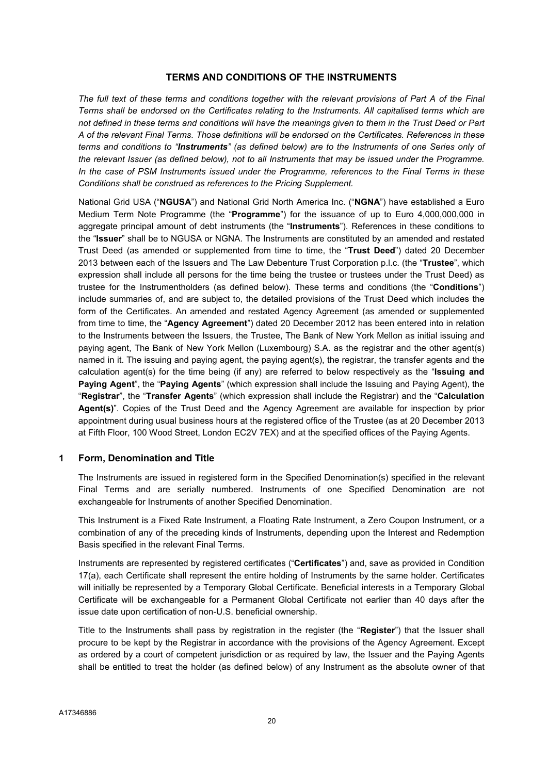#### TERMS AND CONDITIONS OF THE INSTRUMENTS

The full text of these terms and conditions together with the relevant provisions of Part A of the Final Terms shall be endorsed on the Certificates relating to the Instruments. All capitalised terms which are not defined in these terms and conditions will have the meanings given to them in the Trust Deed or Part A of the relevant Final Terms. Those definitions will be endorsed on the Certificates. References in these terms and conditions to "Instruments" (as defined below) are to the Instruments of one Series only of the relevant Issuer (as defined below), not to all Instruments that may be issued under the Programme. In the case of PSM Instruments issued under the Programme, references to the Final Terms in these Conditions shall be construed as references to the Pricing Supplement.

National Grid USA ("NGUSA") and National Grid North America Inc. ("NGNA") have established a Euro Medium Term Note Programme (the "Programme") for the issuance of up to Euro 4,000,000,000 in aggregate principal amount of debt instruments (the "Instruments"). References in these conditions to the "Issuer" shall be to NGUSA or NGNA. The Instruments are constituted by an amended and restated Trust Deed (as amended or supplemented from time to time, the "Trust Deed") dated 20 December 2013 between each of the Issuers and The Law Debenture Trust Corporation p.l.c. (the "Trustee", which expression shall include all persons for the time being the trustee or trustees under the Trust Deed) as trustee for the Instrumentholders (as defined below). These terms and conditions (the "Conditions") include summaries of, and are subject to, the detailed provisions of the Trust Deed which includes the form of the Certificates. An amended and restated Agency Agreement (as amended or supplemented from time to time, the "Agency Agreement") dated 20 December 2012 has been entered into in relation to the Instruments between the Issuers, the Trustee, The Bank of New York Mellon as initial issuing and paying agent, The Bank of New York Mellon (Luxembourg) S.A. as the registrar and the other agent(s) named in it. The issuing and paying agent, the paying agent(s), the registrar, the transfer agents and the calculation agent(s) for the time being (if any) are referred to below respectively as the "Issuing and Paying Agent", the "Paying Agents" (which expression shall include the Issuing and Paying Agent), the "Registrar", the "Transfer Agents" (which expression shall include the Registrar) and the "Calculation Agent(s)". Copies of the Trust Deed and the Agency Agreement are available for inspection by prior appointment during usual business hours at the registered office of the Trustee (as at 20 December 2013 at Fifth Floor, 100 Wood Street, London EC2V 7EX) and at the specified offices of the Paying Agents.

#### 1 Form, Denomination and Title

The Instruments are issued in registered form in the Specified Denomination(s) specified in the relevant Final Terms and are serially numbered. Instruments of one Specified Denomination are not exchangeable for Instruments of another Specified Denomination.

This Instrument is a Fixed Rate Instrument, a Floating Rate Instrument, a Zero Coupon Instrument, or a combination of any of the preceding kinds of Instruments, depending upon the Interest and Redemption Basis specified in the relevant Final Terms.

Instruments are represented by registered certificates ("Certificates") and, save as provided in Condition 17(a), each Certificate shall represent the entire holding of Instruments by the same holder. Certificates will initially be represented by a Temporary Global Certificate. Beneficial interests in a Temporary Global Certificate will be exchangeable for a Permanent Global Certificate not earlier than 40 days after the issue date upon certification of non-U.S. beneficial ownership.

Title to the Instruments shall pass by registration in the register (the "Register") that the Issuer shall procure to be kept by the Registrar in accordance with the provisions of the Agency Agreement. Except as ordered by a court of competent jurisdiction or as required by law, the Issuer and the Paying Agents shall be entitled to treat the holder (as defined below) of any Instrument as the absolute owner of that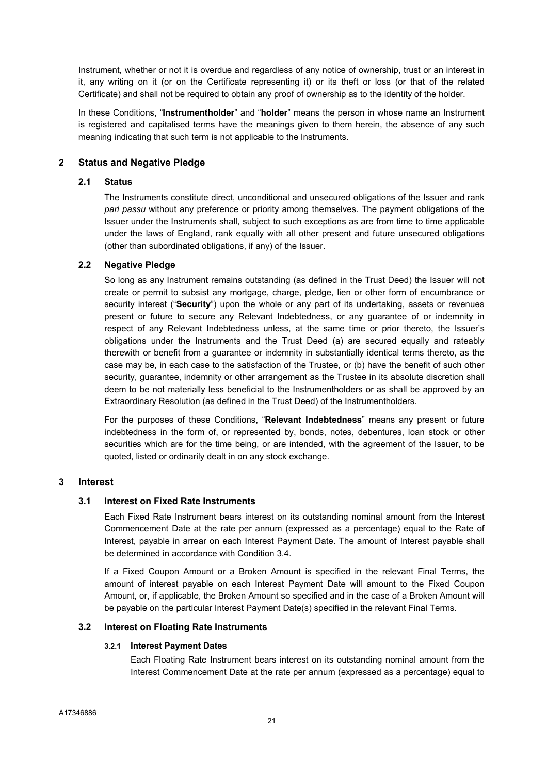Instrument, whether or not it is overdue and regardless of any notice of ownership, trust or an interest in it, any writing on it (or on the Certificate representing it) or its theft or loss (or that of the related Certificate) and shall not be required to obtain any proof of ownership as to the identity of the holder.

In these Conditions, "Instrumentholder" and "holder" means the person in whose name an Instrument is registered and capitalised terms have the meanings given to them herein, the absence of any such meaning indicating that such term is not applicable to the Instruments.

#### 2 Status and Negative Pledge

#### 2.1 Status

The Instruments constitute direct, unconditional and unsecured obligations of the Issuer and rank pari passu without any preference or priority among themselves. The payment obligations of the Issuer under the Instruments shall, subject to such exceptions as are from time to time applicable under the laws of England, rank equally with all other present and future unsecured obligations (other than subordinated obligations, if any) of the Issuer.

# 2.2 Negative Pledge

So long as any Instrument remains outstanding (as defined in the Trust Deed) the Issuer will not create or permit to subsist any mortgage, charge, pledge, lien or other form of encumbrance or security interest ("Security") upon the whole or any part of its undertaking, assets or revenues present or future to secure any Relevant Indebtedness, or any guarantee of or indemnity in respect of any Relevant Indebtedness unless, at the same time or prior thereto, the Issuer's obligations under the Instruments and the Trust Deed (a) are secured equally and rateably therewith or benefit from a guarantee or indemnity in substantially identical terms thereto, as the case may be, in each case to the satisfaction of the Trustee, or (b) have the benefit of such other security, guarantee, indemnity or other arrangement as the Trustee in its absolute discretion shall deem to be not materially less beneficial to the Instrumentholders or as shall be approved by an Extraordinary Resolution (as defined in the Trust Deed) of the Instrumentholders.

For the purposes of these Conditions, "Relevant Indebtedness" means any present or future indebtedness in the form of, or represented by, bonds, notes, debentures, loan stock or other securities which are for the time being, or are intended, with the agreement of the Issuer, to be quoted, listed or ordinarily dealt in on any stock exchange.

# 3 Interest

#### 3.1 Interest on Fixed Rate Instruments

Each Fixed Rate Instrument bears interest on its outstanding nominal amount from the Interest Commencement Date at the rate per annum (expressed as a percentage) equal to the Rate of Interest, payable in arrear on each Interest Payment Date. The amount of Interest payable shall be determined in accordance with Condition 3.4.

If a Fixed Coupon Amount or a Broken Amount is specified in the relevant Final Terms, the amount of interest payable on each Interest Payment Date will amount to the Fixed Coupon Amount, or, if applicable, the Broken Amount so specified and in the case of a Broken Amount will be payable on the particular Interest Payment Date(s) specified in the relevant Final Terms.

#### 3.2 Interest on Floating Rate Instruments

#### 3.2.1 Interest Payment Dates

Each Floating Rate Instrument bears interest on its outstanding nominal amount from the Interest Commencement Date at the rate per annum (expressed as a percentage) equal to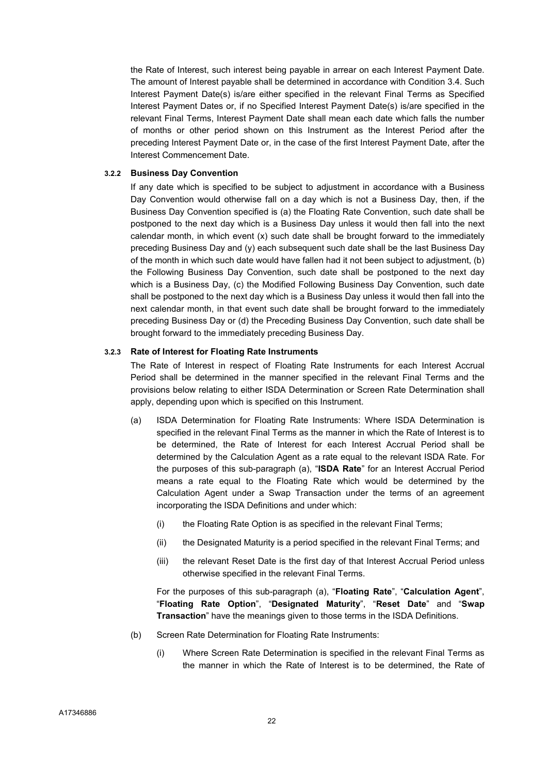the Rate of Interest, such interest being payable in arrear on each Interest Payment Date. The amount of Interest payable shall be determined in accordance with Condition 3.4. Such Interest Payment Date(s) is/are either specified in the relevant Final Terms as Specified Interest Payment Dates or, if no Specified Interest Payment Date(s) is/are specified in the relevant Final Terms, Interest Payment Date shall mean each date which falls the number of months or other period shown on this Instrument as the Interest Period after the preceding Interest Payment Date or, in the case of the first Interest Payment Date, after the Interest Commencement Date.

#### 3.2.2 Business Day Convention

If any date which is specified to be subject to adjustment in accordance with a Business Day Convention would otherwise fall on a day which is not a Business Day, then, if the Business Day Convention specified is (a) the Floating Rate Convention, such date shall be postponed to the next day which is a Business Day unless it would then fall into the next calendar month, in which event  $(x)$  such date shall be brought forward to the immediately preceding Business Day and (y) each subsequent such date shall be the last Business Day of the month in which such date would have fallen had it not been subject to adjustment, (b) the Following Business Day Convention, such date shall be postponed to the next day which is a Business Day, (c) the Modified Following Business Day Convention, such date shall be postponed to the next day which is a Business Day unless it would then fall into the next calendar month, in that event such date shall be brought forward to the immediately preceding Business Day or (d) the Preceding Business Day Convention, such date shall be brought forward to the immediately preceding Business Day.

#### 3.2.3 Rate of Interest for Floating Rate Instruments

The Rate of Interest in respect of Floating Rate Instruments for each Interest Accrual Period shall be determined in the manner specified in the relevant Final Terms and the provisions below relating to either ISDA Determination or Screen Rate Determination shall apply, depending upon which is specified on this Instrument.

- (a) ISDA Determination for Floating Rate Instruments: Where ISDA Determination is specified in the relevant Final Terms as the manner in which the Rate of Interest is to be determined, the Rate of Interest for each Interest Accrual Period shall be determined by the Calculation Agent as a rate equal to the relevant ISDA Rate. For the purposes of this sub-paragraph (a), "ISDA Rate" for an Interest Accrual Period means a rate equal to the Floating Rate which would be determined by the Calculation Agent under a Swap Transaction under the terms of an agreement incorporating the ISDA Definitions and under which:
	- (i) the Floating Rate Option is as specified in the relevant Final Terms;
	- (ii) the Designated Maturity is a period specified in the relevant Final Terms; and
	- (iii) the relevant Reset Date is the first day of that Interest Accrual Period unless otherwise specified in the relevant Final Terms.

For the purposes of this sub-paragraph (a), "Floating Rate", "Calculation Agent", "Floating Rate Option", "Designated Maturity", "Reset Date" and "Swap Transaction" have the meanings given to those terms in the ISDA Definitions.

- (b) Screen Rate Determination for Floating Rate Instruments:
	- (i) Where Screen Rate Determination is specified in the relevant Final Terms as the manner in which the Rate of Interest is to be determined, the Rate of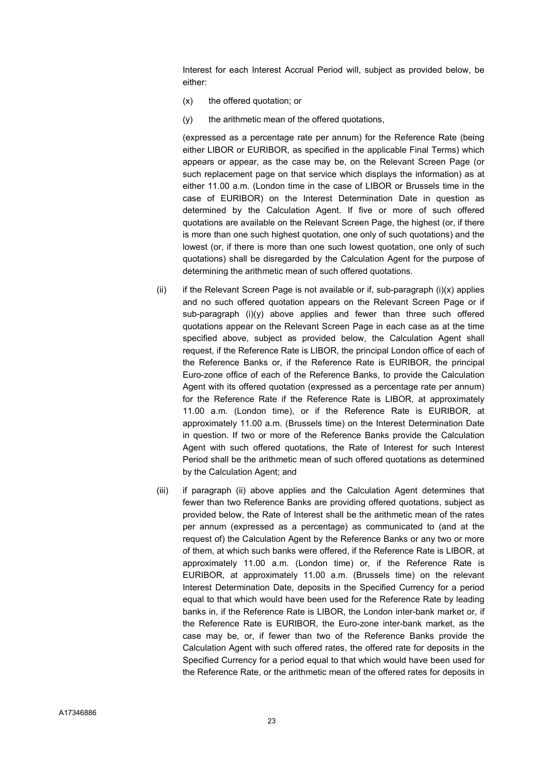Interest for each Interest Accrual Period will, subject as provided below, be either:

- (x) the offered quotation; or
- (y) the arithmetic mean of the offered quotations,

(expressed as a percentage rate per annum) for the Reference Rate (being either LIBOR or EURIBOR, as specified in the applicable Final Terms) which appears or appear, as the case may be, on the Relevant Screen Page (or such replacement page on that service which displays the information) as at either 11.00 a.m. (London time in the case of LIBOR or Brussels time in the case of EURIBOR) on the Interest Determination Date in question as determined by the Calculation Agent. If five or more of such offered quotations are available on the Relevant Screen Page, the highest (or, if there is more than one such highest quotation, one only of such quotations) and the lowest (or, if there is more than one such lowest quotation, one only of such quotations) shall be disregarded by the Calculation Agent for the purpose of determining the arithmetic mean of such offered quotations.

- (ii) if the Relevant Screen Page is not available or if, sub-paragraph (i) $(x)$  applies and no such offered quotation appears on the Relevant Screen Page or if sub-paragraph  $(i)(y)$  above applies and fewer than three such offered quotations appear on the Relevant Screen Page in each case as at the time specified above, subject as provided below, the Calculation Agent shall request, if the Reference Rate is LIBOR, the principal London office of each of the Reference Banks or, if the Reference Rate is EURIBOR, the principal Euro-zone office of each of the Reference Banks, to provide the Calculation Agent with its offered quotation (expressed as a percentage rate per annum) for the Reference Rate if the Reference Rate is LIBOR, at approximately 11.00 a.m. (London time), or if the Reference Rate is EURIBOR, at approximately 11.00 a.m. (Brussels time) on the Interest Determination Date in question. If two or more of the Reference Banks provide the Calculation Agent with such offered quotations, the Rate of Interest for such Interest Period shall be the arithmetic mean of such offered quotations as determined by the Calculation Agent; and
- (iii) if paragraph (ii) above applies and the Calculation Agent determines that fewer than two Reference Banks are providing offered quotations, subject as provided below, the Rate of Interest shall be the arithmetic mean of the rates per annum (expressed as a percentage) as communicated to (and at the request of) the Calculation Agent by the Reference Banks or any two or more of them, at which such banks were offered, if the Reference Rate is LIBOR, at approximately 11.00 a.m. (London time) or, if the Reference Rate is EURIBOR, at approximately 11.00 a.m. (Brussels time) on the relevant Interest Determination Date, deposits in the Specified Currency for a period equal to that which would have been used for the Reference Rate by leading banks in, if the Reference Rate is LIBOR, the London inter-bank market or, if the Reference Rate is EURIBOR, the Euro-zone inter-bank market, as the case may be, or, if fewer than two of the Reference Banks provide the Calculation Agent with such offered rates, the offered rate for deposits in the Specified Currency for a period equal to that which would have been used for the Reference Rate, or the arithmetic mean of the offered rates for deposits in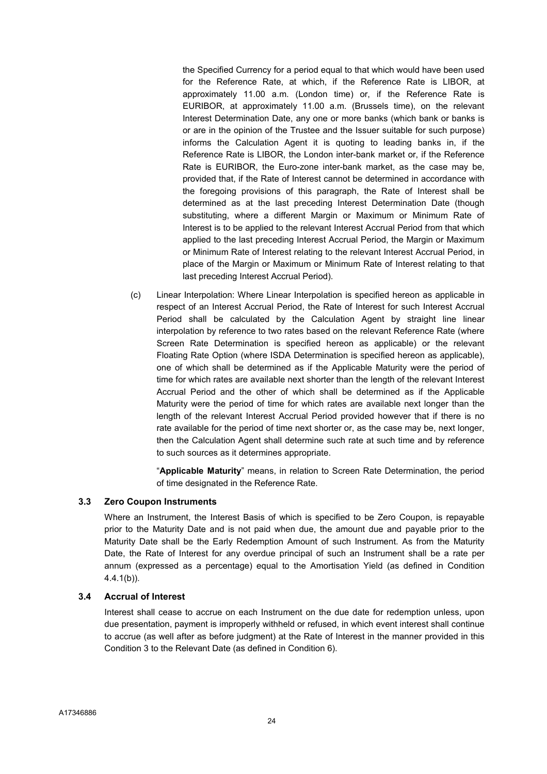the Specified Currency for a period equal to that which would have been used for the Reference Rate, at which, if the Reference Rate is LIBOR, at approximately 11.00 a.m. (London time) or, if the Reference Rate is EURIBOR, at approximately 11.00 a.m. (Brussels time), on the relevant Interest Determination Date, any one or more banks (which bank or banks is or are in the opinion of the Trustee and the Issuer suitable for such purpose) informs the Calculation Agent it is quoting to leading banks in, if the Reference Rate is LIBOR, the London inter-bank market or, if the Reference Rate is EURIBOR, the Euro-zone inter-bank market, as the case may be, provided that, if the Rate of Interest cannot be determined in accordance with the foregoing provisions of this paragraph, the Rate of Interest shall be determined as at the last preceding Interest Determination Date (though substituting, where a different Margin or Maximum or Minimum Rate of Interest is to be applied to the relevant Interest Accrual Period from that which applied to the last preceding Interest Accrual Period, the Margin or Maximum or Minimum Rate of Interest relating to the relevant Interest Accrual Period, in place of the Margin or Maximum or Minimum Rate of Interest relating to that last preceding Interest Accrual Period).

(c) Linear Interpolation: Where Linear Interpolation is specified hereon as applicable in respect of an Interest Accrual Period, the Rate of Interest for such Interest Accrual Period shall be calculated by the Calculation Agent by straight line linear interpolation by reference to two rates based on the relevant Reference Rate (where Screen Rate Determination is specified hereon as applicable) or the relevant Floating Rate Option (where ISDA Determination is specified hereon as applicable), one of which shall be determined as if the Applicable Maturity were the period of time for which rates are available next shorter than the length of the relevant Interest Accrual Period and the other of which shall be determined as if the Applicable Maturity were the period of time for which rates are available next longer than the length of the relevant Interest Accrual Period provided however that if there is no rate available for the period of time next shorter or, as the case may be, next longer, then the Calculation Agent shall determine such rate at such time and by reference to such sources as it determines appropriate.

"Applicable Maturity" means, in relation to Screen Rate Determination, the period of time designated in the Reference Rate.

#### 3.3 Zero Coupon Instruments

Where an Instrument, the Interest Basis of which is specified to be Zero Coupon, is repayable prior to the Maturity Date and is not paid when due, the amount due and payable prior to the Maturity Date shall be the Early Redemption Amount of such Instrument. As from the Maturity Date, the Rate of Interest for any overdue principal of such an Instrument shall be a rate per annum (expressed as a percentage) equal to the Amortisation Yield (as defined in Condition 4.4.1(b)).

#### 3.4 Accrual of Interest

Interest shall cease to accrue on each Instrument on the due date for redemption unless, upon due presentation, payment is improperly withheld or refused, in which event interest shall continue to accrue (as well after as before judgment) at the Rate of Interest in the manner provided in this Condition 3 to the Relevant Date (as defined in Condition 6).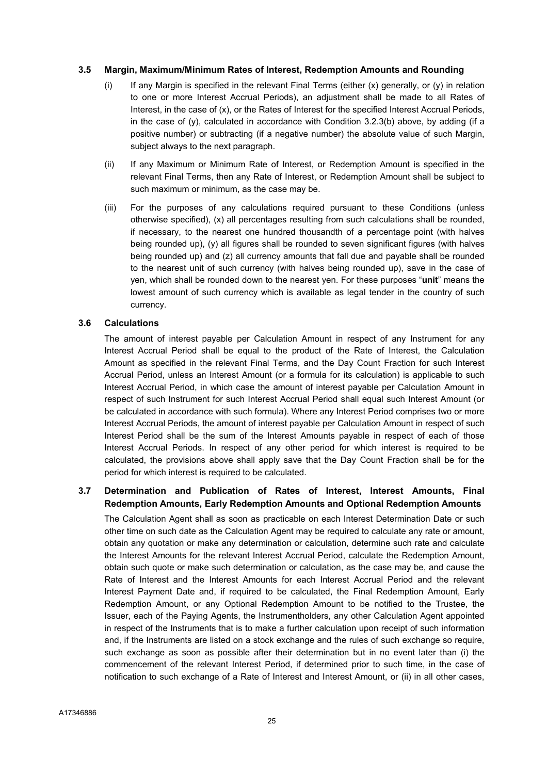#### 3.5 Margin, Maximum/Minimum Rates of Interest, Redemption Amounts and Rounding

- (i) If any Margin is specified in the relevant Final Terms (either  $(x)$  generally, or  $(y)$  in relation to one or more Interest Accrual Periods), an adjustment shall be made to all Rates of Interest, in the case of (x), or the Rates of Interest for the specified Interest Accrual Periods, in the case of  $(y)$ , calculated in accordance with Condition 3.2.3(b) above, by adding (if a positive number) or subtracting (if a negative number) the absolute value of such Margin, subject always to the next paragraph.
- (ii) If any Maximum or Minimum Rate of Interest, or Redemption Amount is specified in the relevant Final Terms, then any Rate of Interest, or Redemption Amount shall be subject to such maximum or minimum, as the case may be.
- (iii) For the purposes of any calculations required pursuant to these Conditions (unless otherwise specified), (x) all percentages resulting from such calculations shall be rounded, if necessary, to the nearest one hundred thousandth of a percentage point (with halves being rounded up), (y) all figures shall be rounded to seven significant figures (with halves being rounded up) and (z) all currency amounts that fall due and payable shall be rounded to the nearest unit of such currency (with halves being rounded up), save in the case of yen, which shall be rounded down to the nearest yen. For these purposes "unit" means the lowest amount of such currency which is available as legal tender in the country of such currency.

#### 3.6 Calculations

The amount of interest payable per Calculation Amount in respect of any Instrument for any Interest Accrual Period shall be equal to the product of the Rate of Interest, the Calculation Amount as specified in the relevant Final Terms, and the Day Count Fraction for such Interest Accrual Period, unless an Interest Amount (or a formula for its calculation) is applicable to such Interest Accrual Period, in which case the amount of interest payable per Calculation Amount in respect of such Instrument for such Interest Accrual Period shall equal such Interest Amount (or be calculated in accordance with such formula). Where any Interest Period comprises two or more Interest Accrual Periods, the amount of interest payable per Calculation Amount in respect of such Interest Period shall be the sum of the Interest Amounts payable in respect of each of those Interest Accrual Periods. In respect of any other period for which interest is required to be calculated, the provisions above shall apply save that the Day Count Fraction shall be for the period for which interest is required to be calculated.

#### 3.7 Determination and Publication of Rates of Interest, Interest Amounts, Final Redemption Amounts, Early Redemption Amounts and Optional Redemption Amounts

The Calculation Agent shall as soon as practicable on each Interest Determination Date or such other time on such date as the Calculation Agent may be required to calculate any rate or amount, obtain any quotation or make any determination or calculation, determine such rate and calculate the Interest Amounts for the relevant Interest Accrual Period, calculate the Redemption Amount, obtain such quote or make such determination or calculation, as the case may be, and cause the Rate of Interest and the Interest Amounts for each Interest Accrual Period and the relevant Interest Payment Date and, if required to be calculated, the Final Redemption Amount, Early Redemption Amount, or any Optional Redemption Amount to be notified to the Trustee, the Issuer, each of the Paying Agents, the Instrumentholders, any other Calculation Agent appointed in respect of the Instruments that is to make a further calculation upon receipt of such information and, if the Instruments are listed on a stock exchange and the rules of such exchange so require, such exchange as soon as possible after their determination but in no event later than (i) the commencement of the relevant Interest Period, if determined prior to such time, in the case of notification to such exchange of a Rate of Interest and Interest Amount, or (ii) in all other cases,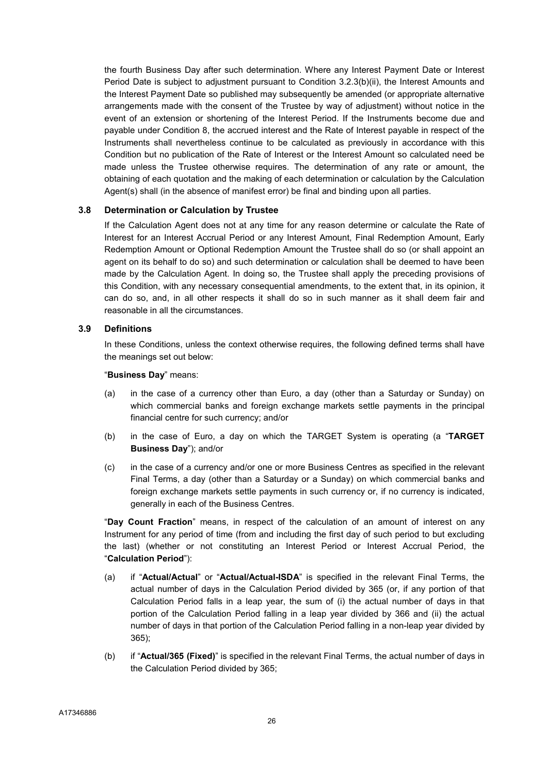the fourth Business Day after such determination. Where any Interest Payment Date or Interest Period Date is subject to adjustment pursuant to Condition 3.2.3(b)(ii), the Interest Amounts and the Interest Payment Date so published may subsequently be amended (or appropriate alternative arrangements made with the consent of the Trustee by way of adjustment) without notice in the event of an extension or shortening of the Interest Period. If the Instruments become due and payable under Condition 8, the accrued interest and the Rate of Interest payable in respect of the Instruments shall nevertheless continue to be calculated as previously in accordance with this Condition but no publication of the Rate of Interest or the Interest Amount so calculated need be made unless the Trustee otherwise requires. The determination of any rate or amount, the obtaining of each quotation and the making of each determination or calculation by the Calculation Agent(s) shall (in the absence of manifest error) be final and binding upon all parties.

#### 3.8 Determination or Calculation by Trustee

If the Calculation Agent does not at any time for any reason determine or calculate the Rate of Interest for an Interest Accrual Period or any Interest Amount, Final Redemption Amount, Early Redemption Amount or Optional Redemption Amount the Trustee shall do so (or shall appoint an agent on its behalf to do so) and such determination or calculation shall be deemed to have been made by the Calculation Agent. In doing so, the Trustee shall apply the preceding provisions of this Condition, with any necessary consequential amendments, to the extent that, in its opinion, it can do so, and, in all other respects it shall do so in such manner as it shall deem fair and reasonable in all the circumstances.

#### 3.9 Definitions

In these Conditions, unless the context otherwise requires, the following defined terms shall have the meanings set out below:

#### "Business Day" means:

- (a) in the case of a currency other than Euro, a day (other than a Saturday or Sunday) on which commercial banks and foreign exchange markets settle payments in the principal financial centre for such currency; and/or
- (b) in the case of Euro, a day on which the TARGET System is operating (a "TARGET Business Day"); and/or
- (c) in the case of a currency and/or one or more Business Centres as specified in the relevant Final Terms, a day (other than a Saturday or a Sunday) on which commercial banks and foreign exchange markets settle payments in such currency or, if no currency is indicated, generally in each of the Business Centres.

"Day Count Fraction" means, in respect of the calculation of an amount of interest on any Instrument for any period of time (from and including the first day of such period to but excluding the last) (whether or not constituting an Interest Period or Interest Accrual Period, the "Calculation Period"):

- (a) if "Actual/Actual" or "Actual/Actual-ISDA" is specified in the relevant Final Terms, the actual number of days in the Calculation Period divided by 365 (or, if any portion of that Calculation Period falls in a leap year, the sum of (i) the actual number of days in that portion of the Calculation Period falling in a leap year divided by 366 and (ii) the actual number of days in that portion of the Calculation Period falling in a non-leap year divided by 365);
- (b) if "Actual/365 (Fixed)" is specified in the relevant Final Terms, the actual number of days in the Calculation Period divided by 365;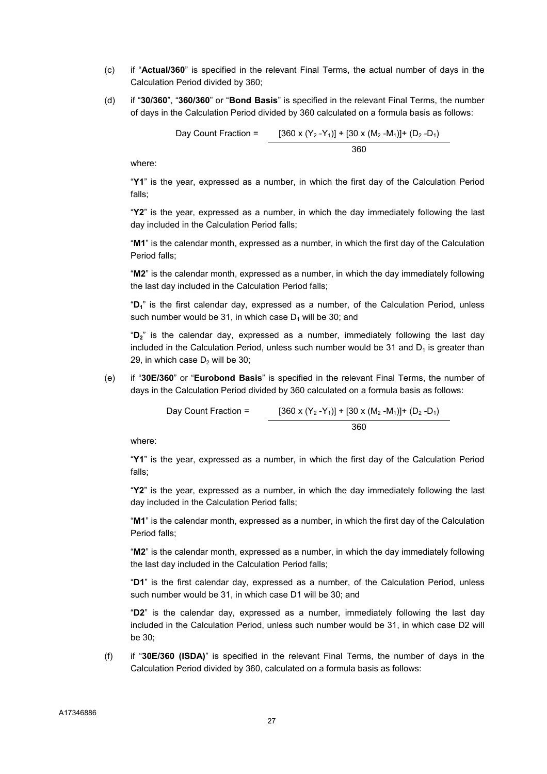- (c) if "Actual/360" is specified in the relevant Final Terms, the actual number of days in the Calculation Period divided by 360;
- (d) if "30/360", "360/360" or "Bond Basis" is specified in the relevant Final Terms, the number of days in the Calculation Period divided by 360 calculated on a formula basis as follows:

Day Count Fraction = 
$$
\frac{[360 \times (Y_2 - Y_1)] + [30 \times (M_2 - M_1)] + (D_2 - D_1)}{360}
$$

where:

"Y1" is the year, expressed as a number, in which the first day of the Calculation Period falls;

"Y2" is the year, expressed as a number, in which the day immediately following the last day included in the Calculation Period falls;

"M1" is the calendar month, expressed as a number, in which the first day of the Calculation Period falls;

"M2" is the calendar month, expressed as a number, in which the day immediately following the last day included in the Calculation Period falls;

"D1" is the first calendar day, expressed as a number, of the Calculation Period, unless such number would be 31, in which case  $D_1$  will be 30; and

"D<sub>2</sub>" is the calendar day, expressed as a number, immediately following the last day included in the Calculation Period, unless such number would be  $31$  and  $D_1$  is greater than 29, in which case  $D_2$  will be 30;

(e) if "30E/360" or "Eurobond Basis" is specified in the relevant Final Terms, the number of days in the Calculation Period divided by 360 calculated on a formula basis as follows:

Day Count Fraction = 
$$
[360 \times (Y_2 - Y_1)] + [30 \times (M_2 - M_1)] + (D_2 - D_1)
$$
  
360

where:

"Y1" is the year, expressed as a number, in which the first day of the Calculation Period falls;

"Y2" is the year, expressed as a number, in which the day immediately following the last day included in the Calculation Period falls;

"M1" is the calendar month, expressed as a number, in which the first day of the Calculation Period falls;

"M2" is the calendar month, expressed as a number, in which the day immediately following the last day included in the Calculation Period falls;

"D1" is the first calendar day, expressed as a number, of the Calculation Period, unless such number would be 31, in which case D1 will be 30; and

"D2" is the calendar day, expressed as a number, immediately following the last day included in the Calculation Period, unless such number would be 31, in which case D2 will be 30;

(f) if "30E/360 (ISDA)" is specified in the relevant Final Terms, the number of days in the Calculation Period divided by 360, calculated on a formula basis as follows: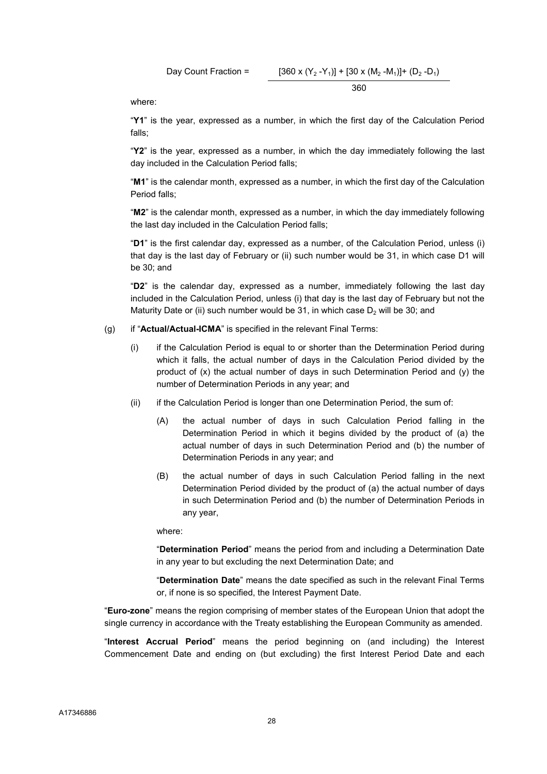Day Count Fraction = 
$$
[360 \times (Y_2 - Y_1)] + [30 \times (M_2 - M_1)] + (D_2 - D_1)
$$

$$
360
$$

where:

"Y1" is the year, expressed as a number, in which the first day of the Calculation Period falls;

"Y2" is the year, expressed as a number, in which the day immediately following the last day included in the Calculation Period falls;

"M1" is the calendar month, expressed as a number, in which the first day of the Calculation Period falls;

"M2" is the calendar month, expressed as a number, in which the day immediately following the last day included in the Calculation Period falls;

"D1" is the first calendar day, expressed as a number, of the Calculation Period, unless (i) that day is the last day of February or (ii) such number would be 31, in which case D1 will be 30; and

"D2" is the calendar day, expressed as a number, immediately following the last day included in the Calculation Period, unless (i) that day is the last day of February but not the Maturity Date or (ii) such number would be 31, in which case  $D_2$  will be 30; and

- (g) if "Actual/Actual-ICMA" is specified in the relevant Final Terms:
	- (i) if the Calculation Period is equal to or shorter than the Determination Period during which it falls, the actual number of days in the Calculation Period divided by the product of (x) the actual number of days in such Determination Period and (y) the number of Determination Periods in any year; and
	- (ii) if the Calculation Period is longer than one Determination Period, the sum of:
		- (A) the actual number of days in such Calculation Period falling in the Determination Period in which it begins divided by the product of (a) the actual number of days in such Determination Period and (b) the number of Determination Periods in any year; and
		- (B) the actual number of days in such Calculation Period falling in the next Determination Period divided by the product of (a) the actual number of days in such Determination Period and (b) the number of Determination Periods in any year,

where:

"Determination Period" means the period from and including a Determination Date in any year to but excluding the next Determination Date; and

"Determination Date" means the date specified as such in the relevant Final Terms or, if none is so specified, the Interest Payment Date.

"Euro-zone" means the region comprising of member states of the European Union that adopt the single currency in accordance with the Treaty establishing the European Community as amended.

"Interest Accrual Period" means the period beginning on (and including) the Interest Commencement Date and ending on (but excluding) the first Interest Period Date and each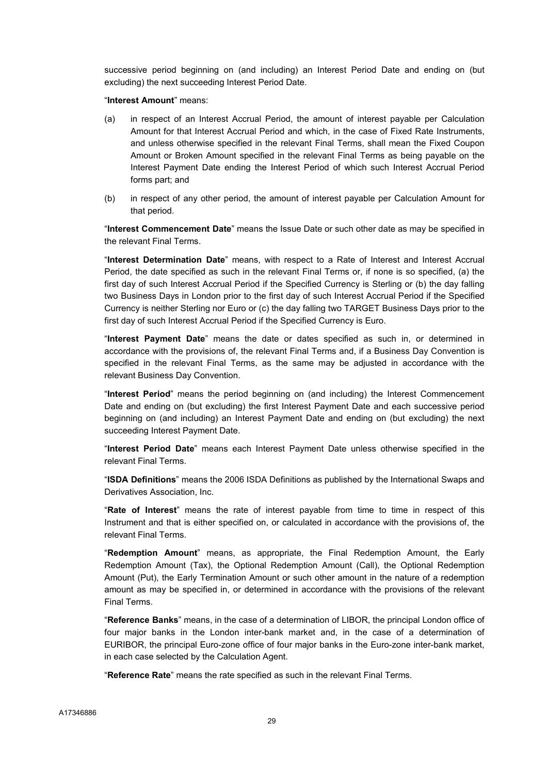successive period beginning on (and including) an Interest Period Date and ending on (but excluding) the next succeeding Interest Period Date.

"Interest Amount" means:

- (a) in respect of an Interest Accrual Period, the amount of interest payable per Calculation Amount for that Interest Accrual Period and which, in the case of Fixed Rate Instruments, and unless otherwise specified in the relevant Final Terms, shall mean the Fixed Coupon Amount or Broken Amount specified in the relevant Final Terms as being payable on the Interest Payment Date ending the Interest Period of which such Interest Accrual Period forms part; and
- (b) in respect of any other period, the amount of interest payable per Calculation Amount for that period.

"Interest Commencement Date" means the Issue Date or such other date as may be specified in the relevant Final Terms.

"Interest Determination Date" means, with respect to a Rate of Interest and Interest Accrual Period, the date specified as such in the relevant Final Terms or, if none is so specified, (a) the first day of such Interest Accrual Period if the Specified Currency is Sterling or (b) the day falling two Business Days in London prior to the first day of such Interest Accrual Period if the Specified Currency is neither Sterling nor Euro or (c) the day falling two TARGET Business Days prior to the first day of such Interest Accrual Period if the Specified Currency is Euro.

"Interest Payment Date" means the date or dates specified as such in, or determined in accordance with the provisions of, the relevant Final Terms and, if a Business Day Convention is specified in the relevant Final Terms, as the same may be adjusted in accordance with the relevant Business Day Convention.

"Interest Period" means the period beginning on (and including) the Interest Commencement Date and ending on (but excluding) the first Interest Payment Date and each successive period beginning on (and including) an Interest Payment Date and ending on (but excluding) the next succeeding Interest Payment Date.

"Interest Period Date" means each Interest Payment Date unless otherwise specified in the relevant Final Terms.

"ISDA Definitions" means the 2006 ISDA Definitions as published by the International Swaps and Derivatives Association, Inc.

"Rate of Interest" means the rate of interest payable from time to time in respect of this Instrument and that is either specified on, or calculated in accordance with the provisions of, the relevant Final Terms.

"Redemption Amount" means, as appropriate, the Final Redemption Amount, the Early Redemption Amount (Tax), the Optional Redemption Amount (Call), the Optional Redemption Amount (Put), the Early Termination Amount or such other amount in the nature of a redemption amount as may be specified in, or determined in accordance with the provisions of the relevant Final Terms.

"Reference Banks" means, in the case of a determination of LIBOR, the principal London office of four major banks in the London inter-bank market and, in the case of a determination of EURIBOR, the principal Euro-zone office of four major banks in the Euro-zone inter-bank market, in each case selected by the Calculation Agent.

"Reference Rate" means the rate specified as such in the relevant Final Terms.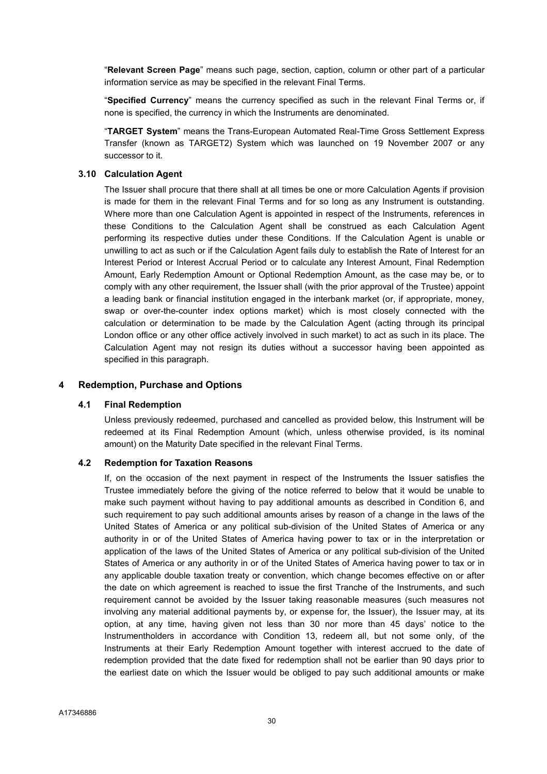"Relevant Screen Page" means such page, section, caption, column or other part of a particular information service as may be specified in the relevant Final Terms.

"Specified Currency" means the currency specified as such in the relevant Final Terms or, if none is specified, the currency in which the Instruments are denominated.

"TARGET System" means the Trans-European Automated Real-Time Gross Settlement Express Transfer (known as TARGET2) System which was launched on 19 November 2007 or any successor to it.

#### 3.10 Calculation Agent

The Issuer shall procure that there shall at all times be one or more Calculation Agents if provision is made for them in the relevant Final Terms and for so long as any Instrument is outstanding. Where more than one Calculation Agent is appointed in respect of the Instruments, references in these Conditions to the Calculation Agent shall be construed as each Calculation Agent performing its respective duties under these Conditions. If the Calculation Agent is unable or unwilling to act as such or if the Calculation Agent fails duly to establish the Rate of Interest for an Interest Period or Interest Accrual Period or to calculate any Interest Amount, Final Redemption Amount, Early Redemption Amount or Optional Redemption Amount, as the case may be, or to comply with any other requirement, the Issuer shall (with the prior approval of the Trustee) appoint a leading bank or financial institution engaged in the interbank market (or, if appropriate, money, swap or over-the-counter index options market) which is most closely connected with the calculation or determination to be made by the Calculation Agent (acting through its principal London office or any other office actively involved in such market) to act as such in its place. The Calculation Agent may not resign its duties without a successor having been appointed as specified in this paragraph.

#### 4 Redemption, Purchase and Options

#### 4.1 Final Redemption

Unless previously redeemed, purchased and cancelled as provided below, this Instrument will be redeemed at its Final Redemption Amount (which, unless otherwise provided, is its nominal amount) on the Maturity Date specified in the relevant Final Terms.

#### 4.2 Redemption for Taxation Reasons

If, on the occasion of the next payment in respect of the Instruments the Issuer satisfies the Trustee immediately before the giving of the notice referred to below that it would be unable to make such payment without having to pay additional amounts as described in Condition 6, and such requirement to pay such additional amounts arises by reason of a change in the laws of the United States of America or any political sub-division of the United States of America or any authority in or of the United States of America having power to tax or in the interpretation or application of the laws of the United States of America or any political sub-division of the United States of America or any authority in or of the United States of America having power to tax or in any applicable double taxation treaty or convention, which change becomes effective on or after the date on which agreement is reached to issue the first Tranche of the Instruments, and such requirement cannot be avoided by the Issuer taking reasonable measures (such measures not involving any material additional payments by, or expense for, the Issuer), the Issuer may, at its option, at any time, having given not less than 30 nor more than 45 days' notice to the Instrumentholders in accordance with Condition 13, redeem all, but not some only, of the Instruments at their Early Redemption Amount together with interest accrued to the date of redemption provided that the date fixed for redemption shall not be earlier than 90 days prior to the earliest date on which the Issuer would be obliged to pay such additional amounts or make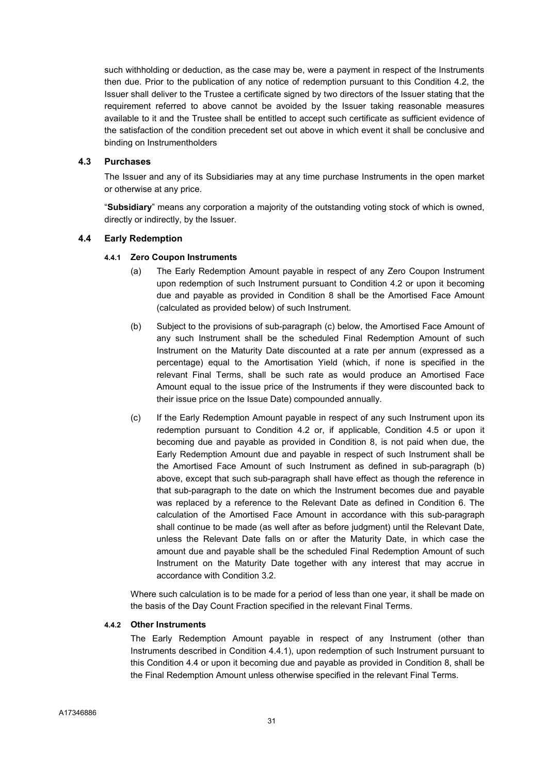such withholding or deduction, as the case may be, were a payment in respect of the Instruments then due. Prior to the publication of any notice of redemption pursuant to this Condition 4.2, the Issuer shall deliver to the Trustee a certificate signed by two directors of the Issuer stating that the requirement referred to above cannot be avoided by the Issuer taking reasonable measures available to it and the Trustee shall be entitled to accept such certificate as sufficient evidence of the satisfaction of the condition precedent set out above in which event it shall be conclusive and binding on Instrumentholders

### 4.3 Purchases

The Issuer and any of its Subsidiaries may at any time purchase Instruments in the open market or otherwise at any price.

"Subsidiary" means any corporation a majority of the outstanding voting stock of which is owned, directly or indirectly, by the Issuer.

### 4.4 Early Redemption

### 4.4.1 Zero Coupon Instruments

- (a) The Early Redemption Amount payable in respect of any Zero Coupon Instrument upon redemption of such Instrument pursuant to Condition 4.2 or upon it becoming due and payable as provided in Condition 8 shall be the Amortised Face Amount (calculated as provided below) of such Instrument.
- (b) Subject to the provisions of sub-paragraph (c) below, the Amortised Face Amount of any such Instrument shall be the scheduled Final Redemption Amount of such Instrument on the Maturity Date discounted at a rate per annum (expressed as a percentage) equal to the Amortisation Yield (which, if none is specified in the relevant Final Terms, shall be such rate as would produce an Amortised Face Amount equal to the issue price of the Instruments if they were discounted back to their issue price on the Issue Date) compounded annually.
- (c) If the Early Redemption Amount payable in respect of any such Instrument upon its redemption pursuant to Condition 4.2 or, if applicable, Condition 4.5 or upon it becoming due and payable as provided in Condition 8, is not paid when due, the Early Redemption Amount due and payable in respect of such Instrument shall be the Amortised Face Amount of such Instrument as defined in sub-paragraph (b) above, except that such sub-paragraph shall have effect as though the reference in that sub-paragraph to the date on which the Instrument becomes due and payable was replaced by a reference to the Relevant Date as defined in Condition 6. The calculation of the Amortised Face Amount in accordance with this sub-paragraph shall continue to be made (as well after as before judgment) until the Relevant Date, unless the Relevant Date falls on or after the Maturity Date, in which case the amount due and payable shall be the scheduled Final Redemption Amount of such Instrument on the Maturity Date together with any interest that may accrue in accordance with Condition 3.2.

Where such calculation is to be made for a period of less than one year, it shall be made on the basis of the Day Count Fraction specified in the relevant Final Terms.

#### 4.4.2 Other Instruments

The Early Redemption Amount payable in respect of any Instrument (other than Instruments described in Condition 4.4.1), upon redemption of such Instrument pursuant to this Condition 4.4 or upon it becoming due and payable as provided in Condition 8, shall be the Final Redemption Amount unless otherwise specified in the relevant Final Terms.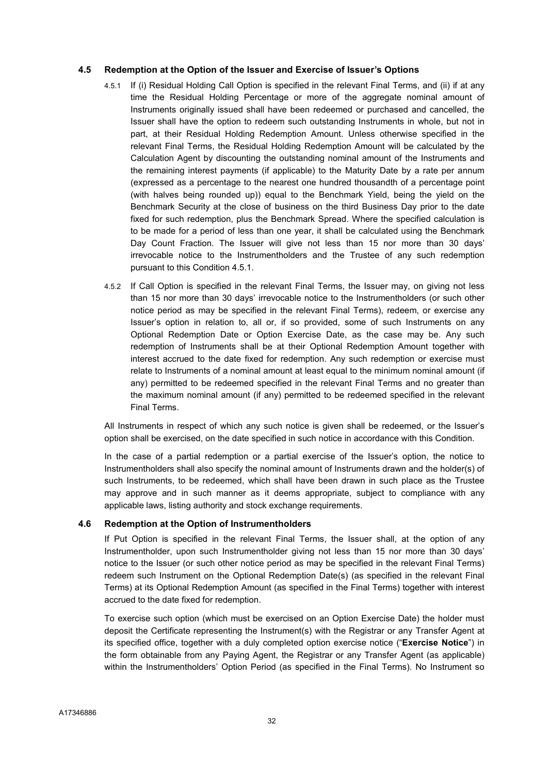## 4.5 Redemption at the Option of the Issuer and Exercise of Issuer's Options

- 4.5.1 If (i) Residual Holding Call Option is specified in the relevant Final Terms, and (ii) if at any time the Residual Holding Percentage or more of the aggregate nominal amount of Instruments originally issued shall have been redeemed or purchased and cancelled, the Issuer shall have the option to redeem such outstanding Instruments in whole, but not in part, at their Residual Holding Redemption Amount. Unless otherwise specified in the relevant Final Terms, the Residual Holding Redemption Amount will be calculated by the Calculation Agent by discounting the outstanding nominal amount of the Instruments and the remaining interest payments (if applicable) to the Maturity Date by a rate per annum (expressed as a percentage to the nearest one hundred thousandth of a percentage point (with halves being rounded up)) equal to the Benchmark Yield, being the yield on the Benchmark Security at the close of business on the third Business Day prior to the date fixed for such redemption, plus the Benchmark Spread. Where the specified calculation is to be made for a period of less than one year, it shall be calculated using the Benchmark Day Count Fraction. The Issuer will give not less than 15 nor more than 30 days' irrevocable notice to the Instrumentholders and the Trustee of any such redemption pursuant to this Condition 4.5.1.
- 4.5.2 If Call Option is specified in the relevant Final Terms, the Issuer may, on giving not less than 15 nor more than 30 days' irrevocable notice to the Instrumentholders (or such other notice period as may be specified in the relevant Final Terms), redeem, or exercise any Issuer's option in relation to, all or, if so provided, some of such Instruments on any Optional Redemption Date or Option Exercise Date, as the case may be. Any such redemption of Instruments shall be at their Optional Redemption Amount together with interest accrued to the date fixed for redemption. Any such redemption or exercise must relate to Instruments of a nominal amount at least equal to the minimum nominal amount (if any) permitted to be redeemed specified in the relevant Final Terms and no greater than the maximum nominal amount (if any) permitted to be redeemed specified in the relevant Final Terms.

All Instruments in respect of which any such notice is given shall be redeemed, or the Issuer's option shall be exercised, on the date specified in such notice in accordance with this Condition.

In the case of a partial redemption or a partial exercise of the Issuer's option, the notice to Instrumentholders shall also specify the nominal amount of Instruments drawn and the holder(s) of such Instruments, to be redeemed, which shall have been drawn in such place as the Trustee may approve and in such manner as it deems appropriate, subject to compliance with any applicable laws, listing authority and stock exchange requirements.

## 4.6 Redemption at the Option of Instrumentholders

If Put Option is specified in the relevant Final Terms, the Issuer shall, at the option of any Instrumentholder, upon such Instrumentholder giving not less than 15 nor more than 30 days' notice to the Issuer (or such other notice period as may be specified in the relevant Final Terms) redeem such Instrument on the Optional Redemption Date(s) (as specified in the relevant Final Terms) at its Optional Redemption Amount (as specified in the Final Terms) together with interest accrued to the date fixed for redemption.

To exercise such option (which must be exercised on an Option Exercise Date) the holder must deposit the Certificate representing the Instrument(s) with the Registrar or any Transfer Agent at its specified office, together with a duly completed option exercise notice ("Exercise Notice") in the form obtainable from any Paying Agent, the Registrar or any Transfer Agent (as applicable) within the Instrumentholders' Option Period (as specified in the Final Terms). No Instrument so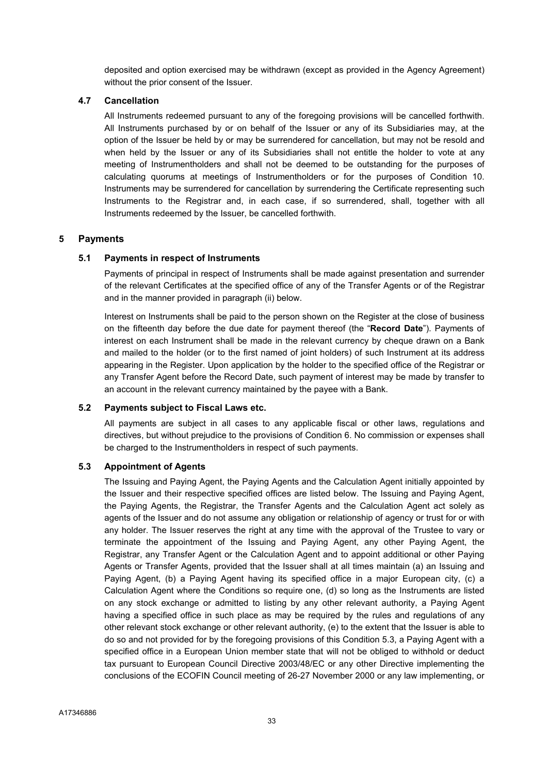deposited and option exercised may be withdrawn (except as provided in the Agency Agreement) without the prior consent of the Issuer.

## 4.7 Cancellation

All Instruments redeemed pursuant to any of the foregoing provisions will be cancelled forthwith. All Instruments purchased by or on behalf of the Issuer or any of its Subsidiaries may, at the option of the Issuer be held by or may be surrendered for cancellation, but may not be resold and when held by the Issuer or any of its Subsidiaries shall not entitle the holder to vote at any meeting of Instrumentholders and shall not be deemed to be outstanding for the purposes of calculating quorums at meetings of Instrumentholders or for the purposes of Condition 10. Instruments may be surrendered for cancellation by surrendering the Certificate representing such Instruments to the Registrar and, in each case, if so surrendered, shall, together with all Instruments redeemed by the Issuer, be cancelled forthwith.

## 5 Payments

## 5.1 Payments in respect of Instruments

Payments of principal in respect of Instruments shall be made against presentation and surrender of the relevant Certificates at the specified office of any of the Transfer Agents or of the Registrar and in the manner provided in paragraph (ii) below.

Interest on Instruments shall be paid to the person shown on the Register at the close of business on the fifteenth day before the due date for payment thereof (the "Record Date"). Payments of interest on each Instrument shall be made in the relevant currency by cheque drawn on a Bank and mailed to the holder (or to the first named of joint holders) of such Instrument at its address appearing in the Register. Upon application by the holder to the specified office of the Registrar or any Transfer Agent before the Record Date, such payment of interest may be made by transfer to an account in the relevant currency maintained by the payee with a Bank.

#### 5.2 Payments subject to Fiscal Laws etc.

All payments are subject in all cases to any applicable fiscal or other laws, regulations and directives, but without prejudice to the provisions of Condition 6. No commission or expenses shall be charged to the Instrumentholders in respect of such payments.

#### 5.3 Appointment of Agents

The Issuing and Paying Agent, the Paying Agents and the Calculation Agent initially appointed by the Issuer and their respective specified offices are listed below. The Issuing and Paying Agent, the Paying Agents, the Registrar, the Transfer Agents and the Calculation Agent act solely as agents of the Issuer and do not assume any obligation or relationship of agency or trust for or with any holder. The Issuer reserves the right at any time with the approval of the Trustee to vary or terminate the appointment of the Issuing and Paying Agent, any other Paying Agent, the Registrar, any Transfer Agent or the Calculation Agent and to appoint additional or other Paying Agents or Transfer Agents, provided that the Issuer shall at all times maintain (a) an Issuing and Paying Agent, (b) a Paying Agent having its specified office in a major European city, (c) a Calculation Agent where the Conditions so require one, (d) so long as the Instruments are listed on any stock exchange or admitted to listing by any other relevant authority, a Paying Agent having a specified office in such place as may be required by the rules and regulations of any other relevant stock exchange or other relevant authority, (e) to the extent that the Issuer is able to do so and not provided for by the foregoing provisions of this Condition 5.3, a Paying Agent with a specified office in a European Union member state that will not be obliged to withhold or deduct tax pursuant to European Council Directive 2003/48/EC or any other Directive implementing the conclusions of the ECOFIN Council meeting of 26-27 November 2000 or any law implementing, or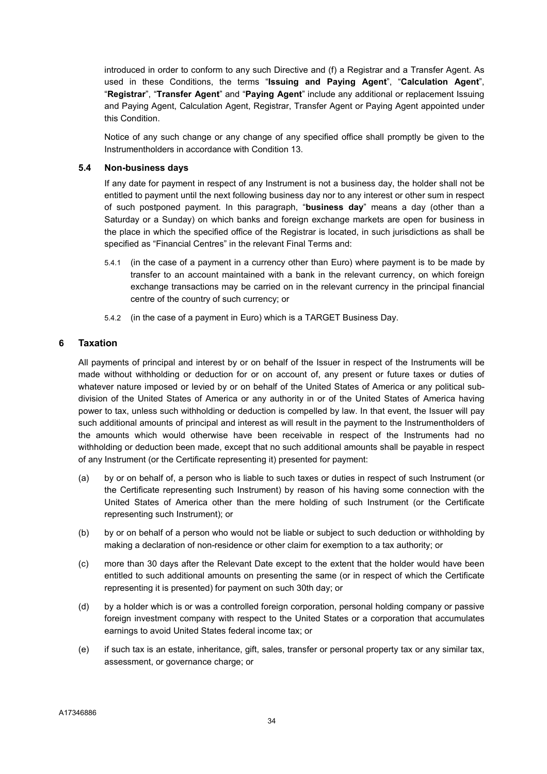introduced in order to conform to any such Directive and (f) a Registrar and a Transfer Agent. As used in these Conditions, the terms "Issuing and Paying Agent", "Calculation Agent", "Registrar", "Transfer Agent" and "Paying Agent" include any additional or replacement Issuing and Paying Agent, Calculation Agent, Registrar, Transfer Agent or Paying Agent appointed under this Condition.

Notice of any such change or any change of any specified office shall promptly be given to the Instrumentholders in accordance with Condition 13.

## 5.4 Non-business days

If any date for payment in respect of any Instrument is not a business day, the holder shall not be entitled to payment until the next following business day nor to any interest or other sum in respect of such postponed payment. In this paragraph, "business day" means a day (other than a Saturday or a Sunday) on which banks and foreign exchange markets are open for business in the place in which the specified office of the Registrar is located, in such jurisdictions as shall be specified as "Financial Centres" in the relevant Final Terms and:

- 5.4.1 (in the case of a payment in a currency other than Euro) where payment is to be made by transfer to an account maintained with a bank in the relevant currency, on which foreign exchange transactions may be carried on in the relevant currency in the principal financial centre of the country of such currency; or
- 5.4.2 (in the case of a payment in Euro) which is a TARGET Business Day.

## 6 Taxation

All payments of principal and interest by or on behalf of the Issuer in respect of the Instruments will be made without withholding or deduction for or on account of, any present or future taxes or duties of whatever nature imposed or levied by or on behalf of the United States of America or any political subdivision of the United States of America or any authority in or of the United States of America having power to tax, unless such withholding or deduction is compelled by law. In that event, the Issuer will pay such additional amounts of principal and interest as will result in the payment to the Instrumentholders of the amounts which would otherwise have been receivable in respect of the Instruments had no withholding or deduction been made, except that no such additional amounts shall be payable in respect of any Instrument (or the Certificate representing it) presented for payment:

- (a) by or on behalf of, a person who is liable to such taxes or duties in respect of such Instrument (or the Certificate representing such Instrument) by reason of his having some connection with the United States of America other than the mere holding of such Instrument (or the Certificate representing such Instrument); or
- (b) by or on behalf of a person who would not be liable or subject to such deduction or withholding by making a declaration of non-residence or other claim for exemption to a tax authority; or
- (c) more than 30 days after the Relevant Date except to the extent that the holder would have been entitled to such additional amounts on presenting the same (or in respect of which the Certificate representing it is presented) for payment on such 30th day; or
- (d) by a holder which is or was a controlled foreign corporation, personal holding company or passive foreign investment company with respect to the United States or a corporation that accumulates earnings to avoid United States federal income tax; or
- (e) if such tax is an estate, inheritance, gift, sales, transfer or personal property tax or any similar tax, assessment, or governance charge; or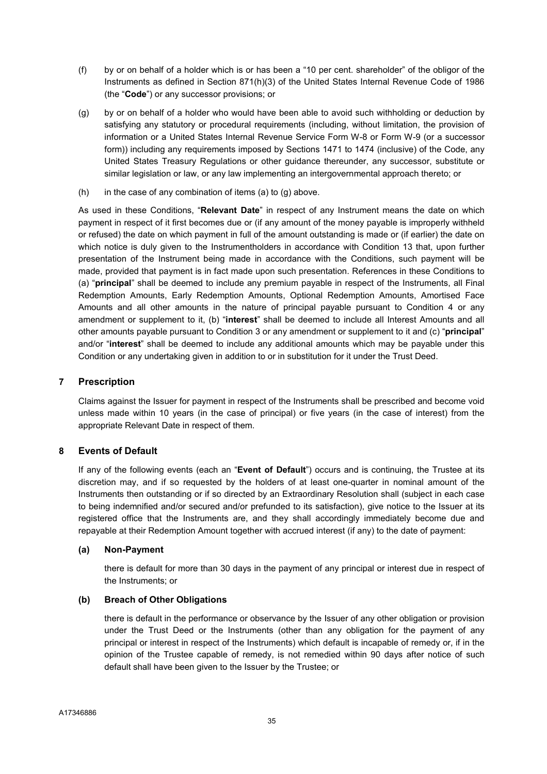- (f) by or on behalf of a holder which is or has been a "10 per cent. shareholder" of the obligor of the Instruments as defined in Section 871(h)(3) of the United States Internal Revenue Code of 1986 (the "Code") or any successor provisions; or
- (g) by or on behalf of a holder who would have been able to avoid such withholding or deduction by satisfying any statutory or procedural requirements (including, without limitation, the provision of information or a United States Internal Revenue Service Form W-8 or Form W-9 (or a successor form)) including any requirements imposed by Sections 1471 to 1474 (inclusive) of the Code, any United States Treasury Regulations or other guidance thereunder, any successor, substitute or similar legislation or law, or any law implementing an intergovernmental approach thereto; or
- $(h)$  in the case of any combination of items  $(a)$  to  $(g)$  above.

As used in these Conditions, "Relevant Date" in respect of any Instrument means the date on which payment in respect of it first becomes due or (if any amount of the money payable is improperly withheld or refused) the date on which payment in full of the amount outstanding is made or (if earlier) the date on which notice is duly given to the Instrumentholders in accordance with Condition 13 that, upon further presentation of the Instrument being made in accordance with the Conditions, such payment will be made, provided that payment is in fact made upon such presentation. References in these Conditions to (a) "principal" shall be deemed to include any premium payable in respect of the Instruments, all Final Redemption Amounts, Early Redemption Amounts, Optional Redemption Amounts, Amortised Face Amounts and all other amounts in the nature of principal payable pursuant to Condition 4 or any amendment or supplement to it, (b) "interest" shall be deemed to include all Interest Amounts and all other amounts payable pursuant to Condition 3 or any amendment or supplement to it and (c) "**principal**" and/or "interest" shall be deemed to include any additional amounts which may be payable under this Condition or any undertaking given in addition to or in substitution for it under the Trust Deed.

## 7 Prescription

Claims against the Issuer for payment in respect of the Instruments shall be prescribed and become void unless made within 10 years (in the case of principal) or five years (in the case of interest) from the appropriate Relevant Date in respect of them.

## 8 Events of Default

If any of the following events (each an "Event of Default") occurs and is continuing, the Trustee at its discretion may, and if so requested by the holders of at least one-quarter in nominal amount of the Instruments then outstanding or if so directed by an Extraordinary Resolution shall (subject in each case to being indemnified and/or secured and/or prefunded to its satisfaction), give notice to the Issuer at its registered office that the Instruments are, and they shall accordingly immediately become due and repayable at their Redemption Amount together with accrued interest (if any) to the date of payment:

## (a) Non-Payment

there is default for more than 30 days in the payment of any principal or interest due in respect of the Instruments; or

## (b) Breach of Other Obligations

there is default in the performance or observance by the Issuer of any other obligation or provision under the Trust Deed or the Instruments (other than any obligation for the payment of any principal or interest in respect of the Instruments) which default is incapable of remedy or, if in the opinion of the Trustee capable of remedy, is not remedied within 90 days after notice of such default shall have been given to the Issuer by the Trustee; or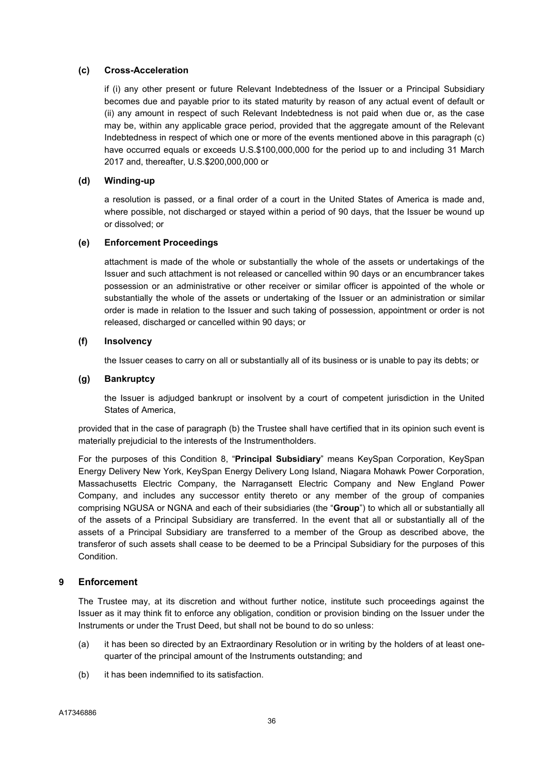## (c) Cross-Acceleration

if (i) any other present or future Relevant Indebtedness of the Issuer or a Principal Subsidiary becomes due and payable prior to its stated maturity by reason of any actual event of default or (ii) any amount in respect of such Relevant Indebtedness is not paid when due or, as the case may be, within any applicable grace period, provided that the aggregate amount of the Relevant Indebtedness in respect of which one or more of the events mentioned above in this paragraph (c) have occurred equals or exceeds U.S.\$100,000,000 for the period up to and including 31 March 2017 and, thereafter, U.S.\$200,000,000 or

## (d) Winding-up

a resolution is passed, or a final order of a court in the United States of America is made and, where possible, not discharged or stayed within a period of 90 days, that the Issuer be wound up or dissolved; or

### (e) Enforcement Proceedings

attachment is made of the whole or substantially the whole of the assets or undertakings of the Issuer and such attachment is not released or cancelled within 90 days or an encumbrancer takes possession or an administrative or other receiver or similar officer is appointed of the whole or substantially the whole of the assets or undertaking of the Issuer or an administration or similar order is made in relation to the Issuer and such taking of possession, appointment or order is not released, discharged or cancelled within 90 days; or

### (f) Insolvency

the Issuer ceases to carry on all or substantially all of its business or is unable to pay its debts; or

### (g) Bankruptcy

the Issuer is adjudged bankrupt or insolvent by a court of competent jurisdiction in the United States of America,

provided that in the case of paragraph (b) the Trustee shall have certified that in its opinion such event is materially prejudicial to the interests of the Instrumentholders.

For the purposes of this Condition 8, "Principal Subsidiary" means KeySpan Corporation, KeySpan Energy Delivery New York, KeySpan Energy Delivery Long Island, Niagara Mohawk Power Corporation, Massachusetts Electric Company, the Narragansett Electric Company and New England Power Company, and includes any successor entity thereto or any member of the group of companies comprising NGUSA or NGNA and each of their subsidiaries (the "Group") to which all or substantially all of the assets of a Principal Subsidiary are transferred. In the event that all or substantially all of the assets of a Principal Subsidiary are transferred to a member of the Group as described above, the transferor of such assets shall cease to be deemed to be a Principal Subsidiary for the purposes of this Condition.

## 9 Enforcement

The Trustee may, at its discretion and without further notice, institute such proceedings against the Issuer as it may think fit to enforce any obligation, condition or provision binding on the Issuer under the Instruments or under the Trust Deed, but shall not be bound to do so unless:

- (a) it has been so directed by an Extraordinary Resolution or in writing by the holders of at least onequarter of the principal amount of the Instruments outstanding; and
- (b) it has been indemnified to its satisfaction.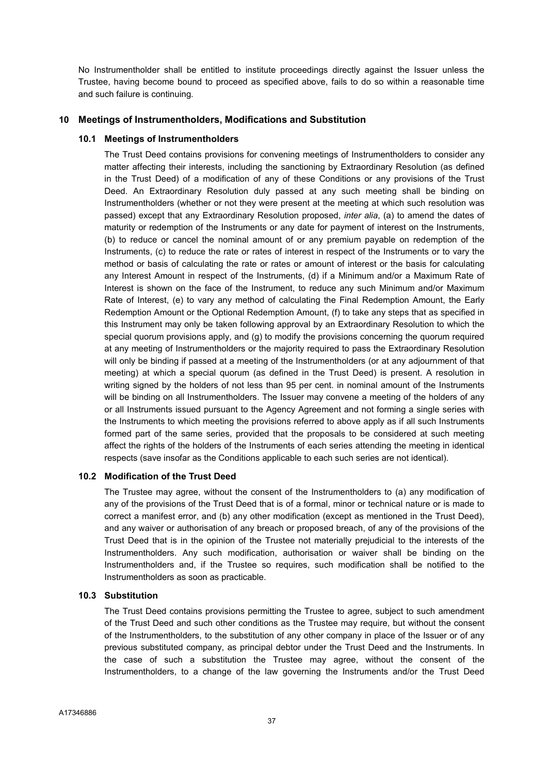No Instrumentholder shall be entitled to institute proceedings directly against the Issuer unless the Trustee, having become bound to proceed as specified above, fails to do so within a reasonable time and such failure is continuing.

## 10 Meetings of Instrumentholders, Modifications and Substitution

### 10.1 Meetings of Instrumentholders

The Trust Deed contains provisions for convening meetings of Instrumentholders to consider any matter affecting their interests, including the sanctioning by Extraordinary Resolution (as defined in the Trust Deed) of a modification of any of these Conditions or any provisions of the Trust Deed. An Extraordinary Resolution duly passed at any such meeting shall be binding on Instrumentholders (whether or not they were present at the meeting at which such resolution was passed) except that any Extraordinary Resolution proposed, inter alia, (a) to amend the dates of maturity or redemption of the Instruments or any date for payment of interest on the Instruments, (b) to reduce or cancel the nominal amount of or any premium payable on redemption of the Instruments, (c) to reduce the rate or rates of interest in respect of the Instruments or to vary the method or basis of calculating the rate or rates or amount of interest or the basis for calculating any Interest Amount in respect of the Instruments, (d) if a Minimum and/or a Maximum Rate of Interest is shown on the face of the Instrument, to reduce any such Minimum and/or Maximum Rate of Interest, (e) to vary any method of calculating the Final Redemption Amount, the Early Redemption Amount or the Optional Redemption Amount, (f) to take any steps that as specified in this Instrument may only be taken following approval by an Extraordinary Resolution to which the special quorum provisions apply, and (g) to modify the provisions concerning the quorum required at any meeting of Instrumentholders or the majority required to pass the Extraordinary Resolution will only be binding if passed at a meeting of the Instrumentholders (or at any adjournment of that meeting) at which a special quorum (as defined in the Trust Deed) is present. A resolution in writing signed by the holders of not less than 95 per cent. in nominal amount of the Instruments will be binding on all Instrumentholders. The Issuer may convene a meeting of the holders of any or all Instruments issued pursuant to the Agency Agreement and not forming a single series with the Instruments to which meeting the provisions referred to above apply as if all such Instruments formed part of the same series, provided that the proposals to be considered at such meeting affect the rights of the holders of the Instruments of each series attending the meeting in identical respects (save insofar as the Conditions applicable to each such series are not identical).

#### 10.2 Modification of the Trust Deed

The Trustee may agree, without the consent of the Instrumentholders to (a) any modification of any of the provisions of the Trust Deed that is of a formal, minor or technical nature or is made to correct a manifest error, and (b) any other modification (except as mentioned in the Trust Deed), and any waiver or authorisation of any breach or proposed breach, of any of the provisions of the Trust Deed that is in the opinion of the Trustee not materially prejudicial to the interests of the Instrumentholders. Any such modification, authorisation or waiver shall be binding on the Instrumentholders and, if the Trustee so requires, such modification shall be notified to the Instrumentholders as soon as practicable.

#### 10.3 Substitution

The Trust Deed contains provisions permitting the Trustee to agree, subject to such amendment of the Trust Deed and such other conditions as the Trustee may require, but without the consent of the Instrumentholders, to the substitution of any other company in place of the Issuer or of any previous substituted company, as principal debtor under the Trust Deed and the Instruments. In the case of such a substitution the Trustee may agree, without the consent of the Instrumentholders, to a change of the law governing the Instruments and/or the Trust Deed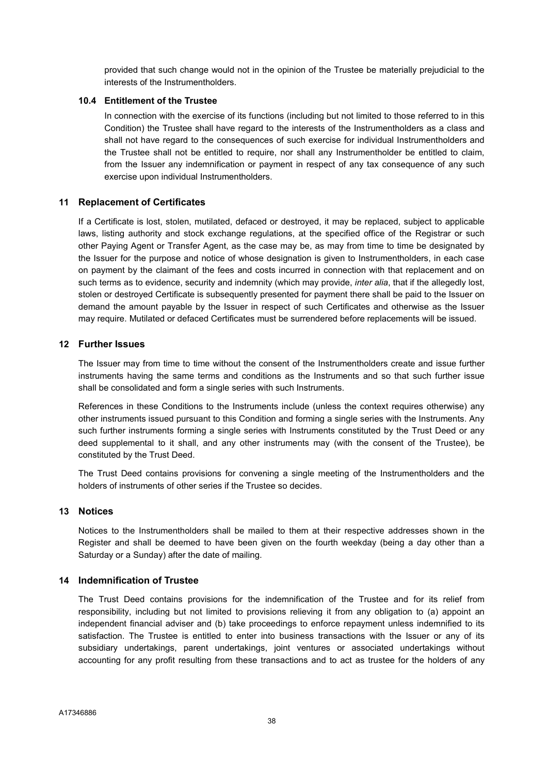provided that such change would not in the opinion of the Trustee be materially prejudicial to the interests of the Instrumentholders.

### 10.4 Entitlement of the Trustee

In connection with the exercise of its functions (including but not limited to those referred to in this Condition) the Trustee shall have regard to the interests of the Instrumentholders as a class and shall not have regard to the consequences of such exercise for individual Instrumentholders and the Trustee shall not be entitled to require, nor shall any Instrumentholder be entitled to claim, from the Issuer any indemnification or payment in respect of any tax consequence of any such exercise upon individual Instrumentholders.

## 11 Replacement of Certificates

If a Certificate is lost, stolen, mutilated, defaced or destroyed, it may be replaced, subject to applicable laws, listing authority and stock exchange regulations, at the specified office of the Registrar or such other Paying Agent or Transfer Agent, as the case may be, as may from time to time be designated by the Issuer for the purpose and notice of whose designation is given to Instrumentholders, in each case on payment by the claimant of the fees and costs incurred in connection with that replacement and on such terms as to evidence, security and indemnity (which may provide, *inter alia*, that if the allegedly lost, stolen or destroyed Certificate is subsequently presented for payment there shall be paid to the Issuer on demand the amount payable by the Issuer in respect of such Certificates and otherwise as the Issuer may require. Mutilated or defaced Certificates must be surrendered before replacements will be issued.

## 12 Further Issues

The Issuer may from time to time without the consent of the Instrumentholders create and issue further instruments having the same terms and conditions as the Instruments and so that such further issue shall be consolidated and form a single series with such Instruments.

References in these Conditions to the Instruments include (unless the context requires otherwise) any other instruments issued pursuant to this Condition and forming a single series with the Instruments. Any such further instruments forming a single series with Instruments constituted by the Trust Deed or any deed supplemental to it shall, and any other instruments may (with the consent of the Trustee), be constituted by the Trust Deed.

The Trust Deed contains provisions for convening a single meeting of the Instrumentholders and the holders of instruments of other series if the Trustee so decides.

## 13 Notices

Notices to the Instrumentholders shall be mailed to them at their respective addresses shown in the Register and shall be deemed to have been given on the fourth weekday (being a day other than a Saturday or a Sunday) after the date of mailing.

## 14 Indemnification of Trustee

The Trust Deed contains provisions for the indemnification of the Trustee and for its relief from responsibility, including but not limited to provisions relieving it from any obligation to (a) appoint an independent financial adviser and (b) take proceedings to enforce repayment unless indemnified to its satisfaction. The Trustee is entitled to enter into business transactions with the Issuer or any of its subsidiary undertakings, parent undertakings, joint ventures or associated undertakings without accounting for any profit resulting from these transactions and to act as trustee for the holders of any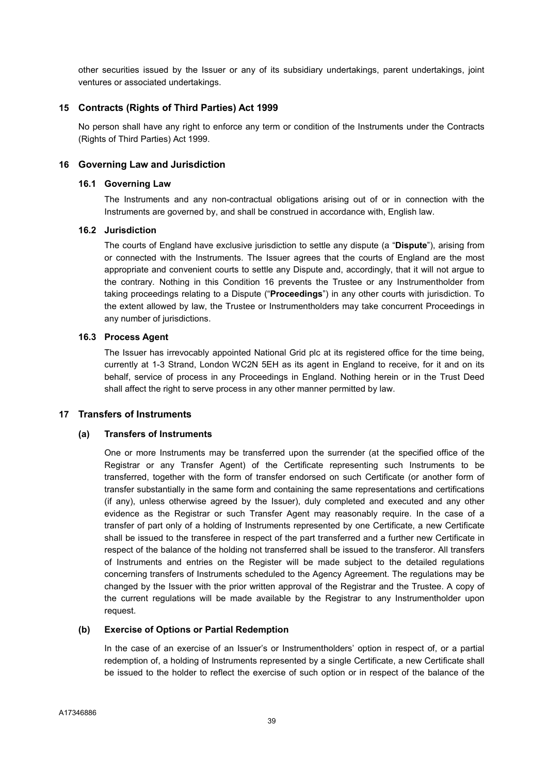other securities issued by the Issuer or any of its subsidiary undertakings, parent undertakings, joint ventures or associated undertakings.

## 15 Contracts (Rights of Third Parties) Act 1999

No person shall have any right to enforce any term or condition of the Instruments under the Contracts (Rights of Third Parties) Act 1999.

## 16 Governing Law and Jurisdiction

#### 16.1 Governing Law

The Instruments and any non-contractual obligations arising out of or in connection with the Instruments are governed by, and shall be construed in accordance with, English law.

## 16.2 Jurisdiction

The courts of England have exclusive jurisdiction to settle any dispute (a "Dispute"), arising from or connected with the Instruments. The Issuer agrees that the courts of England are the most appropriate and convenient courts to settle any Dispute and, accordingly, that it will not argue to the contrary. Nothing in this Condition 16 prevents the Trustee or any Instrumentholder from taking proceedings relating to a Dispute ("Proceedings") in any other courts with jurisdiction. To the extent allowed by law, the Trustee or Instrumentholders may take concurrent Proceedings in any number of jurisdictions.

### 16.3 Process Agent

The Issuer has irrevocably appointed National Grid plc at its registered office for the time being, currently at 1-3 Strand, London WC2N 5EH as its agent in England to receive, for it and on its behalf, service of process in any Proceedings in England. Nothing herein or in the Trust Deed shall affect the right to serve process in any other manner permitted by law.

## 17 Transfers of Instruments

#### (a) Transfers of Instruments

One or more Instruments may be transferred upon the surrender (at the specified office of the Registrar or any Transfer Agent) of the Certificate representing such Instruments to be transferred, together with the form of transfer endorsed on such Certificate (or another form of transfer substantially in the same form and containing the same representations and certifications (if any), unless otherwise agreed by the Issuer), duly completed and executed and any other evidence as the Registrar or such Transfer Agent may reasonably require. In the case of a transfer of part only of a holding of Instruments represented by one Certificate, a new Certificate shall be issued to the transferee in respect of the part transferred and a further new Certificate in respect of the balance of the holding not transferred shall be issued to the transferor. All transfers of Instruments and entries on the Register will be made subject to the detailed regulations concerning transfers of Instruments scheduled to the Agency Agreement. The regulations may be changed by the Issuer with the prior written approval of the Registrar and the Trustee. A copy of the current regulations will be made available by the Registrar to any Instrumentholder upon request.

#### (b) Exercise of Options or Partial Redemption

In the case of an exercise of an Issuer's or Instrumentholders' option in respect of, or a partial redemption of, a holding of Instruments represented by a single Certificate, a new Certificate shall be issued to the holder to reflect the exercise of such option or in respect of the balance of the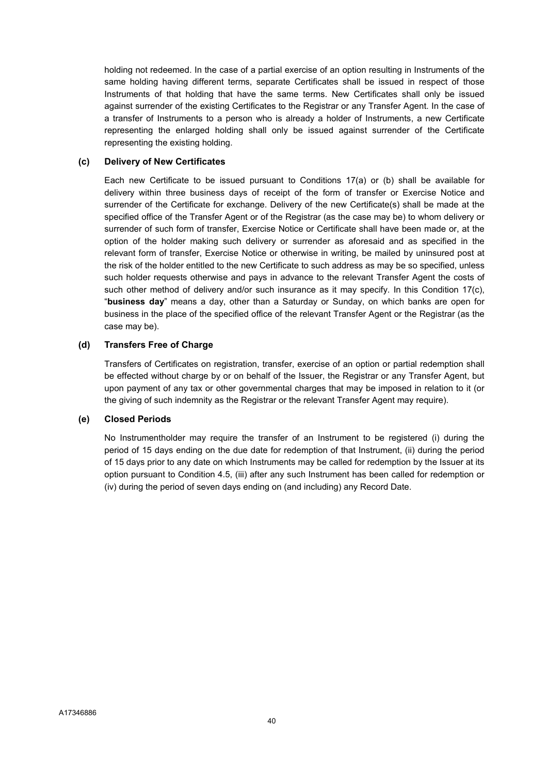holding not redeemed. In the case of a partial exercise of an option resulting in Instruments of the same holding having different terms, separate Certificates shall be issued in respect of those Instruments of that holding that have the same terms. New Certificates shall only be issued against surrender of the existing Certificates to the Registrar or any Transfer Agent. In the case of a transfer of Instruments to a person who is already a holder of Instruments, a new Certificate representing the enlarged holding shall only be issued against surrender of the Certificate representing the existing holding.

## (c) Delivery of New Certificates

Each new Certificate to be issued pursuant to Conditions 17(a) or (b) shall be available for delivery within three business days of receipt of the form of transfer or Exercise Notice and surrender of the Certificate for exchange. Delivery of the new Certificate(s) shall be made at the specified office of the Transfer Agent or of the Registrar (as the case may be) to whom delivery or surrender of such form of transfer, Exercise Notice or Certificate shall have been made or, at the option of the holder making such delivery or surrender as aforesaid and as specified in the relevant form of transfer, Exercise Notice or otherwise in writing, be mailed by uninsured post at the risk of the holder entitled to the new Certificate to such address as may be so specified, unless such holder requests otherwise and pays in advance to the relevant Transfer Agent the costs of such other method of delivery and/or such insurance as it may specify. In this Condition 17(c), "business day" means a day, other than a Saturday or Sunday, on which banks are open for business in the place of the specified office of the relevant Transfer Agent or the Registrar (as the case may be).

## (d) Transfers Free of Charge

Transfers of Certificates on registration, transfer, exercise of an option or partial redemption shall be effected without charge by or on behalf of the Issuer, the Registrar or any Transfer Agent, but upon payment of any tax or other governmental charges that may be imposed in relation to it (or the giving of such indemnity as the Registrar or the relevant Transfer Agent may require).

## (e) Closed Periods

No Instrumentholder may require the transfer of an Instrument to be registered (i) during the period of 15 days ending on the due date for redemption of that Instrument, (ii) during the period of 15 days prior to any date on which Instruments may be called for redemption by the Issuer at its option pursuant to Condition 4.5, (iii) after any such Instrument has been called for redemption or (iv) during the period of seven days ending on (and including) any Record Date.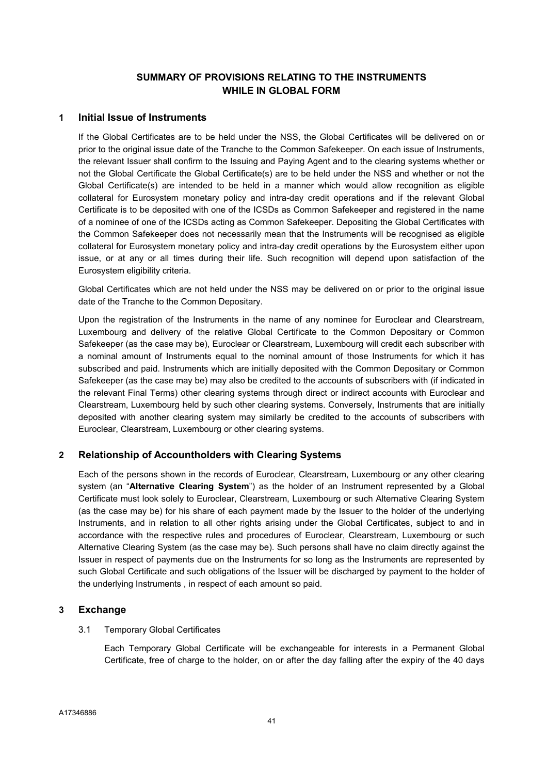# SUMMARY OF PROVISIONS RELATING TO THE INSTRUMENTS WHILE IN GLOBAL FORM

## 1 Initial Issue of Instruments

If the Global Certificates are to be held under the NSS, the Global Certificates will be delivered on or prior to the original issue date of the Tranche to the Common Safekeeper. On each issue of Instruments, the relevant Issuer shall confirm to the Issuing and Paying Agent and to the clearing systems whether or not the Global Certificate the Global Certificate(s) are to be held under the NSS and whether or not the Global Certificate(s) are intended to be held in a manner which would allow recognition as eligible collateral for Eurosystem monetary policy and intra-day credit operations and if the relevant Global Certificate is to be deposited with one of the ICSDs as Common Safekeeper and registered in the name of a nominee of one of the ICSDs acting as Common Safekeeper. Depositing the Global Certificates with the Common Safekeeper does not necessarily mean that the Instruments will be recognised as eligible collateral for Eurosystem monetary policy and intra-day credit operations by the Eurosystem either upon issue, or at any or all times during their life. Such recognition will depend upon satisfaction of the Eurosystem eligibility criteria.

Global Certificates which are not held under the NSS may be delivered on or prior to the original issue date of the Tranche to the Common Depositary.

Upon the registration of the Instruments in the name of any nominee for Euroclear and Clearstream, Luxembourg and delivery of the relative Global Certificate to the Common Depositary or Common Safekeeper (as the case may be), Euroclear or Clearstream, Luxembourg will credit each subscriber with a nominal amount of Instruments equal to the nominal amount of those Instruments for which it has subscribed and paid. Instruments which are initially deposited with the Common Depositary or Common Safekeeper (as the case may be) may also be credited to the accounts of subscribers with (if indicated in the relevant Final Terms) other clearing systems through direct or indirect accounts with Euroclear and Clearstream, Luxembourg held by such other clearing systems. Conversely, Instruments that are initially deposited with another clearing system may similarly be credited to the accounts of subscribers with Euroclear, Clearstream, Luxembourg or other clearing systems.

# 2 Relationship of Accountholders with Clearing Systems

Each of the persons shown in the records of Euroclear, Clearstream, Luxembourg or any other clearing system (an "Alternative Clearing System") as the holder of an Instrument represented by a Global Certificate must look solely to Euroclear, Clearstream, Luxembourg or such Alternative Clearing System (as the case may be) for his share of each payment made by the Issuer to the holder of the underlying Instruments, and in relation to all other rights arising under the Global Certificates, subject to and in accordance with the respective rules and procedures of Euroclear, Clearstream, Luxembourg or such Alternative Clearing System (as the case may be). Such persons shall have no claim directly against the Issuer in respect of payments due on the Instruments for so long as the Instruments are represented by such Global Certificate and such obligations of the Issuer will be discharged by payment to the holder of the underlying Instruments , in respect of each amount so paid.

## 3 Exchange

## 3.1 Temporary Global Certificates

Each Temporary Global Certificate will be exchangeable for interests in a Permanent Global Certificate, free of charge to the holder, on or after the day falling after the expiry of the 40 days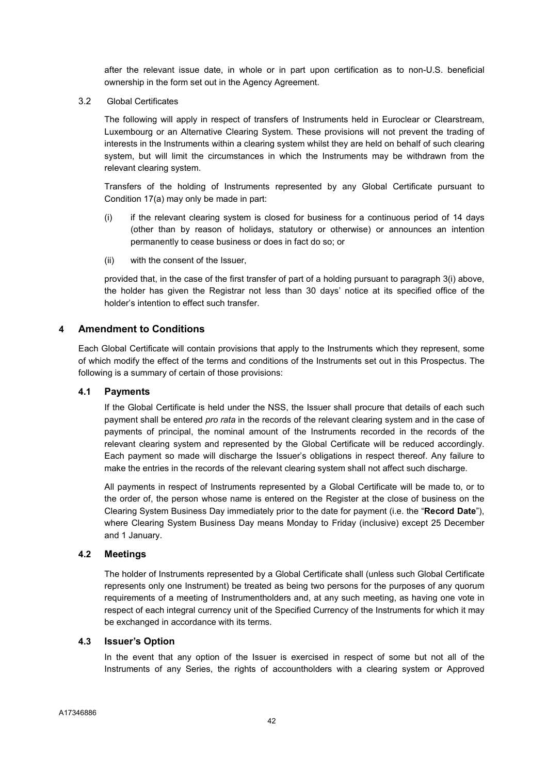after the relevant issue date, in whole or in part upon certification as to non-U.S. beneficial ownership in the form set out in the Agency Agreement.

3.2 Global Certificates

The following will apply in respect of transfers of Instruments held in Euroclear or Clearstream, Luxembourg or an Alternative Clearing System. These provisions will not prevent the trading of interests in the Instruments within a clearing system whilst they are held on behalf of such clearing system, but will limit the circumstances in which the Instruments may be withdrawn from the relevant clearing system.

Transfers of the holding of Instruments represented by any Global Certificate pursuant to Condition 17(a) may only be made in part:

- (i) if the relevant clearing system is closed for business for a continuous period of 14 days (other than by reason of holidays, statutory or otherwise) or announces an intention permanently to cease business or does in fact do so; or
- (ii) with the consent of the Issuer,

provided that, in the case of the first transfer of part of a holding pursuant to paragraph 3(i) above, the holder has given the Registrar not less than 30 days' notice at its specified office of the holder's intention to effect such transfer.

## 4 Amendment to Conditions

Each Global Certificate will contain provisions that apply to the Instruments which they represent, some of which modify the effect of the terms and conditions of the Instruments set out in this Prospectus. The following is a summary of certain of those provisions:

## 4.1 Payments

If the Global Certificate is held under the NSS, the Issuer shall procure that details of each such payment shall be entered *pro rata* in the records of the relevant clearing system and in the case of payments of principal, the nominal amount of the Instruments recorded in the records of the relevant clearing system and represented by the Global Certificate will be reduced accordingly. Each payment so made will discharge the Issuer's obligations in respect thereof. Any failure to make the entries in the records of the relevant clearing system shall not affect such discharge.

All payments in respect of Instruments represented by a Global Certificate will be made to, or to the order of, the person whose name is entered on the Register at the close of business on the Clearing System Business Day immediately prior to the date for payment (i.e. the "Record Date"), where Clearing System Business Day means Monday to Friday (inclusive) except 25 December and 1 January.

## 4.2 Meetings

The holder of Instruments represented by a Global Certificate shall (unless such Global Certificate represents only one Instrument) be treated as being two persons for the purposes of any quorum requirements of a meeting of Instrumentholders and, at any such meeting, as having one vote in respect of each integral currency unit of the Specified Currency of the Instruments for which it may be exchanged in accordance with its terms.

## 4.3 Issuer's Option

In the event that any option of the Issuer is exercised in respect of some but not all of the Instruments of any Series, the rights of accountholders with a clearing system or Approved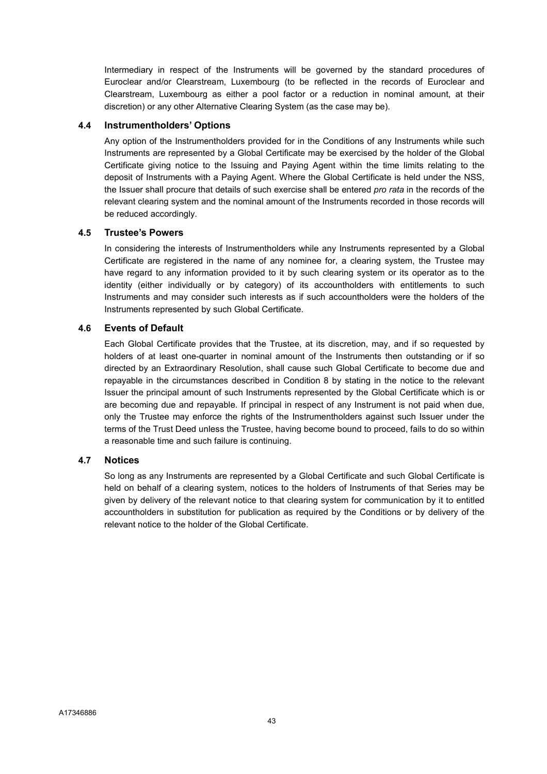Intermediary in respect of the Instruments will be governed by the standard procedures of Euroclear and/or Clearstream, Luxembourg (to be reflected in the records of Euroclear and Clearstream, Luxembourg as either a pool factor or a reduction in nominal amount, at their discretion) or any other Alternative Clearing System (as the case may be).

## 4.4 Instrumentholders' Options

Any option of the Instrumentholders provided for in the Conditions of any Instruments while such Instruments are represented by a Global Certificate may be exercised by the holder of the Global Certificate giving notice to the Issuing and Paying Agent within the time limits relating to the deposit of Instruments with a Paying Agent. Where the Global Certificate is held under the NSS, the Issuer shall procure that details of such exercise shall be entered *pro rata* in the records of the relevant clearing system and the nominal amount of the Instruments recorded in those records will be reduced accordingly.

## 4.5 Trustee's Powers

In considering the interests of Instrumentholders while any Instruments represented by a Global Certificate are registered in the name of any nominee for, a clearing system, the Trustee may have regard to any information provided to it by such clearing system or its operator as to the identity (either individually or by category) of its accountholders with entitlements to such Instruments and may consider such interests as if such accountholders were the holders of the Instruments represented by such Global Certificate.

### 4.6 Events of Default

Each Global Certificate provides that the Trustee, at its discretion, may, and if so requested by holders of at least one-quarter in nominal amount of the Instruments then outstanding or if so directed by an Extraordinary Resolution, shall cause such Global Certificate to become due and repayable in the circumstances described in Condition 8 by stating in the notice to the relevant Issuer the principal amount of such Instruments represented by the Global Certificate which is or are becoming due and repayable. If principal in respect of any Instrument is not paid when due, only the Trustee may enforce the rights of the Instrumentholders against such Issuer under the terms of the Trust Deed unless the Trustee, having become bound to proceed, fails to do so within a reasonable time and such failure is continuing.

## 4.7 Notices

So long as any Instruments are represented by a Global Certificate and such Global Certificate is held on behalf of a clearing system, notices to the holders of Instruments of that Series may be given by delivery of the relevant notice to that clearing system for communication by it to entitled accountholders in substitution for publication as required by the Conditions or by delivery of the relevant notice to the holder of the Global Certificate.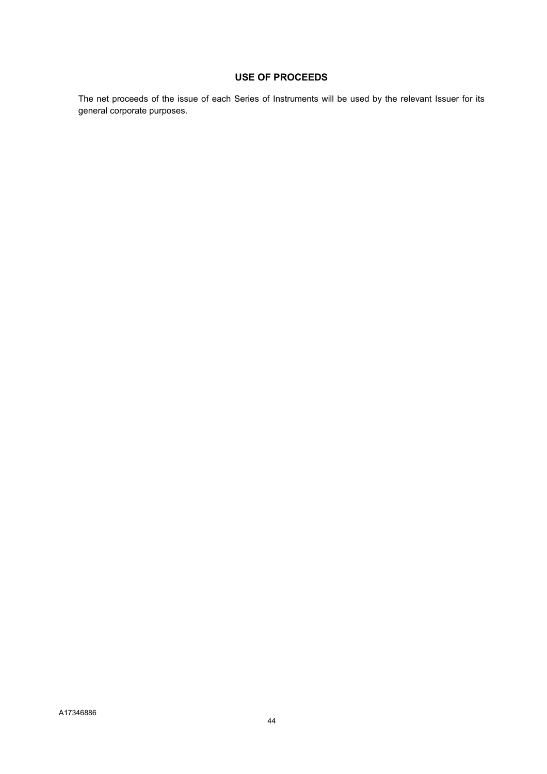# USE OF PROCEEDS

The net proceeds of the issue of each Series of Instruments will be used by the relevant Issuer for its general corporate purposes.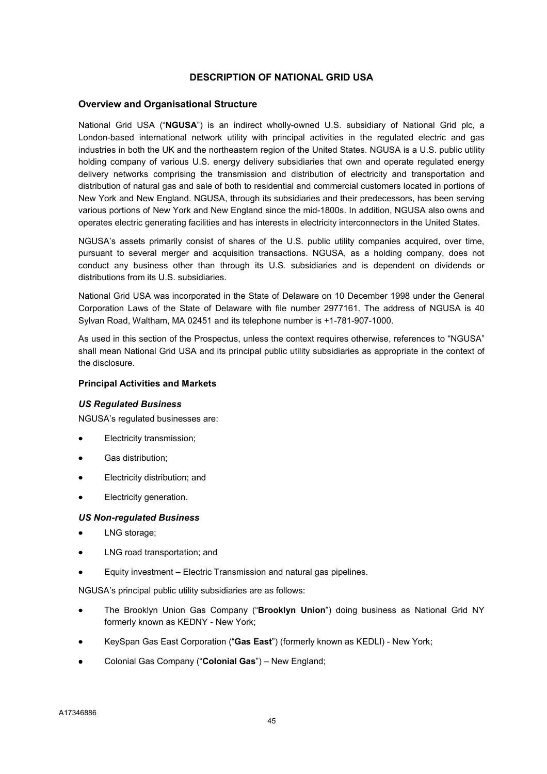## DESCRIPTION OF NATIONAL GRID USA

### Overview and Organisational Structure

National Grid USA ("NGUSA") is an indirect wholly-owned U.S. subsidiary of National Grid plc, a London-based international network utility with principal activities in the regulated electric and gas industries in both the UK and the northeastern region of the United States. NGUSA is a U.S. public utility holding company of various U.S. energy delivery subsidiaries that own and operate regulated energy delivery networks comprising the transmission and distribution of electricity and transportation and distribution of natural gas and sale of both to residential and commercial customers located in portions of New York and New England. NGUSA, through its subsidiaries and their predecessors, has been serving various portions of New York and New England since the mid-1800s. In addition, NGUSA also owns and operates electric generating facilities and has interests in electricity interconnectors in the United States.

NGUSA's assets primarily consist of shares of the U.S. public utility companies acquired, over time, pursuant to several merger and acquisition transactions. NGUSA, as a holding company, does not conduct any business other than through its U.S. subsidiaries and is dependent on dividends or distributions from its U.S. subsidiaries.

National Grid USA was incorporated in the State of Delaware on 10 December 1998 under the General Corporation Laws of the State of Delaware with file number 2977161. The address of NGUSA is 40 Sylvan Road, Waltham, MA 02451 and its telephone number is +1-781-907-1000.

As used in this section of the Prospectus, unless the context requires otherwise, references to "NGUSA" shall mean National Grid USA and its principal public utility subsidiaries as appropriate in the context of the disclosure.

### Principal Activities and Markets

#### US Regulated Business

NGUSA's regulated businesses are:

- Electricity transmission;
- Gas distribution;
- Electricity distribution; and
- Electricity generation.

#### US Non-regulated Business

- LNG storage;
- LNG road transportation; and
- Equity investment Electric Transmission and natural gas pipelines.

NGUSA's principal public utility subsidiaries are as follows:

- The Brooklyn Union Gas Company ("Brooklyn Union") doing business as National Grid NY formerly known as KEDNY - New York;
- KeySpan Gas East Corporation ("Gas East") (formerly known as KEDLI) New York;
- Colonial Gas Company ("Colonial Gas") New England;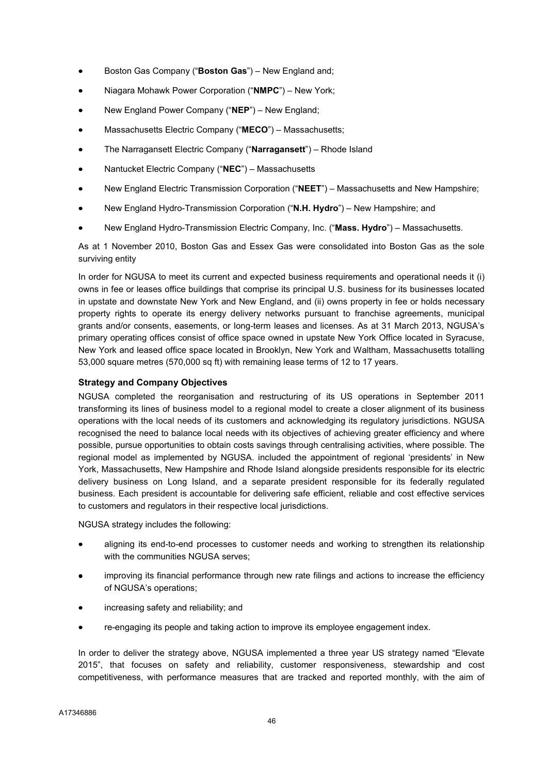- Boston Gas Company ("Boston Gas") New England and;
- Niagara Mohawk Power Corporation ("NMPC") New York;
- New England Power Company ("NEP") New England;
- Massachusetts Electric Company ("MECO") Massachusetts;
- The Narragansett Electric Company ("Narragansett") Rhode Island
- Nantucket Electric Company ("NEC") Massachusetts
- New England Electric Transmission Corporation ("NEET") Massachusetts and New Hampshire;
- New England Hydro-Transmission Corporation ("N.H. Hydro") New Hampshire; and
- New England Hydro-Transmission Electric Company, Inc. ("Mass. Hydro") Massachusetts.

As at 1 November 2010, Boston Gas and Essex Gas were consolidated into Boston Gas as the sole surviving entity

In order for NGUSA to meet its current and expected business requirements and operational needs it (i) owns in fee or leases office buildings that comprise its principal U.S. business for its businesses located in upstate and downstate New York and New England, and (ii) owns property in fee or holds necessary property rights to operate its energy delivery networks pursuant to franchise agreements, municipal grants and/or consents, easements, or long-term leases and licenses. As at 31 March 2013, NGUSA's primary operating offices consist of office space owned in upstate New York Office located in Syracuse, New York and leased office space located in Brooklyn, New York and Waltham, Massachusetts totalling 53,000 square metres (570,000 sq ft) with remaining lease terms of 12 to 17 years.

### Strategy and Company Objectives

NGUSA completed the reorganisation and restructuring of its US operations in September 2011 transforming its lines of business model to a regional model to create a closer alignment of its business operations with the local needs of its customers and acknowledging its regulatory jurisdictions. NGUSA recognised the need to balance local needs with its objectives of achieving greater efficiency and where possible, pursue opportunities to obtain costs savings through centralising activities, where possible. The regional model as implemented by NGUSA. included the appointment of regional 'presidents' in New York, Massachusetts, New Hampshire and Rhode Island alongside presidents responsible for its electric delivery business on Long Island, and a separate president responsible for its federally regulated business. Each president is accountable for delivering safe efficient, reliable and cost effective services to customers and regulators in their respective local jurisdictions.

NGUSA strategy includes the following:

- aligning its end-to-end processes to customer needs and working to strengthen its relationship with the communities NGUSA serves;
- improving its financial performance through new rate filings and actions to increase the efficiency of NGUSA's operations;
- increasing safety and reliability; and
- re-engaging its people and taking action to improve its employee engagement index.

In order to deliver the strategy above, NGUSA implemented a three year US strategy named "Elevate 2015", that focuses on safety and reliability, customer responsiveness, stewardship and cost competitiveness, with performance measures that are tracked and reported monthly, with the aim of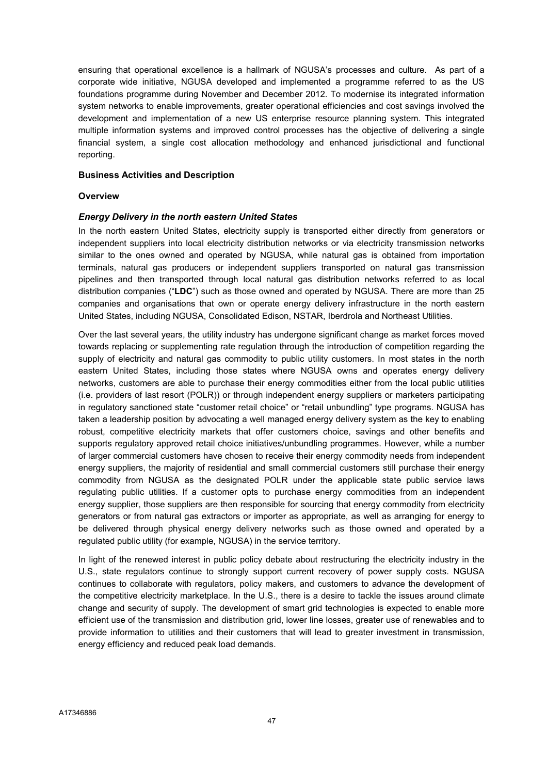ensuring that operational excellence is a hallmark of NGUSA's processes and culture. As part of a corporate wide initiative, NGUSA developed and implemented a programme referred to as the US foundations programme during November and December 2012. To modernise its integrated information system networks to enable improvements, greater operational efficiencies and cost savings involved the development and implementation of a new US enterprise resource planning system. This integrated multiple information systems and improved control processes has the objective of delivering a single financial system, a single cost allocation methodology and enhanced jurisdictional and functional reporting.

### Business Activities and Description

### **Overview**

## Energy Delivery in the north eastern United States

In the north eastern United States, electricity supply is transported either directly from generators or independent suppliers into local electricity distribution networks or via electricity transmission networks similar to the ones owned and operated by NGUSA, while natural gas is obtained from importation terminals, natural gas producers or independent suppliers transported on natural gas transmission pipelines and then transported through local natural gas distribution networks referred to as local distribution companies ("LDC") such as those owned and operated by NGUSA. There are more than 25 companies and organisations that own or operate energy delivery infrastructure in the north eastern United States, including NGUSA, Consolidated Edison, NSTAR, Iberdrola and Northeast Utilities.

Over the last several years, the utility industry has undergone significant change as market forces moved towards replacing or supplementing rate regulation through the introduction of competition regarding the supply of electricity and natural gas commodity to public utility customers. In most states in the north eastern United States, including those states where NGUSA owns and operates energy delivery networks, customers are able to purchase their energy commodities either from the local public utilities (i.e. providers of last resort (POLR)) or through independent energy suppliers or marketers participating in regulatory sanctioned state "customer retail choice" or "retail unbundling" type programs. NGUSA has taken a leadership position by advocating a well managed energy delivery system as the key to enabling robust, competitive electricity markets that offer customers choice, savings and other benefits and supports regulatory approved retail choice initiatives/unbundling programmes. However, while a number of larger commercial customers have chosen to receive their energy commodity needs from independent energy suppliers, the majority of residential and small commercial customers still purchase their energy commodity from NGUSA as the designated POLR under the applicable state public service laws regulating public utilities. If a customer opts to purchase energy commodities from an independent energy supplier, those suppliers are then responsible for sourcing that energy commodity from electricity generators or from natural gas extractors or importer as appropriate, as well as arranging for energy to be delivered through physical energy delivery networks such as those owned and operated by a regulated public utility (for example, NGUSA) in the service territory.

In light of the renewed interest in public policy debate about restructuring the electricity industry in the U.S., state regulators continue to strongly support current recovery of power supply costs. NGUSA continues to collaborate with regulators, policy makers, and customers to advance the development of the competitive electricity marketplace. In the U.S., there is a desire to tackle the issues around climate change and security of supply. The development of smart grid technologies is expected to enable more efficient use of the transmission and distribution grid, lower line losses, greater use of renewables and to provide information to utilities and their customers that will lead to greater investment in transmission, energy efficiency and reduced peak load demands.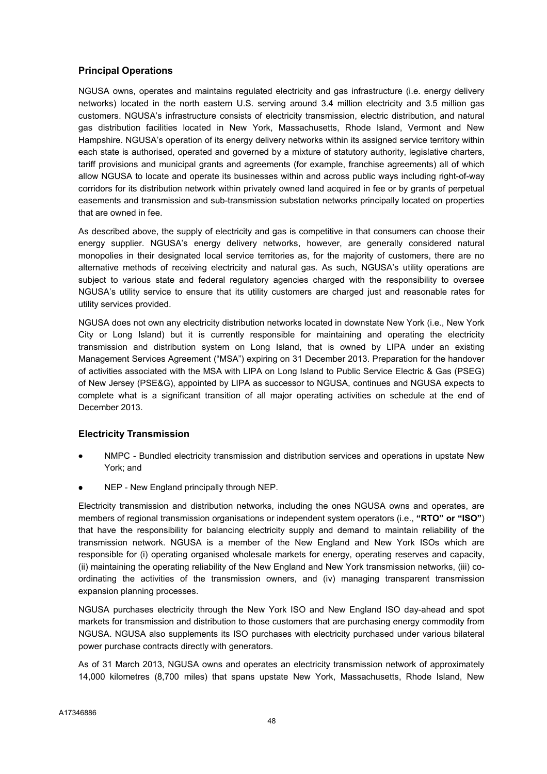## Principal Operations

NGUSA owns, operates and maintains regulated electricity and gas infrastructure (i.e. energy delivery networks) located in the north eastern U.S. serving around 3.4 million electricity and 3.5 million gas customers. NGUSA's infrastructure consists of electricity transmission, electric distribution, and natural gas distribution facilities located in New York, Massachusetts, Rhode Island, Vermont and New Hampshire. NGUSA's operation of its energy delivery networks within its assigned service territory within each state is authorised, operated and governed by a mixture of statutory authority, legislative charters, tariff provisions and municipal grants and agreements (for example, franchise agreements) all of which allow NGUSA to locate and operate its businesses within and across public ways including right-of-way corridors for its distribution network within privately owned land acquired in fee or by grants of perpetual easements and transmission and sub-transmission substation networks principally located on properties that are owned in fee.

As described above, the supply of electricity and gas is competitive in that consumers can choose their energy supplier. NGUSA's energy delivery networks, however, are generally considered natural monopolies in their designated local service territories as, for the majority of customers, there are no alternative methods of receiving electricity and natural gas. As such, NGUSA's utility operations are subject to various state and federal regulatory agencies charged with the responsibility to oversee NGUSA's utility service to ensure that its utility customers are charged just and reasonable rates for utility services provided.

NGUSA does not own any electricity distribution networks located in downstate New York (i.e., New York City or Long Island) but it is currently responsible for maintaining and operating the electricity transmission and distribution system on Long Island, that is owned by LIPA under an existing Management Services Agreement ("MSA") expiring on 31 December 2013. Preparation for the handover of activities associated with the MSA with LIPA on Long Island to Public Service Electric & Gas (PSEG) of New Jersey (PSE&G), appointed by LIPA as successor to NGUSA, continues and NGUSA expects to complete what is a significant transition of all major operating activities on schedule at the end of December 2013.

# Electricity Transmission

- NMPC Bundled electricity transmission and distribution services and operations in upstate New York; and
- NEP New England principally through NEP.

Electricity transmission and distribution networks, including the ones NGUSA owns and operates, are members of regional transmission organisations or independent system operators (i.e., "RTO" or "ISO") that have the responsibility for balancing electricity supply and demand to maintain reliability of the transmission network. NGUSA is a member of the New England and New York ISOs which are responsible for (i) operating organised wholesale markets for energy, operating reserves and capacity, (ii) maintaining the operating reliability of the New England and New York transmission networks, (iii) coordinating the activities of the transmission owners, and (iv) managing transparent transmission expansion planning processes.

NGUSA purchases electricity through the New York ISO and New England ISO day-ahead and spot markets for transmission and distribution to those customers that are purchasing energy commodity from NGUSA. NGUSA also supplements its ISO purchases with electricity purchased under various bilateral power purchase contracts directly with generators.

As of 31 March 2013, NGUSA owns and operates an electricity transmission network of approximately 14,000 kilometres (8,700 miles) that spans upstate New York, Massachusetts, Rhode Island, New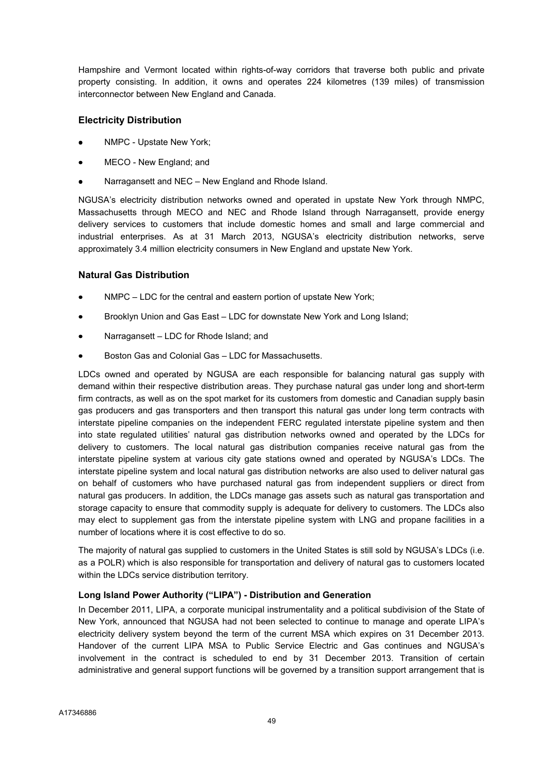Hampshire and Vermont located within rights-of-way corridors that traverse both public and private property consisting. In addition, it owns and operates 224 kilometres (139 miles) of transmission interconnector between New England and Canada.

## Electricity Distribution

- NMPC Upstate New York;
- MECO New England; and
- Narragansett and NEC New England and Rhode Island.

NGUSA's electricity distribution networks owned and operated in upstate New York through NMPC, Massachusetts through MECO and NEC and Rhode Island through Narragansett, provide energy delivery services to customers that include domestic homes and small and large commercial and industrial enterprises. As at 31 March 2013, NGUSA's electricity distribution networks, serve approximately 3.4 million electricity consumers in New England and upstate New York.

## Natural Gas Distribution

- NMPC LDC for the central and eastern portion of upstate New York;
- Brooklyn Union and Gas East LDC for downstate New York and Long Island;
- Narragansett LDC for Rhode Island; and
- Boston Gas and Colonial Gas LDC for Massachusetts.

LDCs owned and operated by NGUSA are each responsible for balancing natural gas supply with demand within their respective distribution areas. They purchase natural gas under long and short-term firm contracts, as well as on the spot market for its customers from domestic and Canadian supply basin gas producers and gas transporters and then transport this natural gas under long term contracts with interstate pipeline companies on the independent FERC regulated interstate pipeline system and then into state regulated utilities' natural gas distribution networks owned and operated by the LDCs for delivery to customers. The local natural gas distribution companies receive natural gas from the interstate pipeline system at various city gate stations owned and operated by NGUSA's LDCs. The interstate pipeline system and local natural gas distribution networks are also used to deliver natural gas on behalf of customers who have purchased natural gas from independent suppliers or direct from natural gas producers. In addition, the LDCs manage gas assets such as natural gas transportation and storage capacity to ensure that commodity supply is adequate for delivery to customers. The LDCs also may elect to supplement gas from the interstate pipeline system with LNG and propane facilities in a number of locations where it is cost effective to do so.

The majority of natural gas supplied to customers in the United States is still sold by NGUSA's LDCs (i.e. as a POLR) which is also responsible for transportation and delivery of natural gas to customers located within the LDCs service distribution territory.

## Long Island Power Authority ("LIPA") - Distribution and Generation

In December 2011, LIPA, a corporate municipal instrumentality and a political subdivision of the State of New York, announced that NGUSA had not been selected to continue to manage and operate LIPA's electricity delivery system beyond the term of the current MSA which expires on 31 December 2013. Handover of the current LIPA MSA to Public Service Electric and Gas continues and NGUSA's involvement in the contract is scheduled to end by 31 December 2013. Transition of certain administrative and general support functions will be governed by a transition support arrangement that is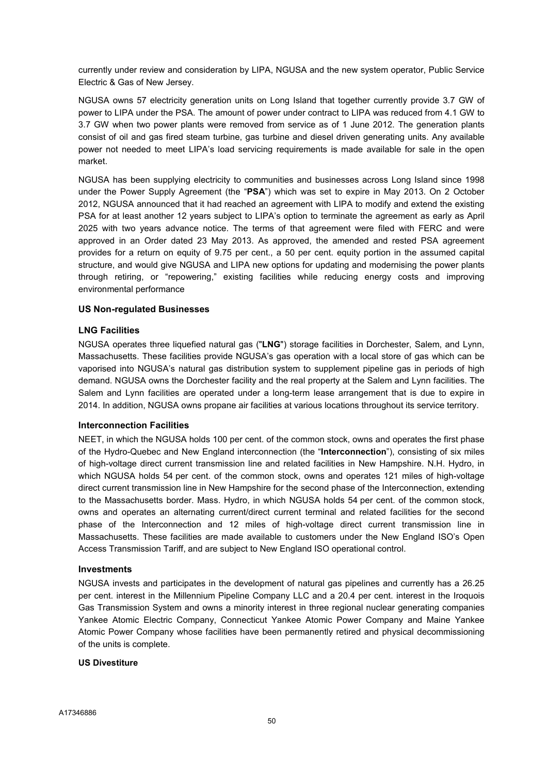currently under review and consideration by LIPA, NGUSA and the new system operator, Public Service Electric & Gas of New Jersey.

NGUSA owns 57 electricity generation units on Long Island that together currently provide 3.7 GW of power to LIPA under the PSA. The amount of power under contract to LIPA was reduced from 4.1 GW to 3.7 GW when two power plants were removed from service as of 1 June 2012. The generation plants consist of oil and gas fired steam turbine, gas turbine and diesel driven generating units. Any available power not needed to meet LIPA's load servicing requirements is made available for sale in the open market.

NGUSA has been supplying electricity to communities and businesses across Long Island since 1998 under the Power Supply Agreement (the "PSA") which was set to expire in May 2013. On 2 October 2012, NGUSA announced that it had reached an agreement with LIPA to modify and extend the existing PSA for at least another 12 years subject to LIPA's option to terminate the agreement as early as April 2025 with two years advance notice. The terms of that agreement were filed with FERC and were approved in an Order dated 23 May 2013. As approved, the amended and rested PSA agreement provides for a return on equity of 9.75 per cent., a 50 per cent. equity portion in the assumed capital structure, and would give NGUSA and LIPA new options for updating and modernising the power plants through retiring, or "repowering," existing facilities while reducing energy costs and improving environmental performance

### US Non-regulated Businesses

## LNG Facilities

NGUSA operates three liquefied natural gas ("LNG") storage facilities in Dorchester, Salem, and Lynn, Massachusetts. These facilities provide NGUSA's gas operation with a local store of gas which can be vaporised into NGUSA's natural gas distribution system to supplement pipeline gas in periods of high demand. NGUSA owns the Dorchester facility and the real property at the Salem and Lynn facilities. The Salem and Lynn facilities are operated under a long-term lease arrangement that is due to expire in 2014. In addition, NGUSA owns propane air facilities at various locations throughout its service territory.

#### Interconnection Facilities

NEET, in which the NGUSA holds 100 per cent. of the common stock, owns and operates the first phase of the Hydro-Quebec and New England interconnection (the "Interconnection"), consisting of six miles of high-voltage direct current transmission line and related facilities in New Hampshire. N.H. Hydro, in which NGUSA holds 54 per cent. of the common stock, owns and operates 121 miles of high-voltage direct current transmission line in New Hampshire for the second phase of the Interconnection, extending to the Massachusetts border. Mass. Hydro, in which NGUSA holds 54 per cent. of the common stock, owns and operates an alternating current/direct current terminal and related facilities for the second phase of the Interconnection and 12 miles of high-voltage direct current transmission line in Massachusetts. These facilities are made available to customers under the New England ISO's Open Access Transmission Tariff, and are subject to New England ISO operational control.

#### Investments

NGUSA invests and participates in the development of natural gas pipelines and currently has a 26.25 per cent. interest in the Millennium Pipeline Company LLC and a 20.4 per cent. interest in the Iroquois Gas Transmission System and owns a minority interest in three regional nuclear generating companies Yankee Atomic Electric Company, Connecticut Yankee Atomic Power Company and Maine Yankee Atomic Power Company whose facilities have been permanently retired and physical decommissioning of the units is complete.

#### US Divestiture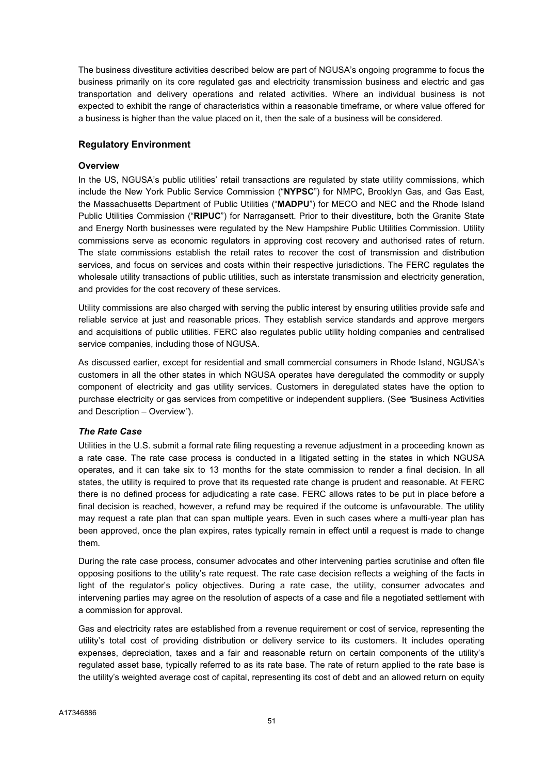The business divestiture activities described below are part of NGUSA's ongoing programme to focus the business primarily on its core regulated gas and electricity transmission business and electric and gas transportation and delivery operations and related activities. Where an individual business is not expected to exhibit the range of characteristics within a reasonable timeframe, or where value offered for a business is higher than the value placed on it, then the sale of a business will be considered.

## Regulatory Environment

## **Overview**

In the US, NGUSA's public utilities' retail transactions are regulated by state utility commissions, which include the New York Public Service Commission ("NYPSC") for NMPC, Brooklyn Gas, and Gas East, the Massachusetts Department of Public Utilities ("MADPU") for MECO and NEC and the Rhode Island Public Utilities Commission ("RIPUC") for Narragansett. Prior to their divestiture, both the Granite State and Energy North businesses were regulated by the New Hampshire Public Utilities Commission. Utility commissions serve as economic regulators in approving cost recovery and authorised rates of return. The state commissions establish the retail rates to recover the cost of transmission and distribution services, and focus on services and costs within their respective jurisdictions. The FERC regulates the wholesale utility transactions of public utilities, such as interstate transmission and electricity generation, and provides for the cost recovery of these services.

Utility commissions are also charged with serving the public interest by ensuring utilities provide safe and reliable service at just and reasonable prices. They establish service standards and approve mergers and acquisitions of public utilities. FERC also regulates public utility holding companies and centralised service companies, including those of NGUSA.

As discussed earlier, except for residential and small commercial consumers in Rhode Island, NGUSA's customers in all the other states in which NGUSA operates have deregulated the commodity or supply component of electricity and gas utility services. Customers in deregulated states have the option to purchase electricity or gas services from competitive or independent suppliers. (See "Business Activities and Description – Overview").

## The Rate Case

Utilities in the U.S. submit a formal rate filing requesting a revenue adjustment in a proceeding known as a rate case. The rate case process is conducted in a litigated setting in the states in which NGUSA operates, and it can take six to 13 months for the state commission to render a final decision. In all states, the utility is required to prove that its requested rate change is prudent and reasonable. At FERC there is no defined process for adjudicating a rate case. FERC allows rates to be put in place before a final decision is reached, however, a refund may be required if the outcome is unfavourable. The utility may request a rate plan that can span multiple years. Even in such cases where a multi-year plan has been approved, once the plan expires, rates typically remain in effect until a request is made to change them.

During the rate case process, consumer advocates and other intervening parties scrutinise and often file opposing positions to the utility's rate request. The rate case decision reflects a weighing of the facts in light of the regulator's policy objectives. During a rate case, the utility, consumer advocates and intervening parties may agree on the resolution of aspects of a case and file a negotiated settlement with a commission for approval.

Gas and electricity rates are established from a revenue requirement or cost of service, representing the utility's total cost of providing distribution or delivery service to its customers. It includes operating expenses, depreciation, taxes and a fair and reasonable return on certain components of the utility's regulated asset base, typically referred to as its rate base. The rate of return applied to the rate base is the utility's weighted average cost of capital, representing its cost of debt and an allowed return on equity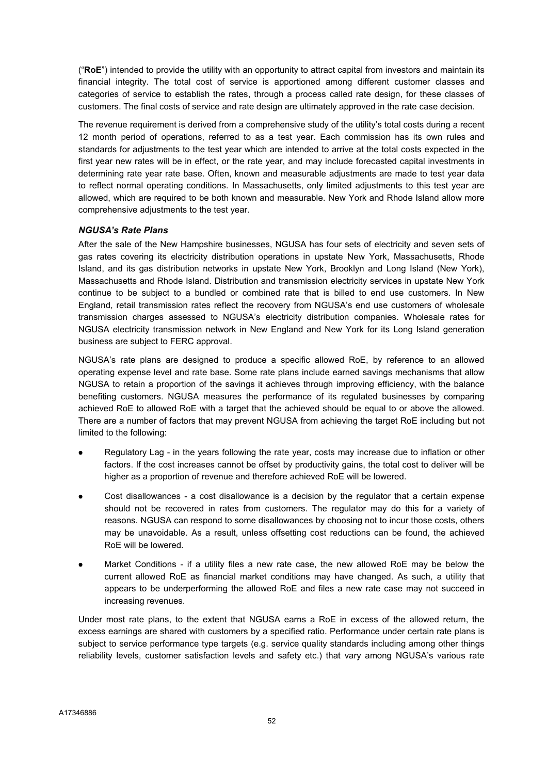("RoE") intended to provide the utility with an opportunity to attract capital from investors and maintain its financial integrity. The total cost of service is apportioned among different customer classes and categories of service to establish the rates, through a process called rate design, for these classes of customers. The final costs of service and rate design are ultimately approved in the rate case decision.

The revenue requirement is derived from a comprehensive study of the utility's total costs during a recent 12 month period of operations, referred to as a test year. Each commission has its own rules and standards for adjustments to the test year which are intended to arrive at the total costs expected in the first year new rates will be in effect, or the rate year, and may include forecasted capital investments in determining rate year rate base. Often, known and measurable adjustments are made to test year data to reflect normal operating conditions. In Massachusetts, only limited adjustments to this test year are allowed, which are required to be both known and measurable. New York and Rhode Island allow more comprehensive adjustments to the test year.

## NGUSA's Rate Plans

After the sale of the New Hampshire businesses, NGUSA has four sets of electricity and seven sets of gas rates covering its electricity distribution operations in upstate New York, Massachusetts, Rhode Island, and its gas distribution networks in upstate New York, Brooklyn and Long Island (New York), Massachusetts and Rhode Island. Distribution and transmission electricity services in upstate New York continue to be subject to a bundled or combined rate that is billed to end use customers. In New England, retail transmission rates reflect the recovery from NGUSA's end use customers of wholesale transmission charges assessed to NGUSA's electricity distribution companies. Wholesale rates for NGUSA electricity transmission network in New England and New York for its Long Island generation business are subject to FERC approval.

NGUSA's rate plans are designed to produce a specific allowed RoE, by reference to an allowed operating expense level and rate base. Some rate plans include earned savings mechanisms that allow NGUSA to retain a proportion of the savings it achieves through improving efficiency, with the balance benefiting customers. NGUSA measures the performance of its regulated businesses by comparing achieved RoE to allowed RoE with a target that the achieved should be equal to or above the allowed. There are a number of factors that may prevent NGUSA from achieving the target RoE including but not limited to the following:

- Regulatory Lag in the years following the rate year, costs may increase due to inflation or other factors. If the cost increases cannot be offset by productivity gains, the total cost to deliver will be higher as a proportion of revenue and therefore achieved RoE will be lowered.
- Cost disallowances a cost disallowance is a decision by the regulator that a certain expense should not be recovered in rates from customers. The regulator may do this for a variety of reasons. NGUSA can respond to some disallowances by choosing not to incur those costs, others may be unavoidable. As a result, unless offsetting cost reductions can be found, the achieved RoE will be lowered.
- Market Conditions if a utility files a new rate case, the new allowed RoE may be below the current allowed RoE as financial market conditions may have changed. As such, a utility that appears to be underperforming the allowed RoE and files a new rate case may not succeed in increasing revenues.

Under most rate plans, to the extent that NGUSA earns a RoE in excess of the allowed return, the excess earnings are shared with customers by a specified ratio. Performance under certain rate plans is subject to service performance type targets (e.g. service quality standards including among other things reliability levels, customer satisfaction levels and safety etc.) that vary among NGUSA's various rate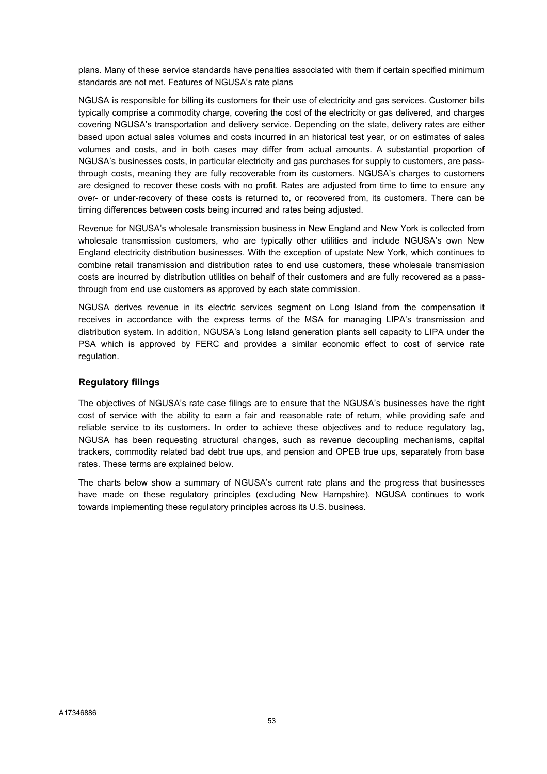plans. Many of these service standards have penalties associated with them if certain specified minimum standards are not met. Features of NGUSA's rate plans

NGUSA is responsible for billing its customers for their use of electricity and gas services. Customer bills typically comprise a commodity charge, covering the cost of the electricity or gas delivered, and charges covering NGUSA's transportation and delivery service. Depending on the state, delivery rates are either based upon actual sales volumes and costs incurred in an historical test year, or on estimates of sales volumes and costs, and in both cases may differ from actual amounts. A substantial proportion of NGUSA's businesses costs, in particular electricity and gas purchases for supply to customers, are passthrough costs, meaning they are fully recoverable from its customers. NGUSA's charges to customers are designed to recover these costs with no profit. Rates are adjusted from time to time to ensure any over- or under-recovery of these costs is returned to, or recovered from, its customers. There can be timing differences between costs being incurred and rates being adjusted.

Revenue for NGUSA's wholesale transmission business in New England and New York is collected from wholesale transmission customers, who are typically other utilities and include NGUSA's own New England electricity distribution businesses. With the exception of upstate New York, which continues to combine retail transmission and distribution rates to end use customers, these wholesale transmission costs are incurred by distribution utilities on behalf of their customers and are fully recovered as a passthrough from end use customers as approved by each state commission.

NGUSA derives revenue in its electric services segment on Long Island from the compensation it receives in accordance with the express terms of the MSA for managing LIPA's transmission and distribution system. In addition, NGUSA's Long Island generation plants sell capacity to LIPA under the PSA which is approved by FERC and provides a similar economic effect to cost of service rate regulation.

## Regulatory filings

The objectives of NGUSA's rate case filings are to ensure that the NGUSA's businesses have the right cost of service with the ability to earn a fair and reasonable rate of return, while providing safe and reliable service to its customers. In order to achieve these objectives and to reduce regulatory lag, NGUSA has been requesting structural changes, such as revenue decoupling mechanisms, capital trackers, commodity related bad debt true ups, and pension and OPEB true ups, separately from base rates. These terms are explained below.

The charts below show a summary of NGUSA's current rate plans and the progress that businesses have made on these regulatory principles (excluding New Hampshire). NGUSA continues to work towards implementing these regulatory principles across its U.S. business.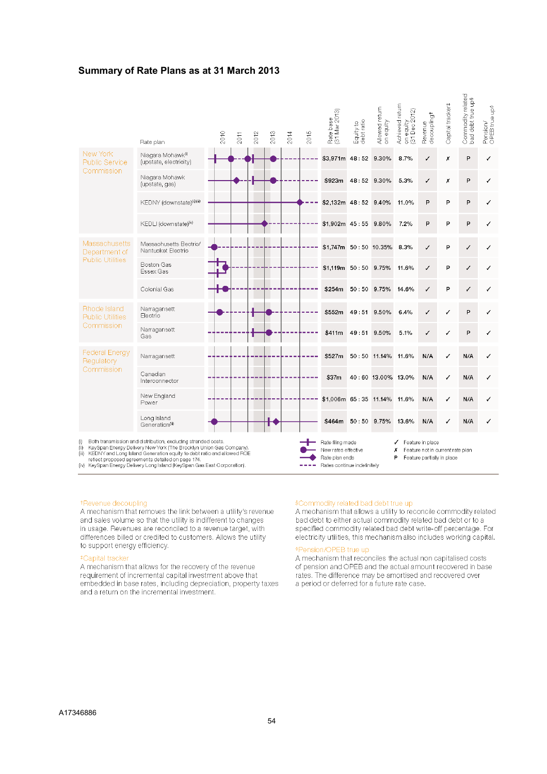### Summary of Rate Plans as at 31 March 2013

|                                                           | Rate plan                                                                                                                                                                                                                                                                                                                                     | 2010 | 2011 | 2012 | 2013 | 2014 | 2015 | Rate base<br>(31 Mar 2013)                                                               | Equity to<br>debt ratio | Allowed return<br>on equity | Achieved return<br>on equity<br>(31 Dec 2012) | decoupling <sup>+</sup><br>Revenue                                                 | Capital tracker# | Commodity related<br>bad debt true up\$ | Pension/<br>OPEB true up <sup>6</sup> |
|-----------------------------------------------------------|-----------------------------------------------------------------------------------------------------------------------------------------------------------------------------------------------------------------------------------------------------------------------------------------------------------------------------------------------|------|------|------|------|------|------|------------------------------------------------------------------------------------------|-------------------------|-----------------------------|-----------------------------------------------|------------------------------------------------------------------------------------|------------------|-----------------------------------------|---------------------------------------|
| New York<br><b>Public Service</b><br>Commission           | Niagara Mohawk <sup>0</sup><br>(upstate, electricity)                                                                                                                                                                                                                                                                                         |      |      |      |      |      |      | \$3,971m 48:52                                                                           |                         | 9.30%                       | 8.7%                                          | ✓                                                                                  | χ                | P                                       | ✓                                     |
|                                                           | Niagara Mohawk<br>(upstate, gas)                                                                                                                                                                                                                                                                                                              |      |      |      |      |      |      | \$923m                                                                                   | 48:52 9.30%             |                             | 5.3%                                          | √                                                                                  | х                | P                                       | ✓                                     |
|                                                           | KEDNY (downstate)(ii) (ii)                                                                                                                                                                                                                                                                                                                    |      |      |      |      |      |      | \$2,132m 48:52 9.40%                                                                     |                         |                             | 11.0%                                         | P                                                                                  | Þ                | P                                       | ✓                                     |
|                                                           | KEDLI (downstate) <sup>(iv)</sup>                                                                                                                                                                                                                                                                                                             |      |      |      |      |      |      | $$1,902m$ 45:55                                                                          |                         | 9.80%                       | 7.2%                                          | P                                                                                  | P                | P                                       | √                                     |
| Massachusetts<br>Department of<br><b>Public Utilities</b> | Massachusetts Electric/<br>Nantucket Electric                                                                                                                                                                                                                                                                                                 |      |      |      |      |      |      | \$1,747m                                                                                 |                         | 50:50 10.35%                | 8.3%                                          | ✓                                                                                  | P                | ✓                                       | ✓                                     |
|                                                           | Boston Gas<br>Essex Gas                                                                                                                                                                                                                                                                                                                       |      |      |      |      |      |      | $$1.119m$ $50:50$ $9.75\%$                                                               |                         |                             | 11.6%                                         | ✓                                                                                  | P                | ✓                                       | ✓                                     |
|                                                           | Colonial Gas                                                                                                                                                                                                                                                                                                                                  |      |      |      |      |      |      | \$254m                                                                                   | 50:50 9.75%             |                             | 14.6%                                         | √                                                                                  | P                | ✓                                       | √                                     |
| Rhode Island<br><b>Public Utilities</b><br>Commission     | Narragansett<br>Electric                                                                                                                                                                                                                                                                                                                      |      |      |      |      |      |      | \$552m                                                                                   | 49:51 9.50%             |                             | 6.4%                                          | √                                                                                  | ✓                | P                                       | ✓                                     |
|                                                           | Narragansett<br>Gas                                                                                                                                                                                                                                                                                                                           |      |      |      |      |      |      | \$411m                                                                                   | 49:51                   | 9.50%                       | 5.1%                                          | √                                                                                  | ✓                | P                                       | ✓                                     |
| <b>Federal Energy</b><br>Regulatory<br>Commission         | Narragansett                                                                                                                                                                                                                                                                                                                                  |      |      |      |      |      |      | \$527m                                                                                   |                         | 50:50 11.14%                | 11.6%                                         | N/A                                                                                | ✓                | N/A                                     | ✓                                     |
|                                                           | Canadian<br>Interconnector                                                                                                                                                                                                                                                                                                                    |      |      |      |      |      |      | \$37m                                                                                    |                         | 40:60 13.00% 13.0%          |                                               | N/A                                                                                | ✓                | N/A                                     | √                                     |
|                                                           | New England<br>Power                                                                                                                                                                                                                                                                                                                          |      |      |      |      |      |      | \$1,006m 65:35 11.14% 11.6%                                                              |                         |                             |                                               | N/A                                                                                | √                | N/A                                     | ✓                                     |
|                                                           | Long Island<br>Generation(iii)                                                                                                                                                                                                                                                                                                                |      |      |      |      |      |      | \$464m                                                                                   | 50:50 9.75%             |                             | 13.6%                                         | N/A                                                                                | √                | N/A                                     | ✓                                     |
| (i)<br>(ii)<br>(iii)                                      | Both transmission and distribution, excluding stranded costs.<br>KeySpan Energy Delivery New York (The Brooklyn Union Gas Company).<br>KEDNY and Long Island Generation equity to debt ratio and allowed ROE<br>reflect proposed agreements detailed on page 174.<br>(iv) KeySpan Energy Delivery Long Island (KeySpan Gas East Corporation). |      |      |      |      |      |      | Rate filing made<br>New rates effective<br>Rate plan ends<br>Rates continue indefinitely |                         |                             | ✓<br>Х<br>P                                   | Feature in place<br>Feature not in current rate plan<br>Feature partially in place |                  |                                         |                                       |

#### \*Revenue decoupling

A mechanism that removes the link between a utility's revenue and sales volume so that the utility is indifferent to changes in usage. Revenues are reconciled to a revenue target, with differences billed or credited to customers. Allows the utility to support energy efficiency.

#### #Capital tracker

A mechanism that allows for the recovery of the revenue requirement of incremental capital investment above that embedded in base rates, including depreciation, property taxes and a return on the incremental investment.

#### \$Commodity related bad debt true up

A mechanism that allows a utility to reconcile commodity related bad debt to either actual commodity related bad debt or to a specified commodity related bad debt write-off percentage. For electricity utilities, this mechanism also includes working capital.

#### \*Pension/OPEB true up

A mechanism that reconciles the actual non capitalised costs of pension and OPEB and the actual amount recovered in base rates. The difference may be amortised and recovered over a period or deferred for a future rate case.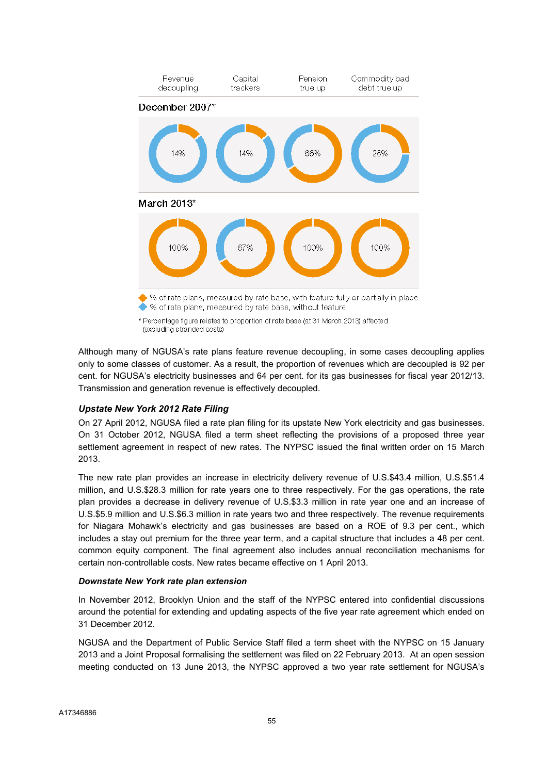

\* Percentage figure relates to proportion of rate base (at 31 March 2013) affected (excluding stranded costs)

Although many of NGUSA's rate plans feature revenue decoupling, in some cases decoupling applies only to some classes of customer. As a result, the proportion of revenues which are decoupled is 92 per cent. for NGUSA's electricity businesses and 64 per cent. for its gas businesses for fiscal year 2012/13. Transmission and generation revenue is effectively decoupled.

## Upstate New York 2012 Rate Filing

On 27 April 2012, NGUSA filed a rate plan filing for its upstate New York electricity and gas businesses. On 31 October 2012, NGUSA filed a term sheet reflecting the provisions of a proposed three year settlement agreement in respect of new rates. The NYPSC issued the final written order on 15 March 2013.

The new rate plan provides an increase in electricity delivery revenue of U.S.\$43.4 million, U.S.\$51.4 million, and U.S.\$28.3 million for rate years one to three respectively. For the gas operations, the rate plan provides a decrease in delivery revenue of U.S.\$3.3 million in rate year one and an increase of U.S.\$5.9 million and U.S.\$6.3 million in rate years two and three respectively. The revenue requirements for Niagara Mohawk's electricity and gas businesses are based on a ROE of 9.3 per cent., which includes a stay out premium for the three year term, and a capital structure that includes a 48 per cent. common equity component. The final agreement also includes annual reconciliation mechanisms for certain non-controllable costs. New rates became effective on 1 April 2013.

## Downstate New York rate plan extension

In November 2012, Brooklyn Union and the staff of the NYPSC entered into confidential discussions around the potential for extending and updating aspects of the five year rate agreement which ended on 31 December 2012.

NGUSA and the Department of Public Service Staff filed a term sheet with the NYPSC on 15 January 2013 and a Joint Proposal formalising the settlement was filed on 22 February 2013. At an open session meeting conducted on 13 June 2013, the NYPSC approved a two year rate settlement for NGUSA's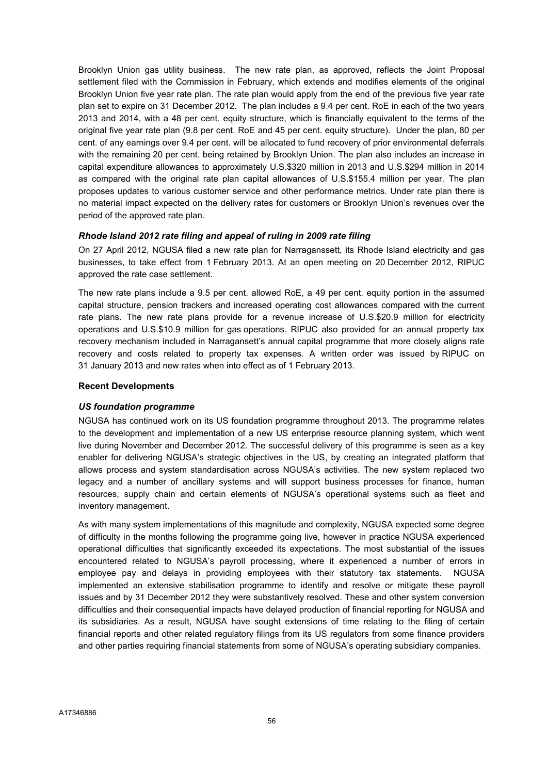Brooklyn Union gas utility business. The new rate plan, as approved, reflects the Joint Proposal settlement filed with the Commission in February, which extends and modifies elements of the original Brooklyn Union five year rate plan. The rate plan would apply from the end of the previous five year rate plan set to expire on 31 December 2012. The plan includes a 9.4 per cent. RoE in each of the two years 2013 and 2014, with a 48 per cent. equity structure, which is financially equivalent to the terms of the original five year rate plan (9.8 per cent. RoE and 45 per cent. equity structure). Under the plan, 80 per cent. of any earnings over 9.4 per cent. will be allocated to fund recovery of prior environmental deferrals with the remaining 20 per cent. being retained by Brooklyn Union. The plan also includes an increase in capital expenditure allowances to approximately U.S.\$320 million in 2013 and U.S.\$294 million in 2014 as compared with the original rate plan capital allowances of U.S.\$155.4 million per year. The plan proposes updates to various customer service and other performance metrics. Under rate plan there is no material impact expected on the delivery rates for customers or Brooklyn Union's revenues over the period of the approved rate plan.

### Rhode Island 2012 rate filing and appeal of ruling in 2009 rate filing

On 27 April 2012, NGUSA filed a new rate plan for Narraganssett, its Rhode Island electricity and gas businesses, to take effect from 1 February 2013. At an open meeting on 20 December 2012, RIPUC approved the rate case settlement.

The new rate plans include a 9.5 per cent. allowed RoE, a 49 per cent. equity portion in the assumed capital structure, pension trackers and increased operating cost allowances compared with the current rate plans. The new rate plans provide for a revenue increase of U.S.\$20.9 million for electricity operations and U.S.\$10.9 million for gas operations. RIPUC also provided for an annual property tax recovery mechanism included in Narragansett's annual capital programme that more closely aligns rate recovery and costs related to property tax expenses. A written order was issued by RIPUC on 31 January 2013 and new rates when into effect as of 1 February 2013.

### Recent Developments

## US foundation programme

NGUSA has continued work on its US foundation programme throughout 2013. The programme relates to the development and implementation of a new US enterprise resource planning system, which went live during November and December 2012. The successful delivery of this programme is seen as a key enabler for delivering NGUSA's strategic objectives in the US, by creating an integrated platform that allows process and system standardisation across NGUSA's activities. The new system replaced two legacy and a number of ancillary systems and will support business processes for finance, human resources, supply chain and certain elements of NGUSA's operational systems such as fleet and inventory management.

As with many system implementations of this magnitude and complexity, NGUSA expected some degree of difficulty in the months following the programme going live, however in practice NGUSA experienced operational difficulties that significantly exceeded its expectations. The most substantial of the issues encountered related to NGUSA's payroll processing, where it experienced a number of errors in employee pay and delays in providing employees with their statutory tax statements. NGUSA implemented an extensive stabilisation programme to identify and resolve or mitigate these payroll issues and by 31 December 2012 they were substantively resolved. These and other system conversion difficulties and their consequential impacts have delayed production of financial reporting for NGUSA and its subsidiaries. As a result, NGUSA have sought extensions of time relating to the filing of certain financial reports and other related regulatory filings from its US regulators from some finance providers and other parties requiring financial statements from some of NGUSA's operating subsidiary companies.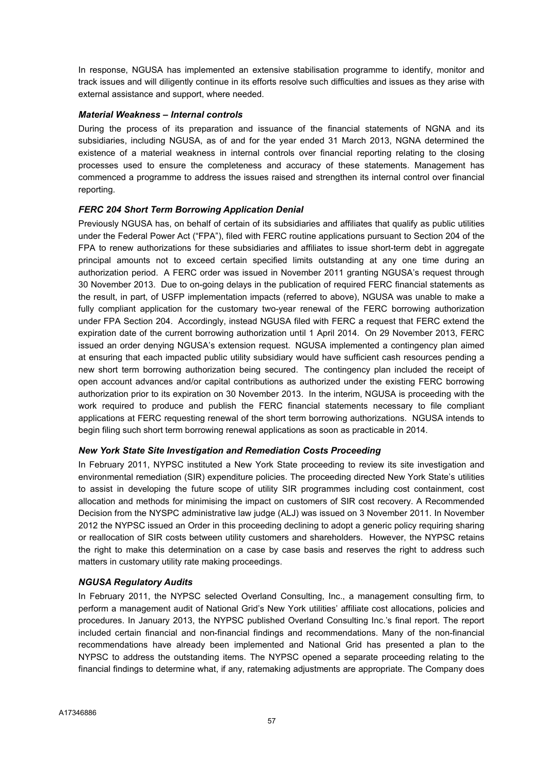In response, NGUSA has implemented an extensive stabilisation programme to identify, monitor and track issues and will diligently continue in its efforts resolve such difficulties and issues as they arise with external assistance and support, where needed.

## Material Weakness – Internal controls

During the process of its preparation and issuance of the financial statements of NGNA and its subsidiaries, including NGUSA, as of and for the year ended 31 March 2013, NGNA determined the existence of a material weakness in internal controls over financial reporting relating to the closing processes used to ensure the completeness and accuracy of these statements. Management has commenced a programme to address the issues raised and strengthen its internal control over financial reporting.

## FERC 204 Short Term Borrowing Application Denial

Previously NGUSA has, on behalf of certain of its subsidiaries and affiliates that qualify as public utilities under the Federal Power Act ("FPA"), filed with FERC routine applications pursuant to Section 204 of the FPA to renew authorizations for these subsidiaries and affiliates to issue short-term debt in aggregate principal amounts not to exceed certain specified limits outstanding at any one time during an authorization period. A FERC order was issued in November 2011 granting NGUSA's request through 30 November 2013. Due to on-going delays in the publication of required FERC financial statements as the result, in part, of USFP implementation impacts (referred to above), NGUSA was unable to make a fully compliant application for the customary two-year renewal of the FERC borrowing authorization under FPA Section 204. Accordingly, instead NGUSA filed with FERC a request that FERC extend the expiration date of the current borrowing authorization until 1 April 2014. On 29 November 2013, FERC issued an order denying NGUSA's extension request. NGUSA implemented a contingency plan aimed at ensuring that each impacted public utility subsidiary would have sufficient cash resources pending a new short term borrowing authorization being secured. The contingency plan included the receipt of open account advances and/or capital contributions as authorized under the existing FERC borrowing authorization prior to its expiration on 30 November 2013. In the interim, NGUSA is proceeding with the work required to produce and publish the FERC financial statements necessary to file compliant applications at FERC requesting renewal of the short term borrowing authorizations. NGUSA intends to begin filing such short term borrowing renewal applications as soon as practicable in 2014.

## New York State Site Investigation and Remediation Costs Proceeding

In February 2011, NYPSC instituted a New York State proceeding to review its site investigation and environmental remediation (SIR) expenditure policies. The proceeding directed New York State's utilities to assist in developing the future scope of utility SIR programmes including cost containment, cost allocation and methods for minimising the impact on customers of SIR cost recovery. A Recommended Decision from the NYSPC administrative law judge (ALJ) was issued on 3 November 2011. In November 2012 the NYPSC issued an Order in this proceeding declining to adopt a generic policy requiring sharing or reallocation of SIR costs between utility customers and shareholders. However, the NYPSC retains the right to make this determination on a case by case basis and reserves the right to address such matters in customary utility rate making proceedings.

#### NGUSA Regulatory Audits

In February 2011, the NYPSC selected Overland Consulting, Inc., a management consulting firm, to perform a management audit of National Grid's New York utilities' affiliate cost allocations, policies and procedures. In January 2013, the NYPSC published Overland Consulting Inc.'s final report. The report included certain financial and non-financial findings and recommendations. Many of the non-financial recommendations have already been implemented and National Grid has presented a plan to the NYPSC to address the outstanding items. The NYPSC opened a separate proceeding relating to the financial findings to determine what, if any, ratemaking adjustments are appropriate. The Company does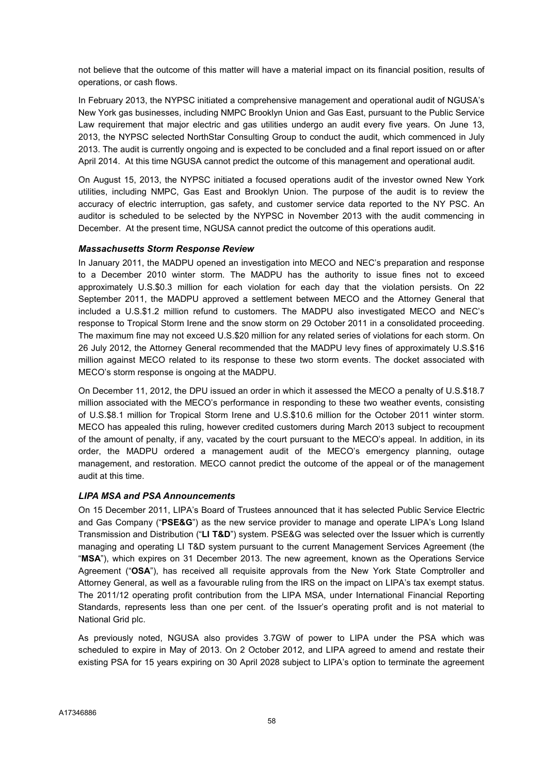not believe that the outcome of this matter will have a material impact on its financial position, results of operations, or cash flows.

In February 2013, the NYPSC initiated a comprehensive management and operational audit of NGUSA's New York gas businesses, including NMPC Brooklyn Union and Gas East, pursuant to the Public Service Law requirement that major electric and gas utilities undergo an audit every five years. On June 13, 2013, the NYPSC selected NorthStar Consulting Group to conduct the audit, which commenced in July 2013. The audit is currently ongoing and is expected to be concluded and a final report issued on or after April 2014. At this time NGUSA cannot predict the outcome of this management and operational audit.

On August 15, 2013, the NYPSC initiated a focused operations audit of the investor owned New York utilities, including NMPC, Gas East and Brooklyn Union. The purpose of the audit is to review the accuracy of electric interruption, gas safety, and customer service data reported to the NY PSC. An auditor is scheduled to be selected by the NYPSC in November 2013 with the audit commencing in December. At the present time, NGUSA cannot predict the outcome of this operations audit.

## Massachusetts Storm Response Review

In January 2011, the MADPU opened an investigation into MECO and NEC's preparation and response to a December 2010 winter storm. The MADPU has the authority to issue fines not to exceed approximately U.S.\$0.3 million for each violation for each day that the violation persists. On 22 September 2011, the MADPU approved a settlement between MECO and the Attorney General that included a U.S.\$1.2 million refund to customers. The MADPU also investigated MECO and NEC's response to Tropical Storm Irene and the snow storm on 29 October 2011 in a consolidated proceeding. The maximum fine may not exceed U.S.\$20 million for any related series of violations for each storm. On 26 July 2012, the Attorney General recommended that the MADPU levy fines of approximately U.S.\$16 million against MECO related to its response to these two storm events. The docket associated with MECO's storm response is ongoing at the MADPU.

On December 11, 2012, the DPU issued an order in which it assessed the MECO a penalty of U.S.\$18.7 million associated with the MECO's performance in responding to these two weather events, consisting of U.S.\$8.1 million for Tropical Storm Irene and U.S.\$10.6 million for the October 2011 winter storm. MECO has appealed this ruling, however credited customers during March 2013 subject to recoupment of the amount of penalty, if any, vacated by the court pursuant to the MECO's appeal. In addition, in its order, the MADPU ordered a management audit of the MECO's emergency planning, outage management, and restoration. MECO cannot predict the outcome of the appeal or of the management audit at this time.

## LIPA MSA and PSA Announcements

On 15 December 2011, LIPA's Board of Trustees announced that it has selected Public Service Electric and Gas Company ("PSE&G") as the new service provider to manage and operate LIPA's Long Island Transmission and Distribution ("LI T&D") system. PSE&G was selected over the Issuer which is currently managing and operating LI T&D system pursuant to the current Management Services Agreement (the "MSA"), which expires on 31 December 2013. The new agreement, known as the Operations Service Agreement ("OSA"), has received all requisite approvals from the New York State Comptroller and Attorney General, as well as a favourable ruling from the IRS on the impact on LIPA's tax exempt status. The 2011/12 operating profit contribution from the LIPA MSA, under International Financial Reporting Standards, represents less than one per cent. of the Issuer's operating profit and is not material to National Grid plc.

As previously noted, NGUSA also provides 3.7GW of power to LIPA under the PSA which was scheduled to expire in May of 2013. On 2 October 2012, and LIPA agreed to amend and restate their existing PSA for 15 years expiring on 30 April 2028 subject to LIPA's option to terminate the agreement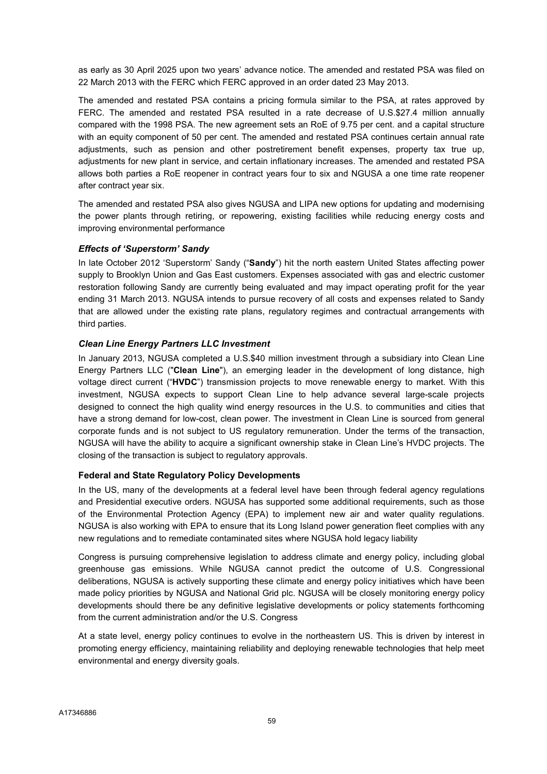as early as 30 April 2025 upon two years' advance notice. The amended and restated PSA was filed on 22 March 2013 with the FERC which FERC approved in an order dated 23 May 2013.

The amended and restated PSA contains a pricing formula similar to the PSA, at rates approved by FERC. The amended and restated PSA resulted in a rate decrease of U.S.\$27.4 million annually compared with the 1998 PSA. The new agreement sets an RoE of 9.75 per cent. and a capital structure with an equity component of 50 per cent. The amended and restated PSA continues certain annual rate adjustments, such as pension and other postretirement benefit expenses, property tax true up, adjustments for new plant in service, and certain inflationary increases. The amended and restated PSA allows both parties a RoE reopener in contract years four to six and NGUSA a one time rate reopener after contract year six.

The amended and restated PSA also gives NGUSA and LIPA new options for updating and modernising the power plants through retiring, or repowering, existing facilities while reducing energy costs and improving environmental performance

## Effects of 'Superstorm' Sandy

In late October 2012 'Superstorm' Sandy ("Sandy") hit the north eastern United States affecting power supply to Brooklyn Union and Gas East customers. Expenses associated with gas and electric customer restoration following Sandy are currently being evaluated and may impact operating profit for the year ending 31 March 2013. NGUSA intends to pursue recovery of all costs and expenses related to Sandy that are allowed under the existing rate plans, regulatory regimes and contractual arrangements with third parties.

## Clean Line Energy Partners LLC Investment

In January 2013, NGUSA completed a U.S.\$40 million investment through a subsidiary into Clean Line Energy Partners LLC ("Clean Line"), an emerging leader in the development of long distance, high voltage direct current ("HVDC") transmission projects to move renewable energy to market. With this investment, NGUSA expects to support Clean Line to help advance several large-scale projects designed to connect the high quality wind energy resources in the U.S. to communities and cities that have a strong demand for low-cost, clean power. The investment in Clean Line is sourced from general corporate funds and is not subject to US regulatory remuneration. Under the terms of the transaction, NGUSA will have the ability to acquire a significant ownership stake in Clean Line's HVDC projects. The closing of the transaction is subject to regulatory approvals.

## Federal and State Regulatory Policy Developments

In the US, many of the developments at a federal level have been through federal agency regulations and Presidential executive orders. NGUSA has supported some additional requirements, such as those of the Environmental Protection Agency (EPA) to implement new air and water quality regulations. NGUSA is also working with EPA to ensure that its Long Island power generation fleet complies with any new regulations and to remediate contaminated sites where NGUSA hold legacy liability

Congress is pursuing comprehensive legislation to address climate and energy policy, including global greenhouse gas emissions. While NGUSA cannot predict the outcome of U.S. Congressional deliberations, NGUSA is actively supporting these climate and energy policy initiatives which have been made policy priorities by NGUSA and National Grid plc. NGUSA will be closely monitoring energy policy developments should there be any definitive legislative developments or policy statements forthcoming from the current administration and/or the U.S. Congress

At a state level, energy policy continues to evolve in the northeastern US. This is driven by interest in promoting energy efficiency, maintaining reliability and deploying renewable technologies that help meet environmental and energy diversity goals.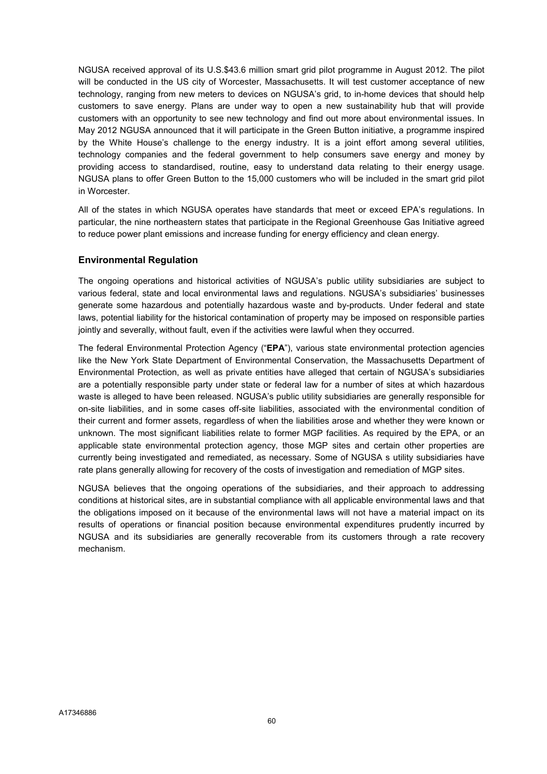NGUSA received approval of its U.S.\$43.6 million smart grid pilot programme in August 2012. The pilot will be conducted in the US city of Worcester, Massachusetts. It will test customer acceptance of new technology, ranging from new meters to devices on NGUSA's grid, to in-home devices that should help customers to save energy. Plans are under way to open a new sustainability hub that will provide customers with an opportunity to see new technology and find out more about environmental issues. In May 2012 NGUSA announced that it will participate in the Green Button initiative, a programme inspired by the White House's challenge to the energy industry. It is a joint effort among several utilities, technology companies and the federal government to help consumers save energy and money by providing access to standardised, routine, easy to understand data relating to their energy usage. NGUSA plans to offer Green Button to the 15,000 customers who will be included in the smart grid pilot in Worcester.

All of the states in which NGUSA operates have standards that meet or exceed EPA's regulations. In particular, the nine northeastern states that participate in the Regional Greenhouse Gas Initiative agreed to reduce power plant emissions and increase funding for energy efficiency and clean energy.

## Environmental Regulation

The ongoing operations and historical activities of NGUSA's public utility subsidiaries are subject to various federal, state and local environmental laws and regulations. NGUSA's subsidiaries' businesses generate some hazardous and potentially hazardous waste and by-products. Under federal and state laws, potential liability for the historical contamination of property may be imposed on responsible parties jointly and severally, without fault, even if the activities were lawful when they occurred.

The federal Environmental Protection Agency ("EPA"), various state environmental protection agencies like the New York State Department of Environmental Conservation, the Massachusetts Department of Environmental Protection, as well as private entities have alleged that certain of NGUSA's subsidiaries are a potentially responsible party under state or federal law for a number of sites at which hazardous waste is alleged to have been released. NGUSA's public utility subsidiaries are generally responsible for on-site liabilities, and in some cases off-site liabilities, associated with the environmental condition of their current and former assets, regardless of when the liabilities arose and whether they were known or unknown. The most significant liabilities relate to former MGP facilities. As required by the EPA, or an applicable state environmental protection agency, those MGP sites and certain other properties are currently being investigated and remediated, as necessary. Some of NGUSA s utility subsidiaries have rate plans generally allowing for recovery of the costs of investigation and remediation of MGP sites.

NGUSA believes that the ongoing operations of the subsidiaries, and their approach to addressing conditions at historical sites, are in substantial compliance with all applicable environmental laws and that the obligations imposed on it because of the environmental laws will not have a material impact on its results of operations or financial position because environmental expenditures prudently incurred by NGUSA and its subsidiaries are generally recoverable from its customers through a rate recovery mechanism.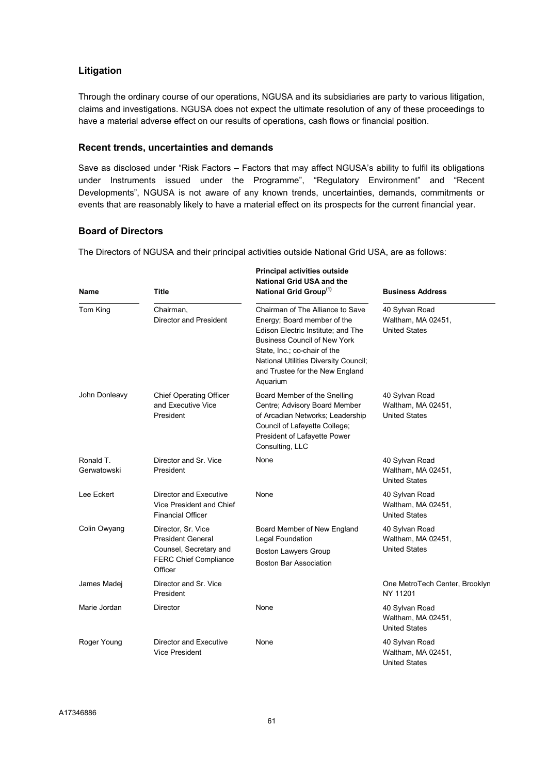# Litigation

Through the ordinary course of our operations, NGUSA and its subsidiaries are party to various litigation, claims and investigations. NGUSA does not expect the ultimate resolution of any of these proceedings to have a material adverse effect on our results of operations, cash flows or financial position.

## Recent trends, uncertainties and demands

Save as disclosed under "Risk Factors – Factors that may affect NGUSA's ability to fulfil its obligations under Instruments issued under the Programme", "Regulatory Environment" and "Recent Developments", NGUSA is not aware of any known trends, uncertainties, demands, commitments or events that are reasonably likely to have a material effect on its prospects for the current financial year.

## Board of Directors

The Directors of NGUSA and their principal activities outside National Grid USA, are as follows:

| Name                     | <b>Title</b>                                                                                                        | <b>Principal activities outside</b><br><b>National Grid USA and the</b><br>National Grid Group <sup>(1)</sup>                                                                                                                                                               | <b>Business Address</b>                                      |  |  |  |
|--------------------------|---------------------------------------------------------------------------------------------------------------------|-----------------------------------------------------------------------------------------------------------------------------------------------------------------------------------------------------------------------------------------------------------------------------|--------------------------------------------------------------|--|--|--|
| Tom King                 | Chairman,<br><b>Director and President</b>                                                                          | Chairman of The Alliance to Save<br>Energy; Board member of the<br>Edison Electric Institute; and The<br><b>Business Council of New York</b><br>State, Inc.; co-chair of the<br><b>National Utilities Diversity Council;</b><br>and Trustee for the New England<br>Aquarium | 40 Sylvan Road<br>Waltham, MA 02451,<br><b>United States</b> |  |  |  |
| John Donleavy            | <b>Chief Operating Officer</b><br>and Executive Vice<br>President                                                   | Board Member of the Snelling<br>Centre; Advisory Board Member<br>of Arcadian Networks; Leadership<br>Council of Lafayette College;<br>President of Lafayette Power<br>Consulting, LLC                                                                                       | 40 Sylvan Road<br>Waltham, MA 02451,<br><b>United States</b> |  |  |  |
| Ronald T.<br>Gerwatowski | Director and Sr. Vice<br>President                                                                                  | None                                                                                                                                                                                                                                                                        | 40 Sylvan Road<br>Waltham, MA 02451,<br><b>United States</b> |  |  |  |
| Lee Eckert               | Director and Executive<br>Vice President and Chief<br><b>Financial Officer</b>                                      | None                                                                                                                                                                                                                                                                        | 40 Sylvan Road<br>Waltham, MA 02451,<br><b>United States</b> |  |  |  |
| Colin Owyang             | Director, Sr. Vice<br><b>President General</b><br>Counsel, Secretary and<br><b>FERC Chief Compliance</b><br>Officer | Board Member of New England<br>Legal Foundation<br><b>Boston Lawyers Group</b><br><b>Boston Bar Association</b>                                                                                                                                                             | 40 Sylvan Road<br>Waltham, MA 02451,<br><b>United States</b> |  |  |  |
| James Madej              | Director and Sr. Vice<br>President                                                                                  |                                                                                                                                                                                                                                                                             | One MetroTech Center, Brooklyn<br>NY 11201                   |  |  |  |
| Marie Jordan             | <b>Director</b>                                                                                                     | None                                                                                                                                                                                                                                                                        | 40 Sylvan Road<br>Waltham, MA 02451,<br><b>United States</b> |  |  |  |
| Roger Young              | Director and Executive<br><b>Vice President</b>                                                                     | None                                                                                                                                                                                                                                                                        | 40 Sylvan Road<br>Waltham, MA 02451,<br><b>United States</b> |  |  |  |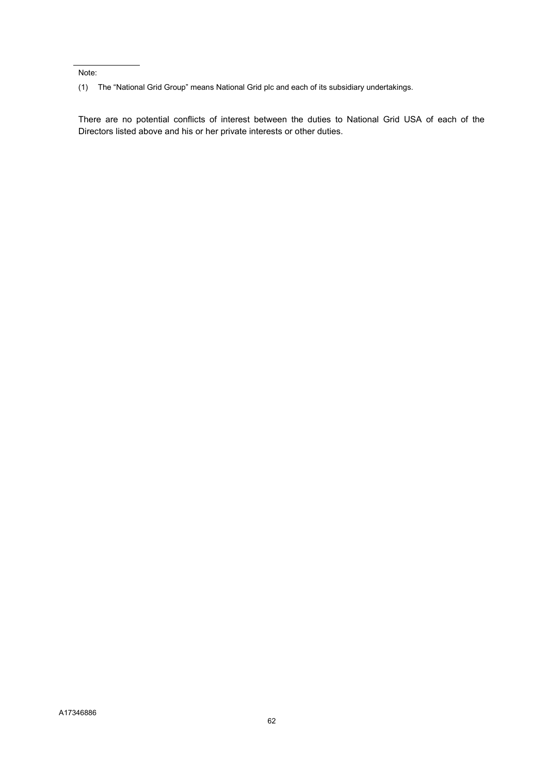Note:

There are no potential conflicts of interest between the duties to National Grid USA of each of the Directors listed above and his or her private interests or other duties.

<sup>(1)</sup> The "National Grid Group" means National Grid plc and each of its subsidiary undertakings.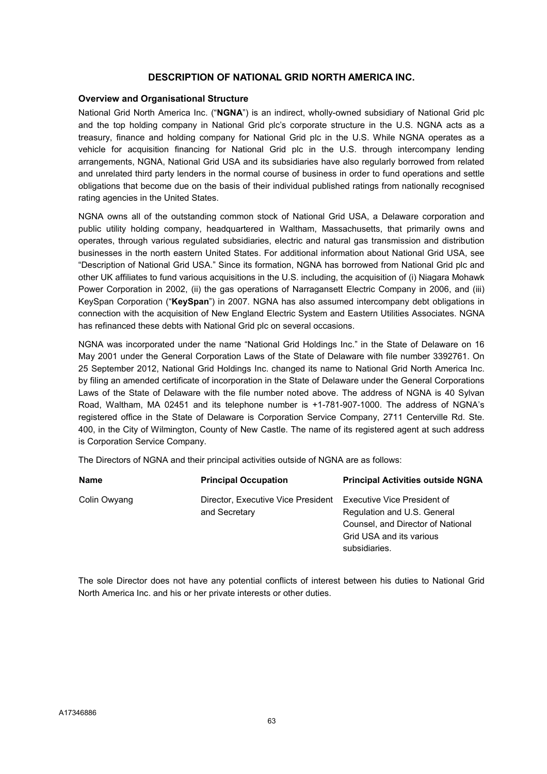## DESCRIPTION OF NATIONAL GRID NORTH AMERICA INC.

### Overview and Organisational Structure

National Grid North America Inc. ("NGNA") is an indirect, wholly-owned subsidiary of National Grid plc and the top holding company in National Grid plc's corporate structure in the U.S. NGNA acts as a treasury, finance and holding company for National Grid plc in the U.S. While NGNA operates as a vehicle for acquisition financing for National Grid plc in the U.S. through intercompany lending arrangements, NGNA, National Grid USA and its subsidiaries have also regularly borrowed from related and unrelated third party lenders in the normal course of business in order to fund operations and settle obligations that become due on the basis of their individual published ratings from nationally recognised rating agencies in the United States.

NGNA owns all of the outstanding common stock of National Grid USA, a Delaware corporation and public utility holding company, headquartered in Waltham, Massachusetts, that primarily owns and operates, through various regulated subsidiaries, electric and natural gas transmission and distribution businesses in the north eastern United States. For additional information about National Grid USA, see "Description of National Grid USA." Since its formation, NGNA has borrowed from National Grid plc and other UK affiliates to fund various acquisitions in the U.S. including, the acquisition of (i) Niagara Mohawk Power Corporation in 2002, (ii) the gas operations of Narragansett Electric Company in 2006, and (iii) KeySpan Corporation ("KeySpan") in 2007. NGNA has also assumed intercompany debt obligations in connection with the acquisition of New England Electric System and Eastern Utilities Associates. NGNA has refinanced these debts with National Grid plc on several occasions.

NGNA was incorporated under the name "National Grid Holdings Inc." in the State of Delaware on 16 May 2001 under the General Corporation Laws of the State of Delaware with file number 3392761. On 25 September 2012, National Grid Holdings Inc. changed its name to National Grid North America Inc. by filing an amended certificate of incorporation in the State of Delaware under the General Corporations Laws of the State of Delaware with the file number noted above. The address of NGNA is 40 Sylvan Road, Waltham, MA 02451 and its telephone number is +1-781-907-1000. The address of NGNA's registered office in the State of Delaware is Corporation Service Company, 2711 Centerville Rd. Ste. 400, in the City of Wilmington, County of New Castle. The name of its registered agent at such address is Corporation Service Company.

The Directors of NGNA and their principal activities outside of NGNA are as follows:

| <b>Name</b>  | <b>Principal Occupation</b>                         | <b>Principal Activities outside NGNA</b>                                                                                                            |
|--------------|-----------------------------------------------------|-----------------------------------------------------------------------------------------------------------------------------------------------------|
| Colin Owyang | Director, Executive Vice President<br>and Secretary | <b>Executive Vice President of</b><br>Regulation and U.S. General<br>Counsel, and Director of National<br>Grid USA and its various<br>subsidiaries. |

The sole Director does not have any potential conflicts of interest between his duties to National Grid North America Inc. and his or her private interests or other duties.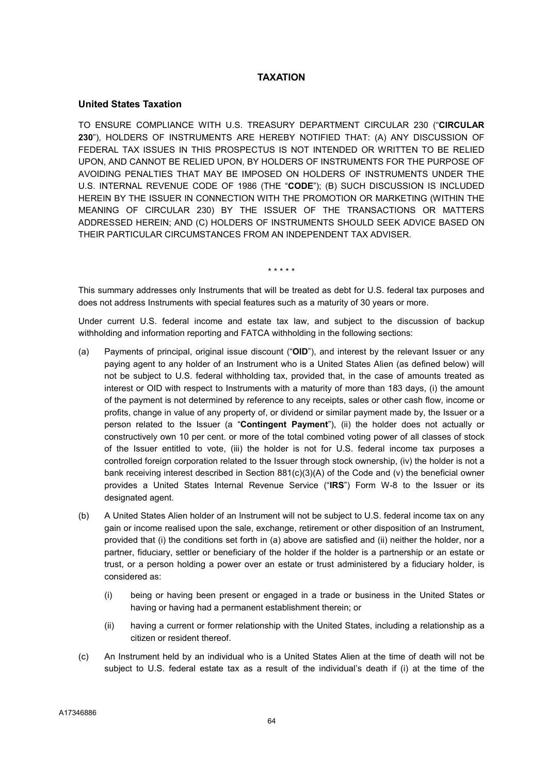## **TAXATION**

### United States Taxation

TO ENSURE COMPLIANCE WITH U.S. TREASURY DEPARTMENT CIRCULAR 230 ("CIRCULAR 230"), HOLDERS OF INSTRUMENTS ARE HEREBY NOTIFIED THAT: (A) ANY DISCUSSION OF FEDERAL TAX ISSUES IN THIS PROSPECTUS IS NOT INTENDED OR WRITTEN TO BE RELIED UPON, AND CANNOT BE RELIED UPON, BY HOLDERS OF INSTRUMENTS FOR THE PURPOSE OF AVOIDING PENALTIES THAT MAY BE IMPOSED ON HOLDERS OF INSTRUMENTS UNDER THE U.S. INTERNAL REVENUE CODE OF 1986 (THE "CODE"); (B) SUCH DISCUSSION IS INCLUDED HEREIN BY THE ISSUER IN CONNECTION WITH THE PROMOTION OR MARKETING (WITHIN THE MEANING OF CIRCULAR 230) BY THE ISSUER OF THE TRANSACTIONS OR MATTERS ADDRESSED HEREIN; AND (C) HOLDERS OF INSTRUMENTS SHOULD SEEK ADVICE BASED ON THEIR PARTICULAR CIRCUMSTANCES FROM AN INDEPENDENT TAX ADVISER.

\* \* \* \* \*

This summary addresses only Instruments that will be treated as debt for U.S. federal tax purposes and does not address Instruments with special features such as a maturity of 30 years or more.

Under current U.S. federal income and estate tax law, and subject to the discussion of backup withholding and information reporting and FATCA withholding in the following sections:

- (a) Payments of principal, original issue discount ("OID"), and interest by the relevant Issuer or any paying agent to any holder of an Instrument who is a United States Alien (as defined below) will not be subject to U.S. federal withholding tax, provided that, in the case of amounts treated as interest or OID with respect to Instruments with a maturity of more than 183 days, (i) the amount of the payment is not determined by reference to any receipts, sales or other cash flow, income or profits, change in value of any property of, or dividend or similar payment made by, the Issuer or a person related to the Issuer (a "Contingent Payment"), (ii) the holder does not actually or constructively own 10 per cent. or more of the total combined voting power of all classes of stock of the Issuer entitled to vote, (iii) the holder is not for U.S. federal income tax purposes a controlled foreign corporation related to the Issuer through stock ownership, (iv) the holder is not a bank receiving interest described in Section 881(c)(3)(A) of the Code and (v) the beneficial owner provides a United States Internal Revenue Service ("IRS") Form W-8 to the Issuer or its designated agent.
- (b) A United States Alien holder of an Instrument will not be subject to U.S. federal income tax on any gain or income realised upon the sale, exchange, retirement or other disposition of an Instrument, provided that (i) the conditions set forth in (a) above are satisfied and (ii) neither the holder, nor a partner, fiduciary, settler or beneficiary of the holder if the holder is a partnership or an estate or trust, or a person holding a power over an estate or trust administered by a fiduciary holder, is considered as:
	- (i) being or having been present or engaged in a trade or business in the United States or having or having had a permanent establishment therein; or
	- (ii) having a current or former relationship with the United States, including a relationship as a citizen or resident thereof.
- (c) An Instrument held by an individual who is a United States Alien at the time of death will not be subject to U.S. federal estate tax as a result of the individual's death if (i) at the time of the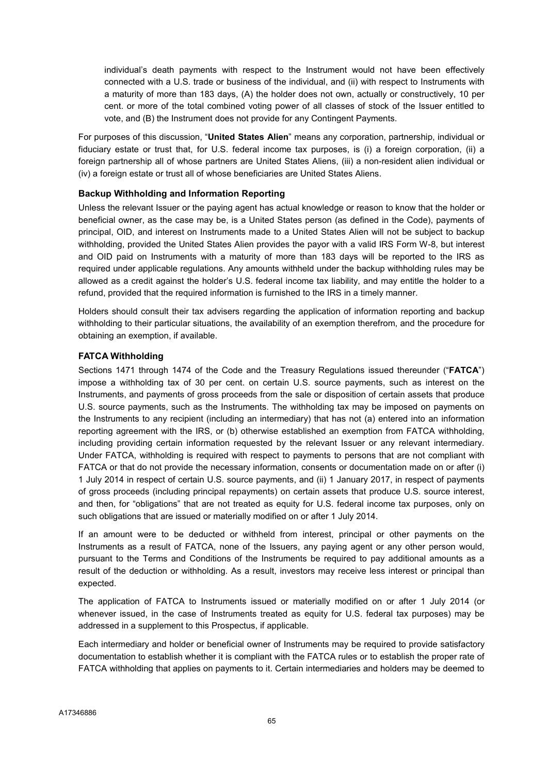individual's death payments with respect to the Instrument would not have been effectively connected with a U.S. trade or business of the individual, and (ii) with respect to Instruments with a maturity of more than 183 days, (A) the holder does not own, actually or constructively, 10 per cent. or more of the total combined voting power of all classes of stock of the Issuer entitled to vote, and (B) the Instrument does not provide for any Contingent Payments.

For purposes of this discussion, "United States Alien" means any corporation, partnership, individual or fiduciary estate or trust that, for U.S. federal income tax purposes, is (i) a foreign corporation, (ii) a foreign partnership all of whose partners are United States Aliens, (iii) a non-resident alien individual or (iv) a foreign estate or trust all of whose beneficiaries are United States Aliens.

## Backup Withholding and Information Reporting

Unless the relevant Issuer or the paying agent has actual knowledge or reason to know that the holder or beneficial owner, as the case may be, is a United States person (as defined in the Code), payments of principal, OID, and interest on Instruments made to a United States Alien will not be subject to backup withholding, provided the United States Alien provides the payor with a valid IRS Form W-8, but interest and OID paid on Instruments with a maturity of more than 183 days will be reported to the IRS as required under applicable regulations. Any amounts withheld under the backup withholding rules may be allowed as a credit against the holder's U.S. federal income tax liability, and may entitle the holder to a refund, provided that the required information is furnished to the IRS in a timely manner.

Holders should consult their tax advisers regarding the application of information reporting and backup withholding to their particular situations, the availability of an exemption therefrom, and the procedure for obtaining an exemption, if available.

## FATCA Withholding

Sections 1471 through 1474 of the Code and the Treasury Regulations issued thereunder ("FATCA") impose a withholding tax of 30 per cent. on certain U.S. source payments, such as interest on the Instruments, and payments of gross proceeds from the sale or disposition of certain assets that produce U.S. source payments, such as the Instruments. The withholding tax may be imposed on payments on the Instruments to any recipient (including an intermediary) that has not (a) entered into an information reporting agreement with the IRS, or (b) otherwise established an exemption from FATCA withholding, including providing certain information requested by the relevant Issuer or any relevant intermediary. Under FATCA, withholding is required with respect to payments to persons that are not compliant with FATCA or that do not provide the necessary information, consents or documentation made on or after (i) 1 July 2014 in respect of certain U.S. source payments, and (ii) 1 January 2017, in respect of payments of gross proceeds (including principal repayments) on certain assets that produce U.S. source interest, and then, for "obligations" that are not treated as equity for U.S. federal income tax purposes, only on such obligations that are issued or materially modified on or after 1 July 2014.

If an amount were to be deducted or withheld from interest, principal or other payments on the Instruments as a result of FATCA, none of the Issuers, any paying agent or any other person would, pursuant to the Terms and Conditions of the Instruments be required to pay additional amounts as a result of the deduction or withholding. As a result, investors may receive less interest or principal than expected.

The application of FATCA to Instruments issued or materially modified on or after 1 July 2014 (or whenever issued, in the case of Instruments treated as equity for U.S. federal tax purposes) may be addressed in a supplement to this Prospectus, if applicable.

Each intermediary and holder or beneficial owner of Instruments may be required to provide satisfactory documentation to establish whether it is compliant with the FATCA rules or to establish the proper rate of FATCA withholding that applies on payments to it. Certain intermediaries and holders may be deemed to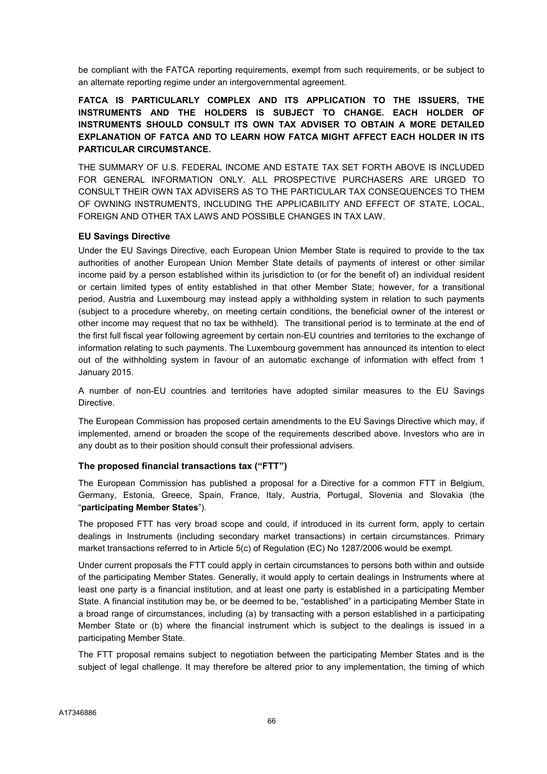be compliant with the FATCA reporting requirements, exempt from such requirements, or be subject to an alternate reporting regime under an intergovernmental agreement.

FATCA IS PARTICULARLY COMPLEX AND ITS APPLICATION TO THE ISSUERS, THE INSTRUMENTS AND THE HOLDERS IS SUBJECT TO CHANGE. EACH HOLDER OF INSTRUMENTS SHOULD CONSULT ITS OWN TAX ADVISER TO OBTAIN A MORE DETAILED EXPLANATION OF FATCA AND TO LEARN HOW FATCA MIGHT AFFECT EACH HOLDER IN ITS PARTICULAR CIRCUMSTANCE.

THE SUMMARY OF U.S. FEDERAL INCOME AND ESTATE TAX SET FORTH ABOVE IS INCLUDED FOR GENERAL INFORMATION ONLY. ALL PROSPECTIVE PURCHASERS ARE URGED TO CONSULT THEIR OWN TAX ADVISERS AS TO THE PARTICULAR TAX CONSEQUENCES TO THEM OF OWNING INSTRUMENTS, INCLUDING THE APPLICABILITY AND EFFECT OF STATE, LOCAL, FOREIGN AND OTHER TAX LAWS AND POSSIBLE CHANGES IN TAX LAW.

## EU Savings Directive

Under the EU Savings Directive, each European Union Member State is required to provide to the tax authorities of another European Union Member State details of payments of interest or other similar income paid by a person established within its jurisdiction to (or for the benefit of) an individual resident or certain limited types of entity established in that other Member State; however, for a transitional period, Austria and Luxembourg may instead apply a withholding system in relation to such payments (subject to a procedure whereby, on meeting certain conditions, the beneficial owner of the interest or other income may request that no tax be withheld). The transitional period is to terminate at the end of the first full fiscal year following agreement by certain non-EU countries and territories to the exchange of information relating to such payments. The Luxembourg government has announced its intention to elect out of the withholding system in favour of an automatic exchange of information with effect from 1 January 2015.

A number of non-EU countries and territories have adopted similar measures to the EU Savings Directive.

The European Commission has proposed certain amendments to the EU Savings Directive which may, if implemented, amend or broaden the scope of the requirements described above. Investors who are in any doubt as to their position should consult their professional advisers.

## The proposed financial transactions tax ("FTT")

The European Commission has published a proposal for a Directive for a common FTT in Belgium, Germany, Estonia, Greece, Spain, France, Italy, Austria, Portugal, Slovenia and Slovakia (the "participating Member States").

The proposed FTT has very broad scope and could, if introduced in its current form, apply to certain dealings in Instruments (including secondary market transactions) in certain circumstances. Primary market transactions referred to in Article 5(c) of Regulation (EC) No 1287/2006 would be exempt.

Under current proposals the FTT could apply in certain circumstances to persons both within and outside of the participating Member States. Generally, it would apply to certain dealings in Instruments where at least one party is a financial institution, and at least one party is established in a participating Member State. A financial institution may be, or be deemed to be, "established" in a participating Member State in a broad range of circumstances, including (a) by transacting with a person established in a participating Member State or (b) where the financial instrument which is subject to the dealings is issued in a participating Member State.

The FTT proposal remains subject to negotiation between the participating Member States and is the subject of legal challenge. It may therefore be altered prior to any implementation, the timing of which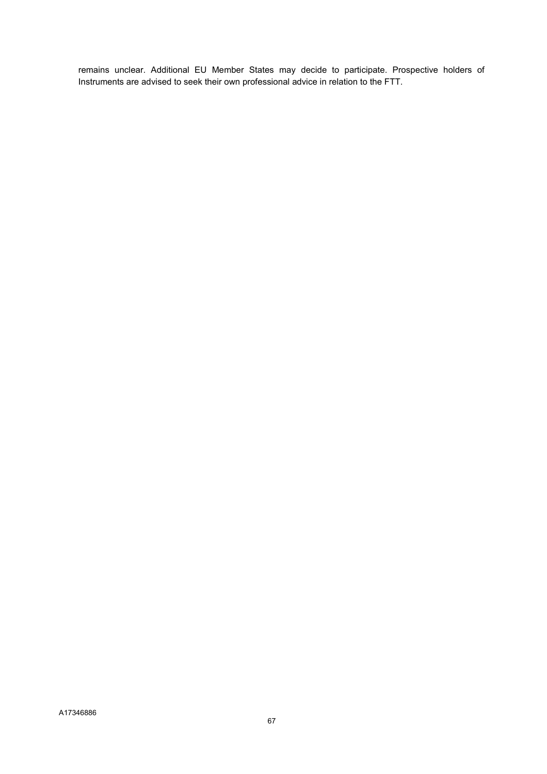remains unclear. Additional EU Member States may decide to participate. Prospective holders of Instruments are advised to seek their own professional advice in relation to the FTT.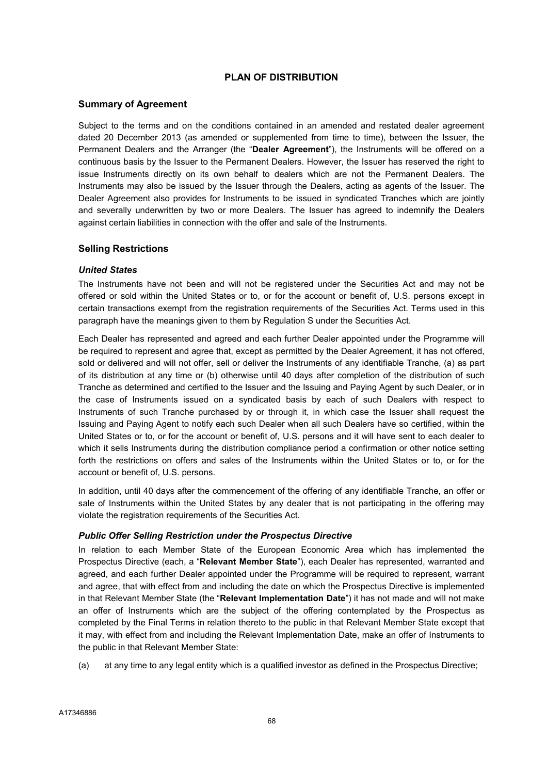# PLAN OF DISTRIBUTION

#### Summary of Agreement

Subject to the terms and on the conditions contained in an amended and restated dealer agreement dated 20 December 2013 (as amended or supplemented from time to time), between the Issuer, the Permanent Dealers and the Arranger (the "Dealer Agreement"), the Instruments will be offered on a continuous basis by the Issuer to the Permanent Dealers. However, the Issuer has reserved the right to issue Instruments directly on its own behalf to dealers which are not the Permanent Dealers. The Instruments may also be issued by the Issuer through the Dealers, acting as agents of the Issuer. The Dealer Agreement also provides for Instruments to be issued in syndicated Tranches which are jointly and severally underwritten by two or more Dealers. The Issuer has agreed to indemnify the Dealers against certain liabilities in connection with the offer and sale of the Instruments.

# Selling Restrictions

#### United States

The Instruments have not been and will not be registered under the Securities Act and may not be offered or sold within the United States or to, or for the account or benefit of, U.S. persons except in certain transactions exempt from the registration requirements of the Securities Act. Terms used in this paragraph have the meanings given to them by Regulation S under the Securities Act.

Each Dealer has represented and agreed and each further Dealer appointed under the Programme will be required to represent and agree that, except as permitted by the Dealer Agreement, it has not offered, sold or delivered and will not offer, sell or deliver the Instruments of any identifiable Tranche, (a) as part of its distribution at any time or (b) otherwise until 40 days after completion of the distribution of such Tranche as determined and certified to the Issuer and the Issuing and Paying Agent by such Dealer, or in the case of Instruments issued on a syndicated basis by each of such Dealers with respect to Instruments of such Tranche purchased by or through it, in which case the Issuer shall request the Issuing and Paying Agent to notify each such Dealer when all such Dealers have so certified, within the United States or to, or for the account or benefit of, U.S. persons and it will have sent to each dealer to which it sells Instruments during the distribution compliance period a confirmation or other notice setting forth the restrictions on offers and sales of the Instruments within the United States or to, or for the account or benefit of, U.S. persons.

In addition, until 40 days after the commencement of the offering of any identifiable Tranche, an offer or sale of Instruments within the United States by any dealer that is not participating in the offering may violate the registration requirements of the Securities Act.

#### Public Offer Selling Restriction under the Prospectus Directive

In relation to each Member State of the European Economic Area which has implemented the Prospectus Directive (each, a "Relevant Member State"), each Dealer has represented, warranted and agreed, and each further Dealer appointed under the Programme will be required to represent, warrant and agree, that with effect from and including the date on which the Prospectus Directive is implemented in that Relevant Member State (the "Relevant Implementation Date") it has not made and will not make an offer of Instruments which are the subject of the offering contemplated by the Prospectus as completed by the Final Terms in relation thereto to the public in that Relevant Member State except that it may, with effect from and including the Relevant Implementation Date, make an offer of Instruments to the public in that Relevant Member State:

(a) at any time to any legal entity which is a qualified investor as defined in the Prospectus Directive;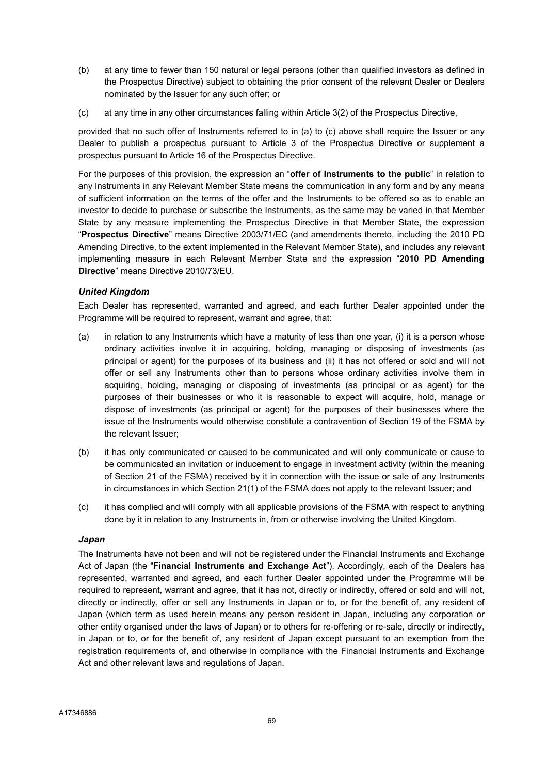- (b) at any time to fewer than 150 natural or legal persons (other than qualified investors as defined in the Prospectus Directive) subject to obtaining the prior consent of the relevant Dealer or Dealers nominated by the Issuer for any such offer; or
- (c) at any time in any other circumstances falling within Article 3(2) of the Prospectus Directive,

provided that no such offer of Instruments referred to in (a) to (c) above shall require the Issuer or any Dealer to publish a prospectus pursuant to Article 3 of the Prospectus Directive or supplement a prospectus pursuant to Article 16 of the Prospectus Directive.

For the purposes of this provision, the expression an "offer of Instruments to the public" in relation to any Instruments in any Relevant Member State means the communication in any form and by any means of sufficient information on the terms of the offer and the Instruments to be offered so as to enable an investor to decide to purchase or subscribe the Instruments, as the same may be varied in that Member State by any measure implementing the Prospectus Directive in that Member State, the expression "Prospectus Directive" means Directive 2003/71/EC (and amendments thereto, including the 2010 PD Amending Directive, to the extent implemented in the Relevant Member State), and includes any relevant implementing measure in each Relevant Member State and the expression "2010 PD Amending Directive" means Directive 2010/73/EU.

#### United Kingdom

Each Dealer has represented, warranted and agreed, and each further Dealer appointed under the Programme will be required to represent, warrant and agree, that:

- (a) in relation to any Instruments which have a maturity of less than one year, (i) it is a person whose ordinary activities involve it in acquiring, holding, managing or disposing of investments (as principal or agent) for the purposes of its business and (ii) it has not offered or sold and will not offer or sell any Instruments other than to persons whose ordinary activities involve them in acquiring, holding, managing or disposing of investments (as principal or as agent) for the purposes of their businesses or who it is reasonable to expect will acquire, hold, manage or dispose of investments (as principal or agent) for the purposes of their businesses where the issue of the Instruments would otherwise constitute a contravention of Section 19 of the FSMA by the relevant Issuer;
- (b) it has only communicated or caused to be communicated and will only communicate or cause to be communicated an invitation or inducement to engage in investment activity (within the meaning of Section 21 of the FSMA) received by it in connection with the issue or sale of any Instruments in circumstances in which Section 21(1) of the FSMA does not apply to the relevant Issuer; and
- (c) it has complied and will comply with all applicable provisions of the FSMA with respect to anything done by it in relation to any Instruments in, from or otherwise involving the United Kingdom.

#### Japan

The Instruments have not been and will not be registered under the Financial Instruments and Exchange Act of Japan (the "Financial Instruments and Exchange Act"). Accordingly, each of the Dealers has represented, warranted and agreed, and each further Dealer appointed under the Programme will be required to represent, warrant and agree, that it has not, directly or indirectly, offered or sold and will not, directly or indirectly, offer or sell any Instruments in Japan or to, or for the benefit of, any resident of Japan (which term as used herein means any person resident in Japan, including any corporation or other entity organised under the laws of Japan) or to others for re-offering or re-sale, directly or indirectly, in Japan or to, or for the benefit of, any resident of Japan except pursuant to an exemption from the registration requirements of, and otherwise in compliance with the Financial Instruments and Exchange Act and other relevant laws and regulations of Japan.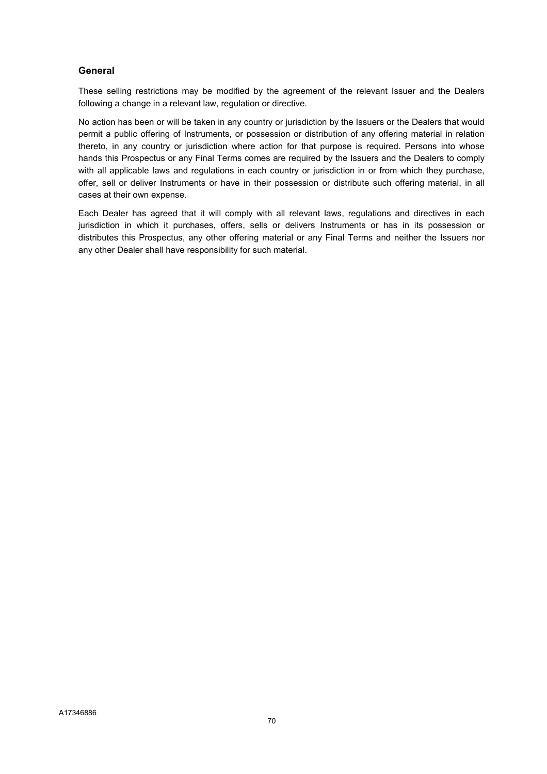# General

These selling restrictions may be modified by the agreement of the relevant Issuer and the Dealers following a change in a relevant law, regulation or directive.

No action has been or will be taken in any country or jurisdiction by the Issuers or the Dealers that would permit a public offering of Instruments, or possession or distribution of any offering material in relation thereto, in any country or jurisdiction where action for that purpose is required. Persons into whose hands this Prospectus or any Final Terms comes are required by the Issuers and the Dealers to comply with all applicable laws and regulations in each country or jurisdiction in or from which they purchase, offer, sell or deliver Instruments or have in their possession or distribute such offering material, in all cases at their own expense.

Each Dealer has agreed that it will comply with all relevant laws, regulations and directives in each jurisdiction in which it purchases, offers, sells or delivers Instruments or has in its possession or distributes this Prospectus, any other offering material or any Final Terms and neither the Issuers nor any other Dealer shall have responsibility for such material.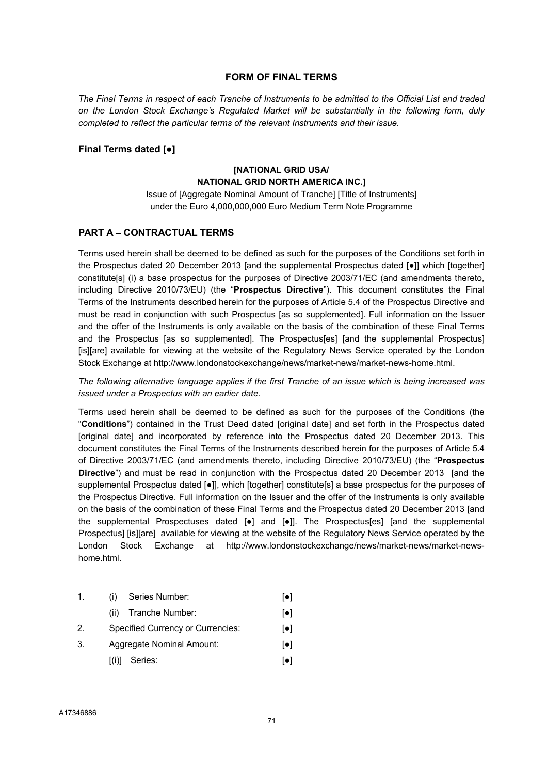#### FORM OF FINAL TERMS

The Final Terms in respect of each Tranche of Instruments to be admitted to the Official List and traded on the London Stock Exchange's Regulated Market will be substantially in the following form, duly completed to reflect the particular terms of the relevant Instruments and their issue.

#### Final Terms dated [●]

# [NATIONAL GRID USA/ NATIONAL GRID NORTH AMERICA INC.]

Issue of [Aggregate Nominal Amount of Tranche] [Title of Instruments] under the Euro 4,000,000,000 Euro Medium Term Note Programme

# PART A – CONTRACTUAL TERMS

Terms used herein shall be deemed to be defined as such for the purposes of the Conditions set forth in the Prospectus dated 20 December 2013 [and the supplemental Prospectus dated [●]] which [together] constitute[s] (i) a base prospectus for the purposes of Directive 2003/71/EC (and amendments thereto, including Directive 2010/73/EU) (the "Prospectus Directive"). This document constitutes the Final Terms of the Instruments described herein for the purposes of Article 5.4 of the Prospectus Directive and must be read in conjunction with such Prospectus [as so supplemented]. Full information on the Issuer and the offer of the Instruments is only available on the basis of the combination of these Final Terms and the Prospectus [as so supplemented]. The Prospectus[es] [and the supplemental Prospectus] [is][are] available for viewing at the website of the Regulatory News Service operated by the London Stock Exchange at http://www.londonstockexchange/news/market-news/market-news-home.html.

The following alternative language applies if the first Tranche of an issue which is being increased was issued under a Prospectus with an earlier date.

Terms used herein shall be deemed to be defined as such for the purposes of the Conditions (the "Conditions") contained in the Trust Deed dated [original date] and set forth in the Prospectus dated [original date] and incorporated by reference into the Prospectus dated 20 December 2013. This document constitutes the Final Terms of the Instruments described herein for the purposes of Article 5.4 of Directive 2003/71/EC (and amendments thereto, including Directive 2010/73/EU) (the "Prospectus Directive") and must be read in conjunction with the Prospectus dated 20 December 2013 [and the supplemental Prospectus dated [●]], which [together] constitute[s] a base prospectus for the purposes of the Prospectus Directive. Full information on the Issuer and the offer of the Instruments is only available on the basis of the combination of these Final Terms and the Prospectus dated 20 December 2013 [and the supplemental Prospectuses dated [●] and [●]]. The Prospectus[es] [and the supplemental Prospectus] [is][are] available for viewing at the website of the Regulatory News Service operated by the London Stock Exchange at http://www.londonstockexchange/news/market-news/market-newshome.html.

### 1. (i) Series Number: [●]

- (ii) Tranche Number: [●]
- 2. Specified Currency or Currencies: [●]
- 3. Aggregate Nominal Amount: [●]
	- $[(i)]$  Series:  $[•]$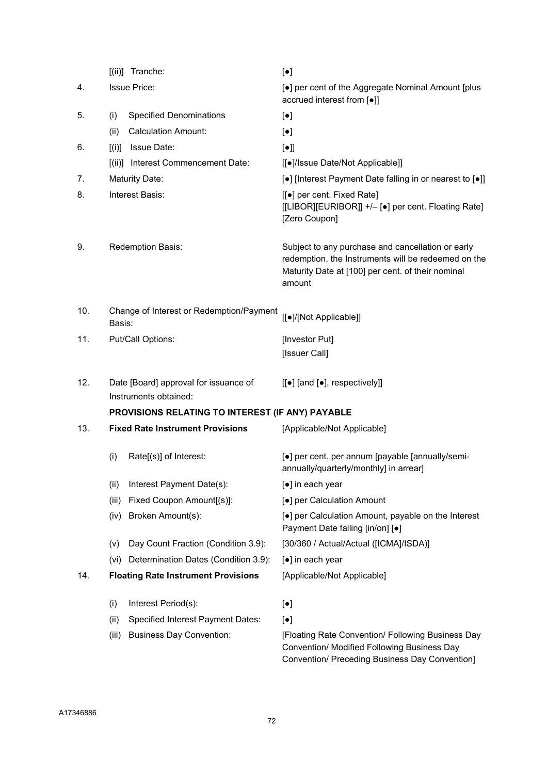|     |                                                    | [(ii)] Tranche:                                                | $[\bullet]$                                                                                                                                                             |
|-----|----------------------------------------------------|----------------------------------------------------------------|-------------------------------------------------------------------------------------------------------------------------------------------------------------------------|
| 4.  | <b>Issue Price:</b>                                |                                                                | [•] per cent of the Aggregate Nominal Amount [plus<br>accrued interest from [.]                                                                                         |
| 5.  | (i)                                                | <b>Specified Denominations</b>                                 | $[\bullet]$                                                                                                                                                             |
|     | (ii)                                               | <b>Calculation Amount:</b>                                     | $\left[\bullet\right]$                                                                                                                                                  |
| 6.  | [(i)]                                              | Issue Date:                                                    | $[\bullet]$                                                                                                                                                             |
|     |                                                    | [(ii)] Interest Commencement Date:                             | [[•]/Issue Date/Not Applicable]]                                                                                                                                        |
| 7.  |                                                    | <b>Maturity Date:</b>                                          | [•] [Interest Payment Date falling in or nearest to [•]]                                                                                                                |
| 8.  | Interest Basis:                                    |                                                                | [[•] per cent. Fixed Rate]<br>[[LIBOR][EURIBOR]] +/- [•] per cent. Floating Rate]<br>[Zero Coupon]                                                                      |
| 9.  | Redemption Basis:                                  |                                                                | Subject to any purchase and cancellation or early<br>redemption, the Instruments will be redeemed on the<br>Maturity Date at [100] per cent. of their nominal<br>amount |
| 10. | Change of Interest or Redemption/Payment<br>Basis: |                                                                | [[·]/[Not Applicable]]                                                                                                                                                  |
| 11. | Put/Call Options:                                  |                                                                | [Investor Put]<br>[Issuer Call]                                                                                                                                         |
| 12. |                                                    | Date [Board] approval for issuance of<br>Instruments obtained: | $[[\bullet]$ [and $[\bullet]$ , respectively]]                                                                                                                          |
|     |                                                    | PROVISIONS RELATING TO INTEREST (IF ANY) PAYABLE               |                                                                                                                                                                         |
| 13. |                                                    | <b>Fixed Rate Instrument Provisions</b>                        | [Applicable/Not Applicable]                                                                                                                                             |
|     | (i)                                                | Rate[(s)] of Interest:                                         | [•] per cent. per annum [payable [annually/semi-<br>annually/quarterly/monthly] in arrear]                                                                              |
|     | (ii)                                               | Interest Payment Date(s):                                      | [•] in each year                                                                                                                                                        |
|     | (iii)                                              | Fixed Coupon Amount[(s)]:                                      | [•] per Calculation Amount                                                                                                                                              |
|     | (iv)                                               | Broken Amount(s):                                              | [•] per Calculation Amount, payable on the Interest<br>Payment Date falling [in/on] [•]                                                                                 |
|     | (v)                                                | Day Count Fraction (Condition 3.9):                            | [30/360 / Actual/Actual ([ICMA]/ISDA)]                                                                                                                                  |
|     | (vi)                                               | Determination Dates (Condition 3.9):                           | [●] in each year                                                                                                                                                        |
| 14. |                                                    | <b>Floating Rate Instrument Provisions</b>                     | [Applicable/Not Applicable]                                                                                                                                             |
|     | (i)                                                | Interest Period(s):                                            | $[\bullet]$                                                                                                                                                             |
|     | (ii)                                               | Specified Interest Payment Dates:                              | $[\bullet]$                                                                                                                                                             |
|     | (iii)                                              | <b>Business Day Convention:</b>                                | [Floating Rate Convention/ Following Business Day<br>Convention/ Modified Following Business Day                                                                        |

Convention/ Preceding Business Day Convention]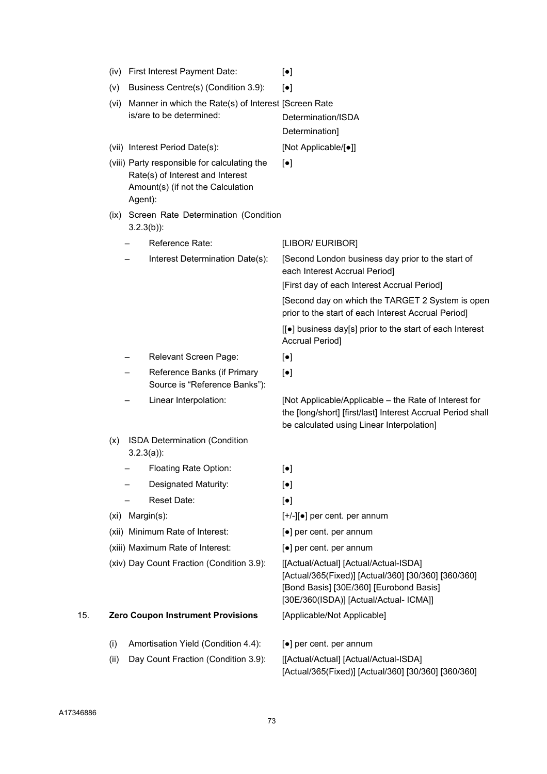|     | (iv) | First Interest Payment Date:                                                                                                     | $[\bullet]$                                                                                                                                                                       |
|-----|------|----------------------------------------------------------------------------------------------------------------------------------|-----------------------------------------------------------------------------------------------------------------------------------------------------------------------------------|
|     | (v)  | Business Centre(s) (Condition 3.9):                                                                                              | $\left[\bullet\right]$                                                                                                                                                            |
|     | (vi) | Manner in which the Rate(s) of Interest [Screen Rate<br>is/are to be determined:                                                 | Determination/ISDA                                                                                                                                                                |
|     |      |                                                                                                                                  | Determination]                                                                                                                                                                    |
|     |      | (vii) Interest Period Date(s):                                                                                                   | [Not Applicable/[•]]                                                                                                                                                              |
|     |      | (viii) Party responsible for calculating the<br>Rate(s) of Interest and Interest<br>Amount(s) (if not the Calculation<br>Agent): | $\left[\bullet\right]$                                                                                                                                                            |
|     |      | (ix) Screen Rate Determination (Condition<br>$3.2.3(b)$ :                                                                        |                                                                                                                                                                                   |
|     |      | Reference Rate:                                                                                                                  | [LIBOR/ EURIBOR]                                                                                                                                                                  |
|     |      | Interest Determination Date(s):                                                                                                  | [Second London business day prior to the start of<br>each Interest Accrual Period]                                                                                                |
|     |      |                                                                                                                                  | [First day of each Interest Accrual Period]                                                                                                                                       |
|     |      |                                                                                                                                  | [Second day on which the TARGET 2 System is open<br>prior to the start of each Interest Accrual Period]                                                                           |
|     |      |                                                                                                                                  | [[●] business day[s] prior to the start of each Interest<br><b>Accrual Period]</b>                                                                                                |
|     |      | Relevant Screen Page:                                                                                                            | $\left[\bullet\right]$                                                                                                                                                            |
|     |      | Reference Banks (if Primary<br>Source is "Reference Banks"):                                                                     | $[\bullet]$                                                                                                                                                                       |
|     |      | Linear Interpolation:                                                                                                            | [Not Applicable/Applicable – the Rate of Interest for<br>the [long/short] [first/last] Interest Accrual Period shall<br>be calculated using Linear Interpolation]                 |
|     | (x)  | <b>ISDA Determination (Condition</b><br>$3.2.3(a)$ :                                                                             |                                                                                                                                                                                   |
|     |      | Floating Rate Option:                                                                                                            | $[\bullet]$                                                                                                                                                                       |
|     |      | Designated Maturity:                                                                                                             | $[\bullet]$                                                                                                                                                                       |
|     |      | Reset Date:                                                                                                                      | $[\bullet]$                                                                                                                                                                       |
|     |      | (xi) Margin(s):                                                                                                                  | $[+/][\bullet]$ per cent. per annum                                                                                                                                               |
|     |      | (xii) Minimum Rate of Interest:                                                                                                  | [•] per cent. per annum                                                                                                                                                           |
|     |      | (xiii) Maximum Rate of Interest:                                                                                                 | $\lceil \bullet \rceil$ per cent. per annum                                                                                                                                       |
|     |      | (xiv) Day Count Fraction (Condition 3.9):                                                                                        | [[Actual/Actual] [Actual/Actual-ISDA]<br>[Actual/365(Fixed)] [Actual/360] [30/360] [360/360]<br>[Bond Basis] [30E/360] [Eurobond Basis]<br>[30E/360(ISDA)] [Actual/Actual- ICMA]] |
| 15. |      | <b>Zero Coupon Instrument Provisions</b>                                                                                         | [Applicable/Not Applicable]                                                                                                                                                       |
|     | (i)  | Amortisation Yield (Condition 4.4):                                                                                              | [•] per cent. per annum                                                                                                                                                           |
|     | (ii) | Day Count Fraction (Condition 3.9):                                                                                              | [[Actual/Actual] [Actual/Actual-ISDA]                                                                                                                                             |

[Actual/365(Fixed)] [Actual/360] [30/360] [360/360]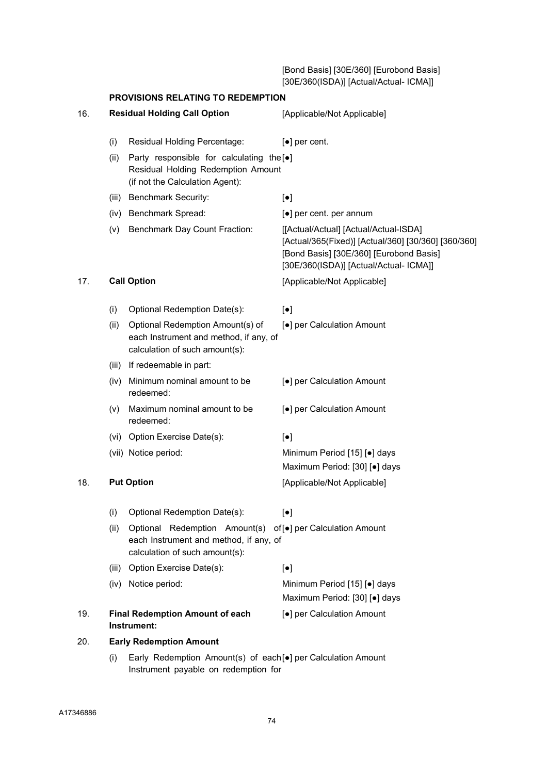[Bond Basis] [30E/360] [Eurobond Basis] [30E/360(ISDA)] [Actual/Actual- ICMA]]

|     | PROVISIONS RELATING TO REDEMPTION |                                                                                                                                         |                                                                                                                                                                                   |
|-----|-----------------------------------|-----------------------------------------------------------------------------------------------------------------------------------------|-----------------------------------------------------------------------------------------------------------------------------------------------------------------------------------|
| 16. |                                   | <b>Residual Holding Call Option</b>                                                                                                     | [Applicable/Not Applicable]                                                                                                                                                       |
|     | (i)                               | Residual Holding Percentage:                                                                                                            | $\left[\bullet\right]$ per cent.                                                                                                                                                  |
|     | (ii)                              | Party responsible for calculating the [ $\bullet$ ]<br>Residual Holding Redemption Amount<br>(if not the Calculation Agent):            |                                                                                                                                                                                   |
|     |                                   | (iii) Benchmark Security:                                                                                                               | $\lbrack \bullet \rbrack$                                                                                                                                                         |
|     |                                   | (iv) Benchmark Spread:                                                                                                                  | [•] per cent. per annum                                                                                                                                                           |
|     | (v)                               | Benchmark Day Count Fraction:                                                                                                           | [[Actual/Actual] [Actual/Actual-ISDA]<br>[Actual/365(Fixed)] [Actual/360] [30/360] [360/360]<br>[Bond Basis] [30E/360] [Eurobond Basis]<br>[30E/360(ISDA)] [Actual/Actual- ICMA]] |
| 17. |                                   | <b>Call Option</b>                                                                                                                      | [Applicable/Not Applicable]                                                                                                                                                       |
|     | (i)                               | Optional Redemption Date(s):                                                                                                            | $\left[\bullet\right]$                                                                                                                                                            |
|     | (ii)                              | Optional Redemption Amount(s) of<br>each Instrument and method, if any, of<br>calculation of such amount(s):                            | [•] per Calculation Amount                                                                                                                                                        |
|     | (iii)                             | If redeemable in part:                                                                                                                  |                                                                                                                                                                                   |
|     | (iv)                              | Minimum nominal amount to be<br>redeemed:                                                                                               | [•] per Calculation Amount                                                                                                                                                        |
|     | (V)                               | Maximum nominal amount to be<br>redeemed:                                                                                               | [•] per Calculation Amount                                                                                                                                                        |
|     |                                   | (vi) Option Exercise Date(s):                                                                                                           | $\lbrack \bullet \rbrack$                                                                                                                                                         |
|     |                                   | (vii) Notice period:                                                                                                                    | Minimum Period [15] [•] days<br>Maximum Period: [30] [.] days                                                                                                                     |
| 18. |                                   | <b>Put Option</b>                                                                                                                       | [Applicable/Not Applicable]                                                                                                                                                       |
|     | (i)                               | Optional Redemption Date(s):                                                                                                            | $[\bullet]$                                                                                                                                                                       |
|     | (ii)                              | Optional Redemption Amount(s) of [•] per Calculation Amount<br>each Instrument and method, if any, of<br>calculation of such amount(s): |                                                                                                                                                                                   |
|     | (iii)                             | Option Exercise Date(s):                                                                                                                | $\left[\bullet\right]$                                                                                                                                                            |
|     |                                   | (iv) Notice period:                                                                                                                     | Minimum Period [15] [•] days<br>Maximum Period: [30] [.] days                                                                                                                     |
| 19. |                                   | <b>Final Redemption Amount of each</b><br>Instrument:                                                                                   | [•] per Calculation Amount                                                                                                                                                        |
| 20. |                                   | <b>Early Redemption Amount</b>                                                                                                          |                                                                                                                                                                                   |
|     | (i)                               | Early Redemption Amount(s) of each[•] per Calculation Amount<br>Instrument payable on redemption for                                    |                                                                                                                                                                                   |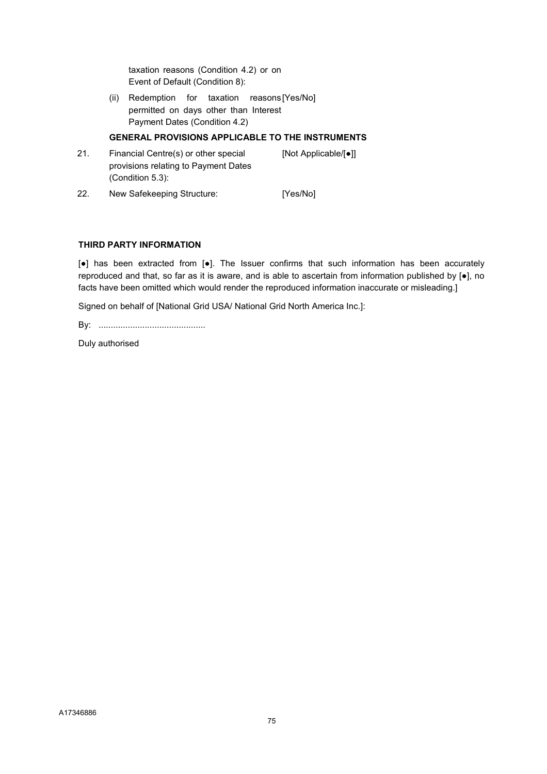taxation reasons (Condition 4.2) or on Event of Default (Condition 8):

 (ii) Redemption for taxation reasons [Yes/No] permitted on days other than Interest Payment Dates (Condition 4.2)

### GENERAL PROVISIONS APPLICABLE TO THE INSTRUMENTS

21. Financial Centre(s) or other special provisions relating to Payment Dates (Condition 5.3): [Not Applicable/[●]] 22. New Safekeeping Structure: [Yes/No]

#### THIRD PARTY INFORMATION

[●] has been extracted from [●]. The Issuer confirms that such information has been accurately reproduced and that, so far as it is aware, and is able to ascertain from information published by [●], no facts have been omitted which would render the reproduced information inaccurate or misleading.]

Signed on behalf of [National Grid USA/ National Grid North America Inc.]:

By: ............................................

Duly authorised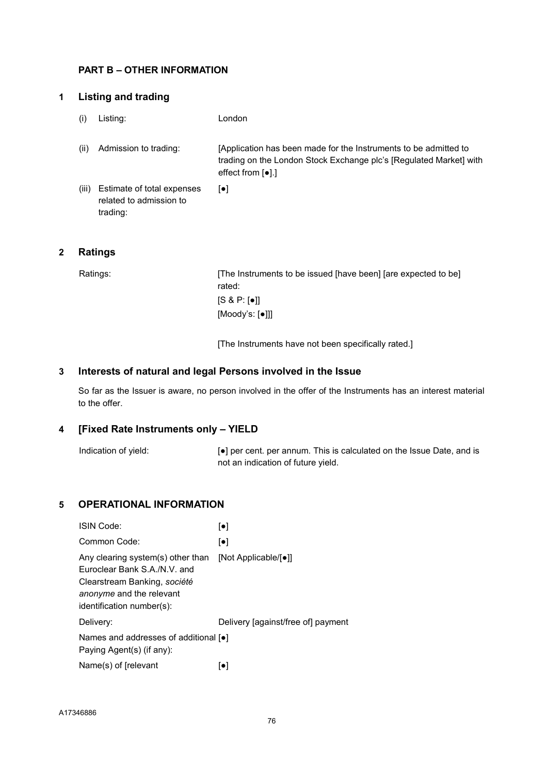# PART B – OTHER INFORMATION

# 1 Listing and trading

- (i) Listing: London
- (ii) Admission to trading: [Application has been made for the Instruments to be admitted to trading on the London Stock Exchange plc's [Regulated Market] with effect from [●].]
- (iii) Estimate of total expenses related to admission to trading: [●]

# 2 Ratings

Ratings: [The Instruments to be issued [have been] [are expected to be] rated:  $[S 8 P: [•]]$ [Moody's: [●]]]

[The Instruments have not been specifically rated.]

# 3 Interests of natural and legal Persons involved in the Issue

So far as the Issuer is aware, no person involved in the offer of the Instruments has an interest material to the offer.

### 4 [Fixed Rate Instruments only – YIELD

Indication of yield:  $\bullet$  per cent. per annum. This is calculated on the Issue Date, and is not an indication of future yield.

# 5 OPERATIONAL INFORMATION

| <b>ISIN Code:</b>                                                                                                                                          | $\lceil \bullet \rceil$            |
|------------------------------------------------------------------------------------------------------------------------------------------------------------|------------------------------------|
| Common Code:                                                                                                                                               | $[\bullet]$                        |
| Any clearing system(s) other than<br>Furoclear Bank S.A./N.V. and<br>Clearstream Banking, société<br>anonyme and the relevant<br>identification number(s): | [Not Applicable/[•]]               |
| Delivery:                                                                                                                                                  | Delivery (against/free of) payment |
| Names and addresses of additional [•]<br>Paying Agent(s) (if any):                                                                                         |                                    |
| Name(s) of [relevant]                                                                                                                                      | $\lceil \bullet \rceil$            |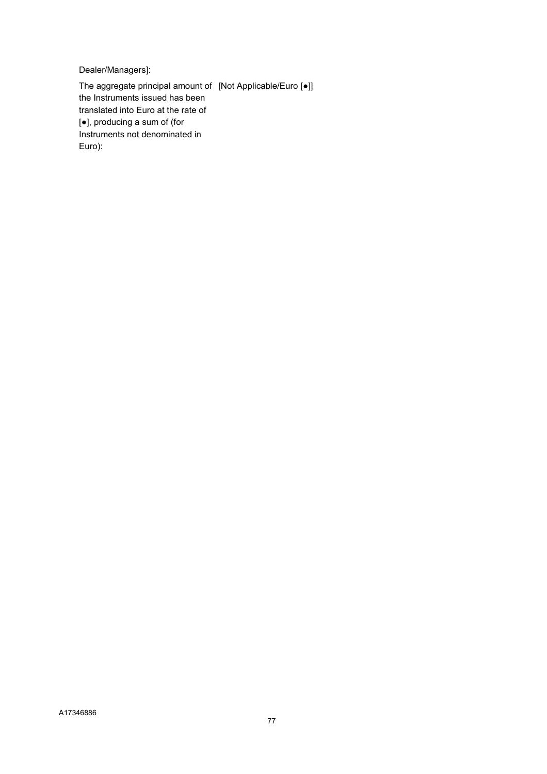Dealer/Managers]:

The aggregate principal amount of [Not Applicable/Euro [●]] the Instruments issued has been translated into Euro at the rate of [●], producing a sum of (for Instruments not denominated in Euro):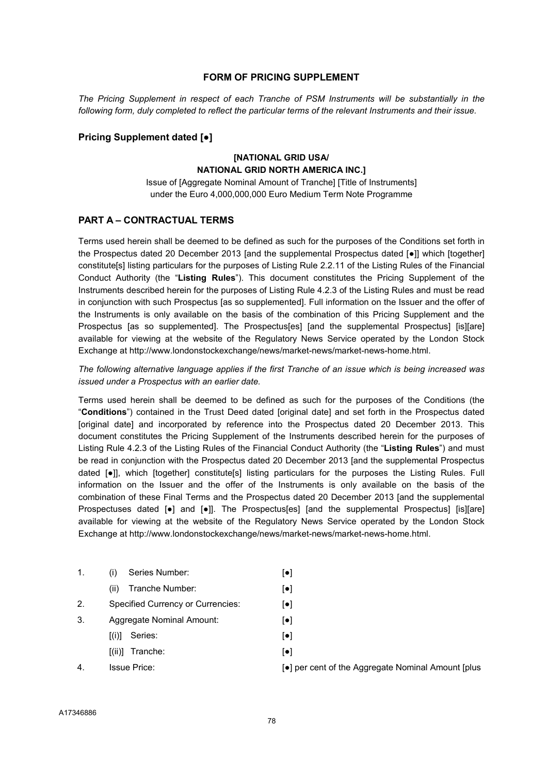#### FORM OF PRICING SUPPL FMENT

The Pricing Supplement in respect of each Tranche of PSM Instruments will be substantially in the following form, duly completed to reflect the particular terms of the relevant Instruments and their issue.

#### Pricing Supplement dated [●]

### [NATIONAL GRID USA/ NATIONAL GRID NORTH AMERICA INC.]

Issue of [Aggregate Nominal Amount of Tranche] [Title of Instruments] under the Euro 4,000,000,000 Euro Medium Term Note Programme

#### PART A – CONTRACTUAL TERMS

Terms used herein shall be deemed to be defined as such for the purposes of the Conditions set forth in the Prospectus dated 20 December 2013 [and the supplemental Prospectus dated [●]] which [together] constitute[s] listing particulars for the purposes of Listing Rule 2.2.11 of the Listing Rules of the Financial Conduct Authority (the "Listing Rules"). This document constitutes the Pricing Supplement of the Instruments described herein for the purposes of Listing Rule 4.2.3 of the Listing Rules and must be read in conjunction with such Prospectus [as so supplemented]. Full information on the Issuer and the offer of the Instruments is only available on the basis of the combination of this Pricing Supplement and the Prospectus [as so supplemented]. The Prospectus[es] [and the supplemental Prospectus] [is][are] available for viewing at the website of the Regulatory News Service operated by the London Stock Exchange at http://www.londonstockexchange/news/market-news/market-news-home.html.

The following alternative language applies if the first Tranche of an issue which is being increased was issued under a Prospectus with an earlier date.

Terms used herein shall be deemed to be defined as such for the purposes of the Conditions (the "Conditions") contained in the Trust Deed dated [original date] and set forth in the Prospectus dated [original date] and incorporated by reference into the Prospectus dated 20 December 2013. This document constitutes the Pricing Supplement of the Instruments described herein for the purposes of Listing Rule 4.2.3 of the Listing Rules of the Financial Conduct Authority (the "Listing Rules") and must be read in conjunction with the Prospectus dated 20 December 2013 [and the supplemental Prospectus dated [●]], which [together] constitute[s] listing particulars for the purposes the Listing Rules. Full information on the Issuer and the offer of the Instruments is only available on the basis of the combination of these Final Terms and the Prospectus dated 20 December 2013 [and the supplemental Prospectuses dated [●] and [●]]. The Prospectus[es] [and the supplemental Prospectus] [is][are] available for viewing at the website of the Regulatory News Service operated by the London Stock Exchange at http://www.londonstockexchange/news/market-news/market-news-home.html.

| 1. | Series Number:<br>(i)                    | $\lceil \bullet \rceil$ |
|----|------------------------------------------|-------------------------|
|    | Tranche Number:<br>(ii)                  | $\lceil \bullet \rceil$ |
| 2. | <b>Specified Currency or Currencies:</b> | $\lceil \bullet \rceil$ |
| 3. | Aggregate Nominal Amount:                | $\lceil \bullet \rceil$ |
|    | Series:<br>[(i)]                         | $\lceil \bullet \rceil$ |
|    | $[(ii)]$ Tranche:                        | $\lceil \bullet \rceil$ |
| 4. | <b>Issue Price:</b>                      | [•] r                   |
|    |                                          |                         |

ber cent of the Aggregate Nominal Amount [plus]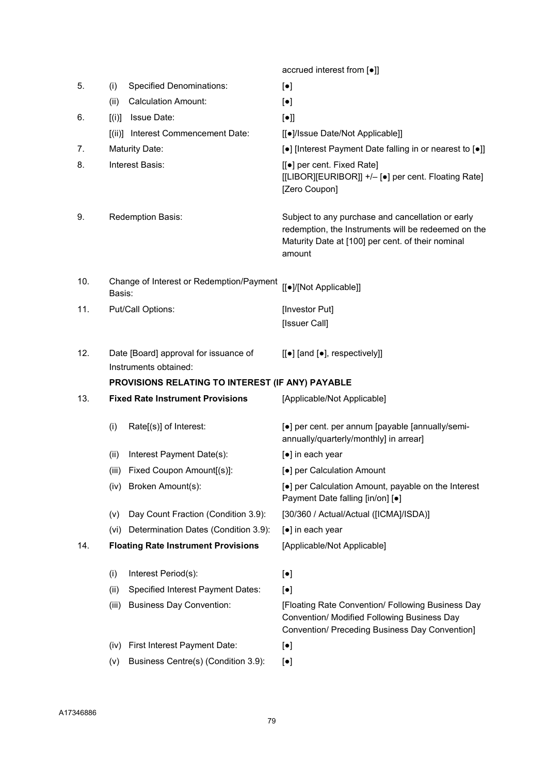accrued interest from [●]] 5. (i) Specified Denominations: [ $\bullet$ ] (ii) Calculation Amount: [●] 6.  $[(i)]$  Issue Date:  $[•]$  [(ii)] Interest Commencement Date: [[●]/Issue Date/Not Applicable]] 7. Maturity Date: external only a large interest Payment Date falling in or nearest to [●]] 8. Interest Basis: [[ $\bullet$ ] per cent. Fixed Rate] [[LIBOR][EURIBOR]] +/– [●] per cent. Floating Rate] [Zero Coupon] 9. Redemption Basis: Subject to any purchase and cancellation or early redemption, the Instruments will be redeemed on the Maturity Date at [100] per cent. of their nominal amount 10. Change of Interest or Redemption/Payment Change of interest or Redemption/Payment<br>Basis: 11. Put/Call Options: **Investor Put** [Issuer Call] 12. Date [Board] approval for issuance of Instruments obtained: [[●] [and [●], respectively]] PROVISIONS RELATING TO INTEREST (IF ANY) PAYABLE 13. Fixed Rate Instrument Provisions [Applicable/Not Applicable] (i) Rate[(s)] of Interest:  $\begin{bmatrix} \bullet \end{bmatrix}$  per cent. per annum [payable [annually/semiannually/quarterly/monthly] in arrear] (ii) Interest Payment Date(s): [●] in each year (iii) Fixed Coupon Amount[(s)]: [●] per Calculation Amount (iv) Broken Amount(s): [•] per Calculation Amount, payable on the Interest Payment Date falling [in/on] [●] (v) Day Count Fraction (Condition 3.9): [30/360 / Actual/Actual ([ICMA]/ISDA)] (vi) Determination Dates (Condition 3.9): [●] in each year 14. Floating Rate Instrument Provisions [Applicable/Not Applicable] (i) Interest Period(s): [●] (ii) Specified Interest Payment Dates: [●] (iii) Business Day Convention: [Floating Rate Convention/ Following Business Day Convention/ Modified Following Business Day Convention/ Preceding Business Day Convention] (iv) First Interest Payment Date: [●] (v) Business Centre(s) (Condition 3.9):  $[e]$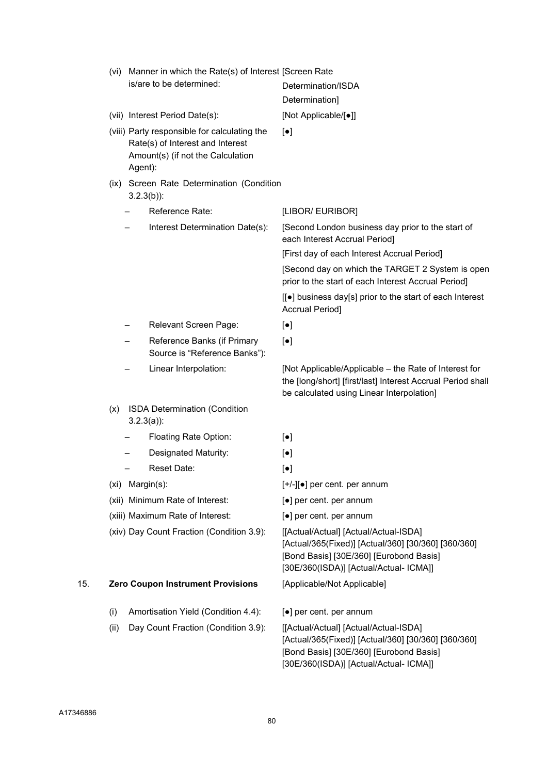|     | (vi) | Manner in which the Rate(s) of Interest [Screen Rate<br>is/are to be determined:                                                 | Determination/ISDA<br>Determination]                                                                                                                                              |
|-----|------|----------------------------------------------------------------------------------------------------------------------------------|-----------------------------------------------------------------------------------------------------------------------------------------------------------------------------------|
|     |      | (vii) Interest Period Date(s):                                                                                                   | [Not Applicable/[•]]                                                                                                                                                              |
|     |      | (viii) Party responsible for calculating the<br>Rate(s) of Interest and Interest<br>Amount(s) (if not the Calculation<br>Agent): | $[\bullet]$                                                                                                                                                                       |
|     |      | (ix) Screen Rate Determination (Condition<br>$3.2.3(b)$ :                                                                        |                                                                                                                                                                                   |
|     |      | Reference Rate:                                                                                                                  | [LIBOR/ EURIBOR]                                                                                                                                                                  |
|     |      | Interest Determination Date(s):                                                                                                  | [Second London business day prior to the start of<br>each Interest Accrual Period]<br>[First day of each Interest Accrual Period]                                                 |
|     |      |                                                                                                                                  | [Second day on which the TARGET 2 System is open<br>prior to the start of each Interest Accrual Period]                                                                           |
|     |      |                                                                                                                                  | [[●] business day[s] prior to the start of each Interest<br><b>Accrual Period]</b>                                                                                                |
|     |      | Relevant Screen Page:                                                                                                            | $[\bullet]$                                                                                                                                                                       |
|     |      | Reference Banks (if Primary<br>Source is "Reference Banks"):                                                                     | $\lbrack \bullet \rbrack$                                                                                                                                                         |
|     |      | Linear Interpolation:                                                                                                            | [Not Applicable/Applicable – the Rate of Interest for<br>the [long/short] [first/last] Interest Accrual Period shall<br>be calculated using Linear Interpolation]                 |
|     | (x)  | <b>ISDA Determination (Condition</b><br>$3.2.3(a)$ :                                                                             |                                                                                                                                                                                   |
|     |      | Floating Rate Option:                                                                                                            | $[\bullet]$                                                                                                                                                                       |
|     |      | Designated Maturity:                                                                                                             | $[\bullet]$                                                                                                                                                                       |
|     |      | Reset Date:                                                                                                                      | $[\bullet]$                                                                                                                                                                       |
|     | (xi) | Margin(s):                                                                                                                       | $[+/][\bullet]$ per cent. per annum                                                                                                                                               |
|     |      | (xii) Minimum Rate of Interest:                                                                                                  | [●] per cent. per annum                                                                                                                                                           |
|     |      | (xiii) Maximum Rate of Interest:                                                                                                 | [•] per cent. per annum                                                                                                                                                           |
|     |      | (xiv) Day Count Fraction (Condition 3.9):                                                                                        | [[Actual/Actual] [Actual/Actual-ISDA]<br>[Actual/365(Fixed)] [Actual/360] [30/360] [360/360]<br>[Bond Basis] [30E/360] [Eurobond Basis]<br>[30E/360(ISDA)] [Actual/Actual- ICMA]] |
| 15. |      | <b>Zero Coupon Instrument Provisions</b>                                                                                         | [Applicable/Not Applicable]                                                                                                                                                       |
|     | (i)  | Amortisation Yield (Condition 4.4):                                                                                              | [•] per cent. per annum                                                                                                                                                           |
|     | (ii) | Day Count Fraction (Condition 3.9):                                                                                              | [[Actual/Actual] [Actual/Actual-ISDA]<br>[Actual/365(Fixed)] [Actual/360] [30/360] [360/360]<br>[Bond Basis] [30E/360] [Eurobond Basis]                                           |

[30E/360(ISDA)] [Actual/Actual- ICMA]]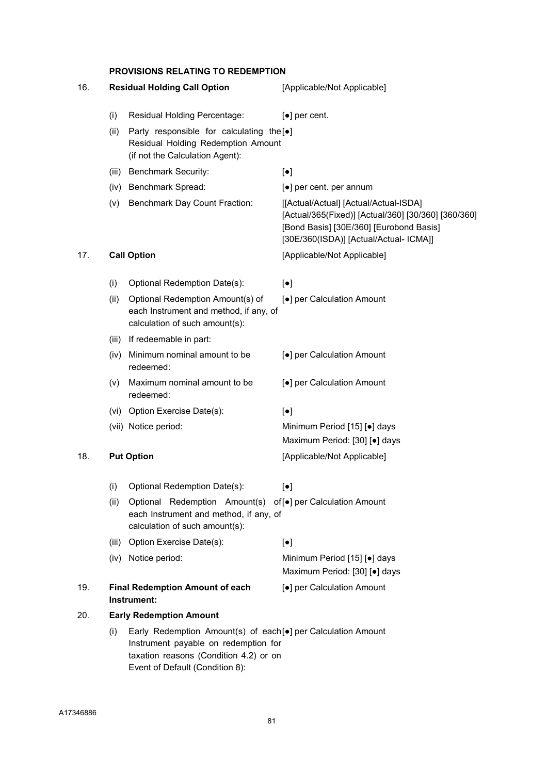#### PROVISIONS RELATING TO REDEMPTION

| 16.  |                                                                                                                                                                                          | <b>Residual Holding Call Option</b>                                                                                                     | [Applicable/Not Applicable]                                                                                                                                                       |
|------|------------------------------------------------------------------------------------------------------------------------------------------------------------------------------------------|-----------------------------------------------------------------------------------------------------------------------------------------|-----------------------------------------------------------------------------------------------------------------------------------------------------------------------------------|
|      | (i)                                                                                                                                                                                      | Residual Holding Percentage:                                                                                                            | $\left[\bullet\right]$ per cent.                                                                                                                                                  |
|      | (ii)                                                                                                                                                                                     | Party responsible for calculating the [.]<br>Residual Holding Redemption Amount<br>(if not the Calculation Agent):                      |                                                                                                                                                                                   |
|      |                                                                                                                                                                                          | (iii) Benchmark Security:                                                                                                               | $\left[\bullet\right]$                                                                                                                                                            |
|      |                                                                                                                                                                                          | (iv) Benchmark Spread:                                                                                                                  | [•] per cent. per annum                                                                                                                                                           |
|      |                                                                                                                                                                                          | (v) Benchmark Day Count Fraction:                                                                                                       | [[Actual/Actual] [Actual/Actual-ISDA]<br>[Actual/365(Fixed)] [Actual/360] [30/360] [360/360]<br>[Bond Basis] [30E/360] [Eurobond Basis]<br>[30E/360(ISDA)] [Actual/Actual- ICMA]] |
| 17.  |                                                                                                                                                                                          | <b>Call Option</b>                                                                                                                      | [Applicable/Not Applicable]                                                                                                                                                       |
|      | (i)                                                                                                                                                                                      | Optional Redemption Date(s):                                                                                                            | $\left[\bullet\right]$                                                                                                                                                            |
|      | (ii)                                                                                                                                                                                     | Optional Redemption Amount(s) of<br>each Instrument and method, if any, of<br>calculation of such amount(s):                            | [●] per Calculation Amount                                                                                                                                                        |
|      |                                                                                                                                                                                          | (iii) If redeemable in part:                                                                                                            |                                                                                                                                                                                   |
|      | (iv)                                                                                                                                                                                     | Minimum nominal amount to be<br>redeemed:                                                                                               | [•] per Calculation Amount                                                                                                                                                        |
|      | (V)                                                                                                                                                                                      | Maximum nominal amount to be<br>redeemed:                                                                                               | [•] per Calculation Amount                                                                                                                                                        |
|      |                                                                                                                                                                                          | (vi) Option Exercise Date(s):                                                                                                           | $\left[\bullet\right]$                                                                                                                                                            |
|      |                                                                                                                                                                                          | (vii) Notice period:                                                                                                                    | Minimum Period [15] [.] days<br>Maximum Period: [30] [.] days                                                                                                                     |
| 18.  |                                                                                                                                                                                          | <b>Put Option</b>                                                                                                                       | [Applicable/Not Applicable]                                                                                                                                                       |
|      | (i)                                                                                                                                                                                      | Optional Redemption Date(s):                                                                                                            | $\lceil \bullet \rceil$                                                                                                                                                           |
| (ii) |                                                                                                                                                                                          | Optional Redemption Amount(s) of [•] per Calculation Amount<br>each Instrument and method, if any, of<br>calculation of such amount(s): |                                                                                                                                                                                   |
|      |                                                                                                                                                                                          | (iii) Option Exercise Date(s):                                                                                                          | $\left[\bullet\right]$                                                                                                                                                            |
|      |                                                                                                                                                                                          | (iv) Notice period:                                                                                                                     | Minimum Period [15] [.] days<br>Maximum Period: [30] [.] days                                                                                                                     |
| 19.  |                                                                                                                                                                                          | <b>Final Redemption Amount of each</b><br>Instrument:                                                                                   | [•] per Calculation Amount                                                                                                                                                        |
| 20.  |                                                                                                                                                                                          | <b>Early Redemption Amount</b>                                                                                                          |                                                                                                                                                                                   |
|      | Early Redemption Amount(s) of each[•] per Calculation Amount<br>(i)<br>Instrument payable on redemption for<br>taxation reasons (Condition 4.2) or on<br>Event of Default (Condition 8): |                                                                                                                                         |                                                                                                                                                                                   |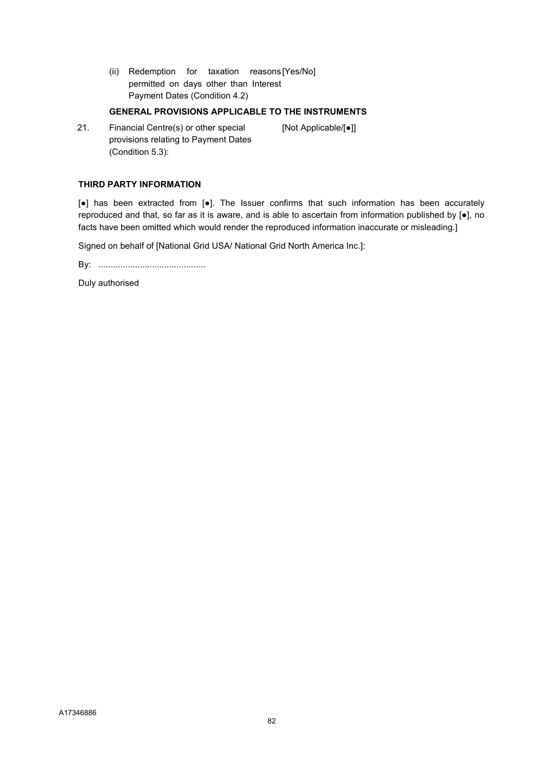(ii) Redemption for taxation reasons [Yes/No] permitted on days other than Interest Payment Dates (Condition 4.2)

#### GENERAL PROVISIONS APPLICABLE TO THE INSTRUMENTS

21. Financial Centre(s) or other special provisions relating to Payment Dates (Condition 5.3): [Not Applicable/[●]]

#### THIRD PARTY INFORMATION

[●] has been extracted from [●]. The Issuer confirms that such information has been accurately reproduced and that, so far as it is aware, and is able to ascertain from information published by [●], no facts have been omitted which would render the reproduced information inaccurate or misleading.]

Signed on behalf of [National Grid USA/ National Grid North America Inc.]:

By: ............................................

Duly authorised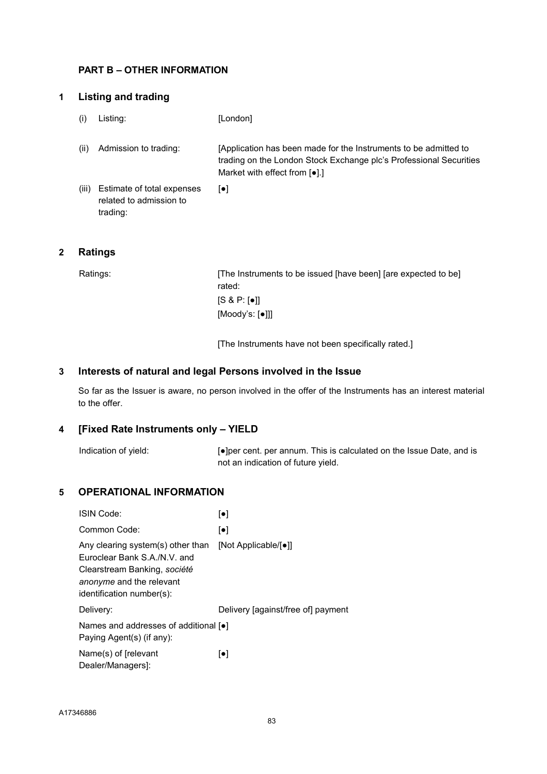# PART B – OTHER INFORMATION

# 1 Listing and trading

- (i) Listing: [London]
- (ii) Admission to trading: [Application has been made for the Instruments to be admitted to trading on the London Stock Exchange plc's Professional Securities Market with effect from [●].]
- (iii) Estimate of total expenses related to admission to trading: [●]

# 2 Ratings

Ratings: [The Instruments to be issued [have been] [are expected to be] rated:  $[S 8 P: [•]]$ [Moody's: [●]]]

[The Instruments have not been specifically rated.]

#### 3 Interests of natural and legal Persons involved in the Issue

So far as the Issuer is aware, no person involved in the offer of the Instruments has an interest material to the offer.

### 4 [Fixed Rate Instruments only – YIELD

Indication of yield: [●]per cent. per annum. This is calculated on the Issue Date, and is not an indication of future yield.

### 5 OPERATIONAL INFORMATION

| ISIN Code:                                                                                                                                                 | $\left[\bullet\right]$             |
|------------------------------------------------------------------------------------------------------------------------------------------------------------|------------------------------------|
| Common Code:                                                                                                                                               | $\left[\bullet\right]$             |
| Any clearing system(s) other than<br>Euroclear Bank S.A./N.V. and<br>Clearstream Banking, société<br>anonyme and the relevant<br>identification number(s): | [Not Applicable/[●]]               |
| Delivery:                                                                                                                                                  | Delivery [against/free of] payment |
| Names and addresses of additional [•]<br>Paying Agent(s) (if any):                                                                                         |                                    |
| Name(s) of [relevant]<br>Dealer/Managers]:                                                                                                                 | $\lceil \bullet \rceil$            |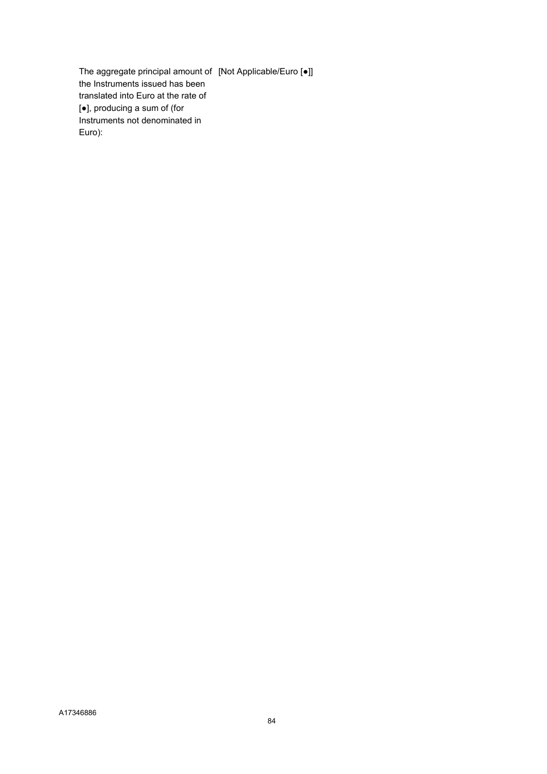The aggregate principal amount of [Not Applicable/Euro [●]] the Instruments issued has been translated into Euro at the rate of [●], producing a sum of (for Instruments not denominated in Euro):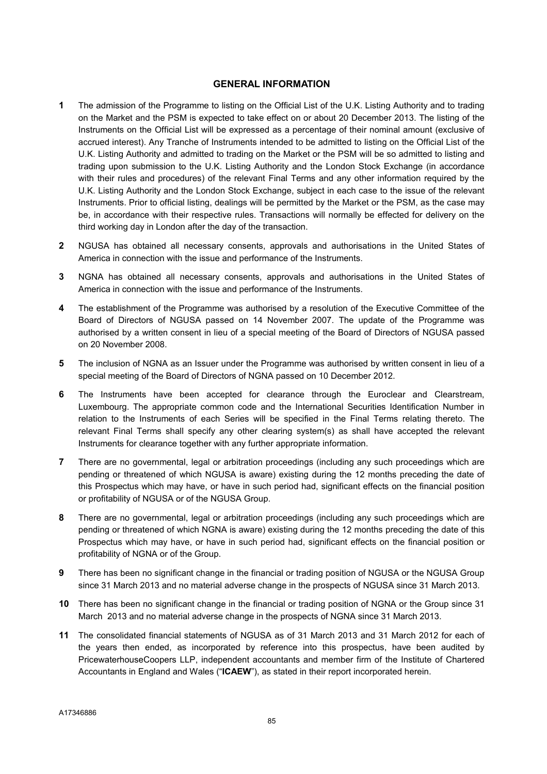#### GENERAL INFORMATION

- 1 The admission of the Programme to listing on the Official List of the U.K. Listing Authority and to trading on the Market and the PSM is expected to take effect on or about 20 December 2013. The listing of the Instruments on the Official List will be expressed as a percentage of their nominal amount (exclusive of accrued interest). Any Tranche of Instruments intended to be admitted to listing on the Official List of the U.K. Listing Authority and admitted to trading on the Market or the PSM will be so admitted to listing and trading upon submission to the U.K. Listing Authority and the London Stock Exchange (in accordance with their rules and procedures) of the relevant Final Terms and any other information required by the U.K. Listing Authority and the London Stock Exchange, subject in each case to the issue of the relevant Instruments. Prior to official listing, dealings will be permitted by the Market or the PSM, as the case may be, in accordance with their respective rules. Transactions will normally be effected for delivery on the third working day in London after the day of the transaction.
- 2 NGUSA has obtained all necessary consents, approvals and authorisations in the United States of America in connection with the issue and performance of the Instruments.
- 3 NGNA has obtained all necessary consents, approvals and authorisations in the United States of America in connection with the issue and performance of the Instruments.
- 4 The establishment of the Programme was authorised by a resolution of the Executive Committee of the Board of Directors of NGUSA passed on 14 November 2007. The update of the Programme was authorised by a written consent in lieu of a special meeting of the Board of Directors of NGUSA passed on 20 November 2008.
- 5 The inclusion of NGNA as an Issuer under the Programme was authorised by written consent in lieu of a special meeting of the Board of Directors of NGNA passed on 10 December 2012.
- 6 The Instruments have been accepted for clearance through the Euroclear and Clearstream, Luxembourg. The appropriate common code and the International Securities Identification Number in relation to the Instruments of each Series will be specified in the Final Terms relating thereto. The relevant Final Terms shall specify any other clearing system(s) as shall have accepted the relevant Instruments for clearance together with any further appropriate information.
- 7 There are no governmental, legal or arbitration proceedings (including any such proceedings which are pending or threatened of which NGUSA is aware) existing during the 12 months preceding the date of this Prospectus which may have, or have in such period had, significant effects on the financial position or profitability of NGUSA or of the NGUSA Group.
- 8 There are no governmental, legal or arbitration proceedings (including any such proceedings which are pending or threatened of which NGNA is aware) existing during the 12 months preceding the date of this Prospectus which may have, or have in such period had, significant effects on the financial position or profitability of NGNA or of the Group.
- 9 There has been no significant change in the financial or trading position of NGUSA or the NGUSA Group since 31 March 2013 and no material adverse change in the prospects of NGUSA since 31 March 2013.
- 10 There has been no significant change in the financial or trading position of NGNA or the Group since 31 March 2013 and no material adverse change in the prospects of NGNA since 31 March 2013.
- 11 The consolidated financial statements of NGUSA as of 31 March 2013 and 31 March 2012 for each of the years then ended, as incorporated by reference into this prospectus, have been audited by PricewaterhouseCoopers LLP, independent accountants and member firm of the Institute of Chartered Accountants in England and Wales ("ICAEW"), as stated in their report incorporated herein.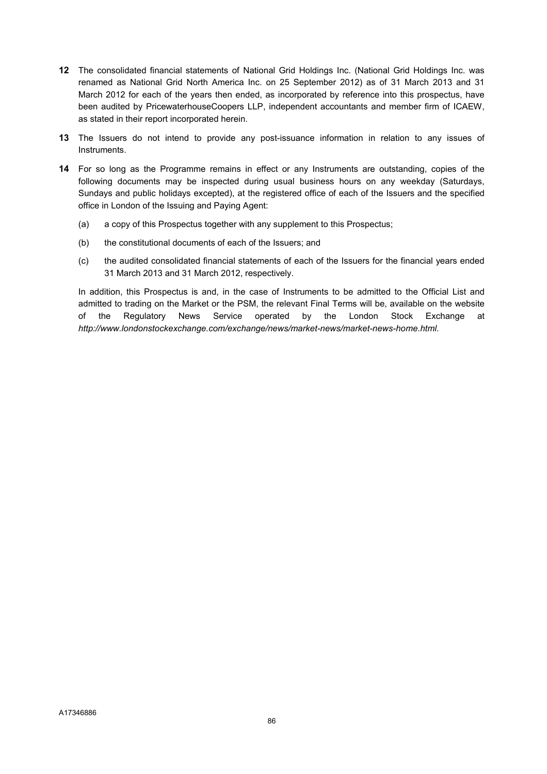- 12 The consolidated financial statements of National Grid Holdings Inc. (National Grid Holdings Inc. was renamed as National Grid North America Inc. on 25 September 2012) as of 31 March 2013 and 31 March 2012 for each of the years then ended, as incorporated by reference into this prospectus, have been audited by PricewaterhouseCoopers LLP, independent accountants and member firm of ICAEW, as stated in their report incorporated herein.
- 13 The Issuers do not intend to provide any post-issuance information in relation to any issues of Instruments.
- 14 For so long as the Programme remains in effect or any Instruments are outstanding, copies of the following documents may be inspected during usual business hours on any weekday (Saturdays, Sundays and public holidays excepted), at the registered office of each of the Issuers and the specified office in London of the Issuing and Paying Agent:
	- (a) a copy of this Prospectus together with any supplement to this Prospectus;
	- (b) the constitutional documents of each of the Issuers; and
	- (c) the audited consolidated financial statements of each of the Issuers for the financial years ended 31 March 2013 and 31 March 2012, respectively.

In addition, this Prospectus is and, in the case of Instruments to be admitted to the Official List and admitted to trading on the Market or the PSM, the relevant Final Terms will be, available on the website of the Regulatory News Service operated by the London Stock Exchange at http://www.londonstockexchange.com/exchange/news/market-news/market-news-home.html.